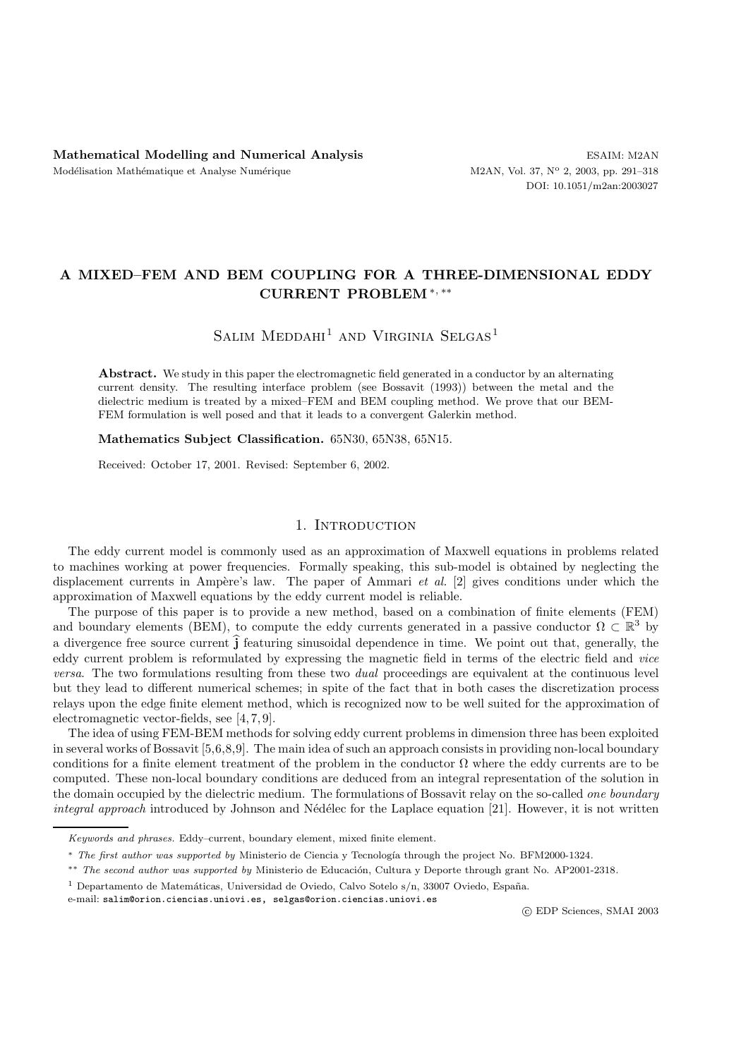## **A MIXED–FEM AND BEM COUPLING FOR A THREE-DIMENSIONAL EDDY CURRENT PROBLEM**∗*,* ∗∗

# SALIM  $MEDDAHI<sup>1</sup>$  AND VIRGINIA SELGAS<sup>1</sup>

Abstract. We study in this paper the electromagnetic field generated in a conductor by an alternating current density. The resulting interface problem (see Bossavit (1993)) between the metal and the dielectric medium is treated by a mixed–FEM and BEM coupling method. We prove that our BEM-FEM formulation is well posed and that it leads to a convergent Galerkin method.

**Mathematics Subject Classification.** 65N30, 65N38, 65N15.

Received: October 17, 2001. Revised: September 6, 2002.

## 1. INTRODUCTION

The eddy current model is commonly used as an approximation of Maxwell equations in problems related to machines working at power frequencies. Formally speaking, this sub-model is obtained by neglecting the displacement currents in Ampère's law. The paper of Ammari *et al.* [2] gives conditions under which the approximation of Maxwell equations by the eddy current model is reliable.

The purpose of this paper is to provide a new method, based on a combination of finite elements (FEM) and boundary elements (BEM), to compute the eddy currents generated in a passive conductor  $\Omega \subset \mathbb{R}^3$  by a divergence free source current **<sup>j</sup>** featuring sinusoidal dependence in time. We point out that, generally, the eddy current problem is reformulated by expressing the magnetic field in terms of the electric field and *vice versa*. The two formulations resulting from these two *dual* proceedings are equivalent at the continuous level but they lead to different numerical schemes; in spite of the fact that in both cases the discretization process relays upon the edge finite element method, which is recognized now to be well suited for the approximation of electromagnetic vector-fields, see [4, 7, 9].

The idea of using FEM-BEM methods for solving eddy current problems in dimension three has been exploited in several works of Bossavit [5,6,8,9]. The main idea of such an approach consists in providing non-local boundary conditions for a finite element treatment of the problem in the conductor  $\Omega$  where the eddy currents are to be computed. These non-local boundary conditions are deduced from an integral representation of the solution in the domain occupied by the dielectric medium. The formulations of Bossavit relay on the so-called *one boundary integral approach* introduced by Johnson and Nédélec for the Laplace equation [21]. However, it is not written

e-mail: salim@orion.ciencias.uniovi.es, selgas@orion.ciencias.uniovi.es

*Keywords and phrases.* Eddy–current, boundary element, mixed finite element.

<sup>∗</sup> *The first author was supported by* Ministerio de Ciencia y Tecnolog´ıa through the project No. BFM2000-1324*.*

<sup>&</sup>lt;sup>\*\*</sup> *The second author was supported by* Ministerio de Educación, Cultura y Deporte through grant No. AP2001-2318.

<sup>&</sup>lt;sup>1</sup> Departamento de Matemáticas, Universidad de Oviedo, Calvo Sotelo s/n, 33007 Oviedo, España.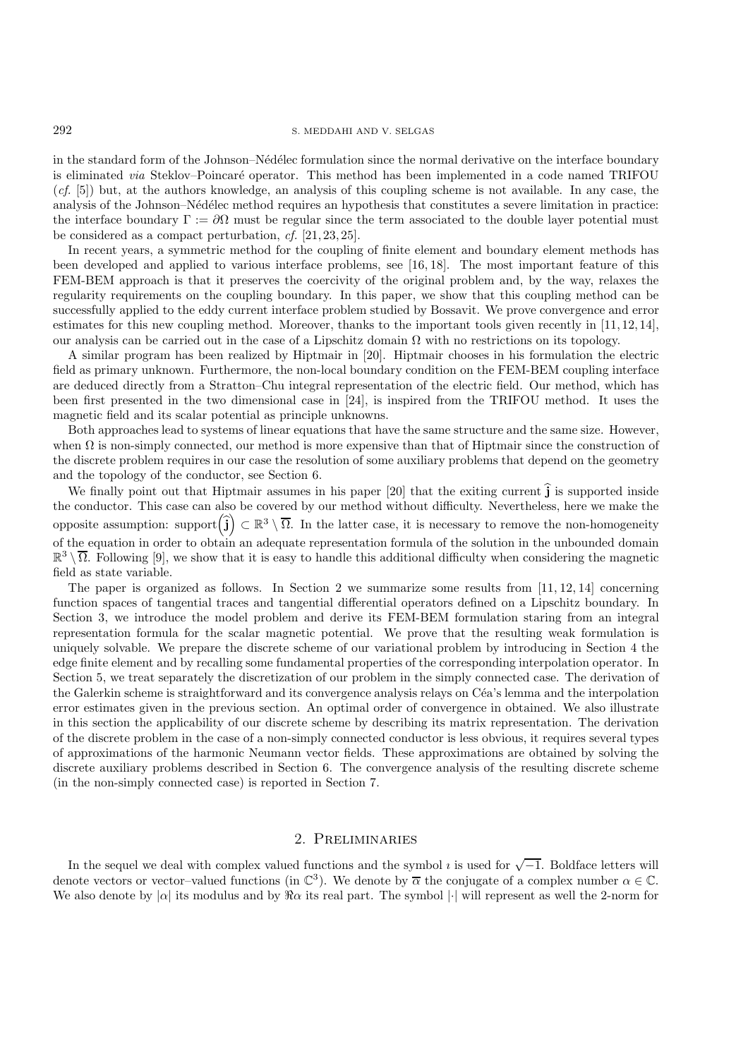in the standard form of the Johnson–Nédélec formulation since the normal derivative on the interface boundary is eliminated *via* Steklov–Poincaré operator. This method has been implemented in a code named TRIFOU (*cf.* [5]) but, at the authors knowledge, an analysis of this coupling scheme is not available. In any case, the analysis of the Johnson–Nédélec method requires an hypothesis that constitutes a severe limitation in practice: the interface boundary  $\Gamma := \partial \Omega$  must be regular since the term associated to the double layer potential must be considered as a compact perturbation, *cf.* [21, 23, 25].

In recent years, a symmetric method for the coupling of finite element and boundary element methods has been developed and applied to various interface problems, see [16, 18]. The most important feature of this FEM-BEM approach is that it preserves the coercivity of the original problem and, by the way, relaxes the regularity requirements on the coupling boundary. In this paper, we show that this coupling method can be successfully applied to the eddy current interface problem studied by Bossavit. We prove convergence and error estimates for this new coupling method. Moreover, thanks to the important tools given recently in [11, 12, 14], our analysis can be carried out in the case of a Lipschitz domain  $\Omega$  with no restrictions on its topology.

A similar program has been realized by Hiptmair in [20]. Hiptmair chooses in his formulation the electric field as primary unknown. Furthermore, the non-local boundary condition on the FEM-BEM coupling interface are deduced directly from a Stratton–Chu integral representation of the electric field. Our method, which has been first presented in the two dimensional case in [24], is inspired from the TRIFOU method. It uses the magnetic field and its scalar potential as principle unknowns.

Both approaches lead to systems of linear equations that have the same structure and the same size. However, when  $\Omega$  is non-simply connected, our method is more expensive than that of Hiptmair since the construction of the discrete problem requires in our case the resolution of some auxiliary problems that depend on the geometry and the topology of the conductor, see Section 6.

We finally point out that Hiptmair assumes in his paper [20] that the exiting current  $\hat{j}$  is supported inside the conductor. This case can also be covered by our method without difficulty. Nevertheless, here we make the opposite assumption: support $(\hat{\mathbf{j}}) \subset \mathbb{R}^3 \setminus \overline{\Omega}$ . In the latter case, it is necessary to remove the non-homogeneity of the equation in order to obtain an adequate representation formula of the solution in the unbounded domain  $\mathbb{R}^3 \setminus \overline{\Omega}$ . Following [9], we show that it is easy to handle this additional difficulty when considering the magnetic field as state variable.

The paper is organized as follows. In Section 2 we summarize some results from  $[11, 12, 14]$  concerning function spaces of tangential traces and tangential differential operators defined on a Lipschitz boundary. In Section 3, we introduce the model problem and derive its FEM-BEM formulation staring from an integral representation formula for the scalar magnetic potential. We prove that the resulting weak formulation is uniquely solvable. We prepare the discrete scheme of our variational problem by introducing in Section 4 the edge finite element and by recalling some fundamental properties of the corresponding interpolation operator. In Section 5, we treat separately the discretization of our problem in the simply connected case. The derivation of the Galerkin scheme is straightforward and its convergence analysis relays on Céa's lemma and the interpolation error estimates given in the previous section. An optimal order of convergence in obtained. We also illustrate in this section the applicability of our discrete scheme by describing its matrix representation. The derivation of the discrete problem in the case of a non-simply connected conductor is less obvious, it requires several types of approximations of the harmonic Neumann vector fields. These approximations are obtained by solving the discrete auxiliary problems described in Section 6. The convergence analysis of the resulting discrete scheme (in the non-simply connected case) is reported in Section 7.

## 2. Preliminaries

In the sequel we deal with complex valued functions and the symbol  $\imath$  is used for  $\sqrt{-1}$ . Boldface letters will denote vectors or vector–valued functions (in  $\mathbb{C}^3$ ). We denote by  $\overline{\alpha}$  the conjugate of a complex number  $\alpha \in \mathbb{C}$ . We also denote by  $|\alpha|$  its modulus and by  $\Re \alpha$  its real part. The symbol  $|\cdot|$  will represent as well the 2-norm for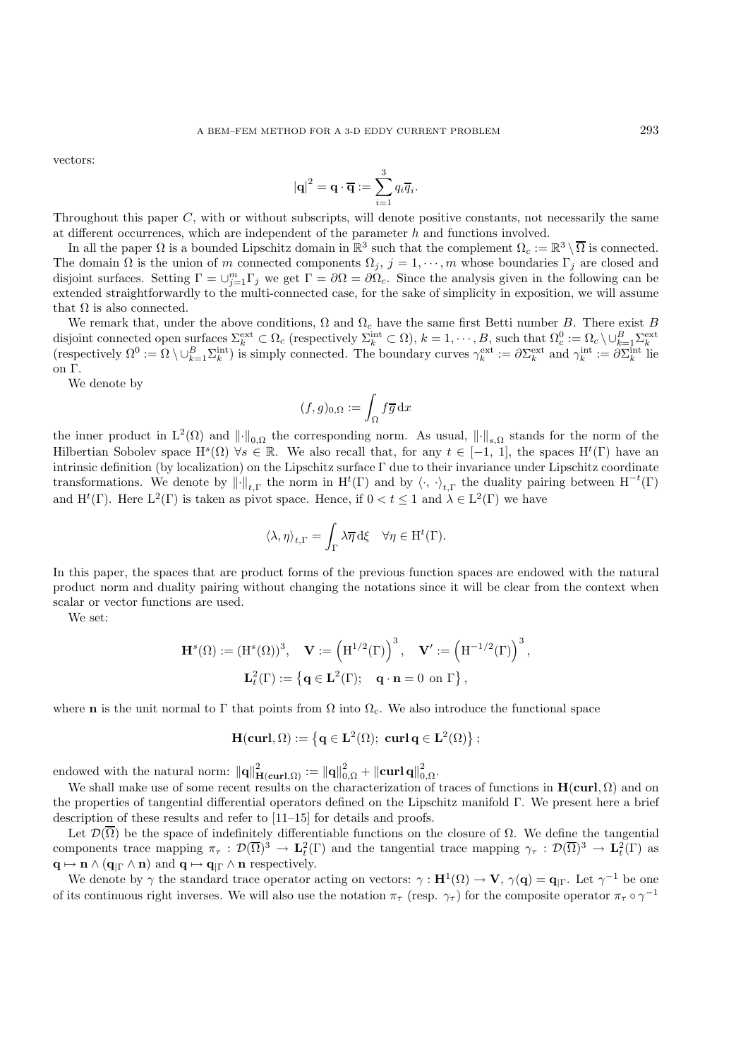vectors:

$$
|\mathbf{q}|^2 = \mathbf{q} \cdot \overline{\mathbf{q}} := \sum_{i=1}^3 q_i \overline{q}_i.
$$

Throughout this paper C, with or without subscripts, will denote positive constants, not necessarily the same at different occurrences, which are independent of the parameter  $h$  and functions involved.

In all the paper  $\Omega$  is a bounded Lipschitz domain in  $\mathbb{R}^3$  such that the complement  $\Omega_c := \mathbb{R}^3 \setminus \overline{\Omega}$  is connected. The domain  $\Omega$  is the union of m connected components  $\Omega_j$ ,  $j = 1, \dots, m$  whose boundaries  $\Gamma_j$  are closed and disjoint surfaces. Setting  $\Gamma = \bigcup_{j=1}^m \Gamma_j$  we get  $\Gamma = \partial \Omega = \partial \Omega_c$ . Since the analysis given in the following can be extended straightforwardly to the multi-connected case, for the sake of simplicity in exposition, we will assume that  $\Omega$  is also connected.

We remark that, under the above conditions,  $\Omega$  and  $\Omega_c$  have the same first Betti number B. There exist B disjoint connected open surfaces  $\Sigma_k^{\text{ext}} \subset \Omega_c$  (respectively  $\Sigma_k^{\text{int}} \subset \Omega$ ),  $k = 1, \dots, B$ , such that  $\Omega_c^0 := \Omega_c \setminus \cup_{k=1}^B \Sigma_k^{\text{ext}}$ <br>(respectively  $\Omega^0 := \Omega \setminus \cup_{k=1}^B \Sigma_k^{\text{int}}$ ) is simply connected. The boundary cur on Γ.

We denote by

$$
(f,g)_{0,\Omega}:=\int_{\Omega}f\overline{g}\,\mathrm{d}x
$$

the inner product in  $L^2(\Omega)$  and  $\|\cdot\|_{0,\Omega}$  the corresponding norm. As usual,  $\|\cdot\|_{s,\Omega}$  stands for the norm of the Hilbertian Sobolev space  $H^s(\Omega)$   $\forall s \in \mathbb{R}$ . We also recall that, for any  $t \in [-1, 1]$ , the spaces  $H^t(\Gamma)$  have an intrinsic definition (by localization) on the Lipschitz surface Γ due to their invariance under Lipschitz coordinate transformations. We denote by  $\lVert \cdot \rVert_{t,\Gamma}$  the norm in  $H^t(\Gamma)$  and by  $\langle \cdot, \cdot \rangle_{t,\Gamma}$  the duality pairing between  $H^{-t}(\Gamma)$ and  $H^t(\Gamma)$ . Here  $L^2(\Gamma)$  is taken as pivot space. Hence, if  $0 < t \leq 1$  and  $\lambda \in L^2(\Gamma)$  we have

$$
\langle \lambda, \eta \rangle_{t, \Gamma} = \int_{\Gamma} \lambda \overline{\eta} \, d\xi \quad \forall \eta \in H^t(\Gamma).
$$

In this paper, the spaces that are product forms of the previous function spaces are endowed with the natural product norm and duality pairing without changing the notations since it will be clear from the context when scalar or vector functions are used.

We set:

$$
\begin{aligned} \mathbf{H}^s(\Omega):=(\mathrm{H}^s(\Omega))^3, \quad \mathbf{V}:=\left(\mathrm{H}^{1/2}(\Gamma)\right)^3, \quad \mathbf{V}':=\left(\mathrm{H}^{-1/2}(\Gamma)\right)^3, \\ \mathbf{L}_t^2(\Gamma):=\left\{\mathbf{q}\in\mathbf{L}^2(\Gamma); \quad \mathbf{q}\cdot\mathbf{n}=0\ \mathrm{on}\ \Gamma\right\}, \end{aligned}
$$

where **n** is the unit normal to Γ that points from  $\Omega$  into  $\Omega_c$ . We also introduce the functional space

$$
\mathbf{H}(\mathbf{curl},\Omega):=\left\{\mathbf{q}\in\mathbf{L}^2(\Omega);\;\mathbf{curl}\,\mathbf{q}\in\mathbf{L}^2(\Omega)\right\};
$$

endowed with the natural norm:  $\|\mathbf{q}\|_{\mathbf{H}(\mathbf{curl},\Omega)}^2 := \|\mathbf{q}\|_{0,\Omega}^2 + \|\mathbf{curl}\,\mathbf{q}\|_{0,\Omega}^2$ .

We shall make use of some recent results on the characterization of traces of functions in  $H(curl, \Omega)$  and on the properties of tangential differential operators defined on the Lipschitz manifold Γ. We present here a brief description of these results and refer to [11–15] for details and proofs.

Let  $\mathcal{D}(\overline{\Omega})$  be the space of indefinitely differentiable functions on the closure of  $\Omega$ . We define the tangential components trace mapping  $\pi_{\tau} : \mathcal{D}(\overline{\Omega})^3 \to \mathbf{L}_t^2(\Gamma)$  and the tangential trace mapping  $\gamma_{\tau} : \mathcal{D}(\overline{\Omega})^3 \to \mathbf{L}_t^2(\Gamma)$  as  $\mathbf{q} \mapsto \mathbf{n} \wedge (\mathbf{q}_{|\Gamma} \wedge \mathbf{n})$  and  $\mathbf{q} \mapsto \mathbf{q}_{|\Gamma} \wedge \mathbf{n}$  respectively.

We denote by  $\gamma$  the standard trace operator acting on vectors:  $\gamma : \mathbf{H}^1(\Omega) \to \mathbf{V}$ ,  $\gamma(\mathbf{q}) = \mathbf{q}_{\mid \Gamma}$ . Let  $\gamma^{-1}$  be one of its continuous right inverses. We will also use the notation  $\pi_{\tau}$  (resp.  $\gamma_{\tau}$ ) for the composite operator  $\pi_{\tau} \circ \gamma^{-1}$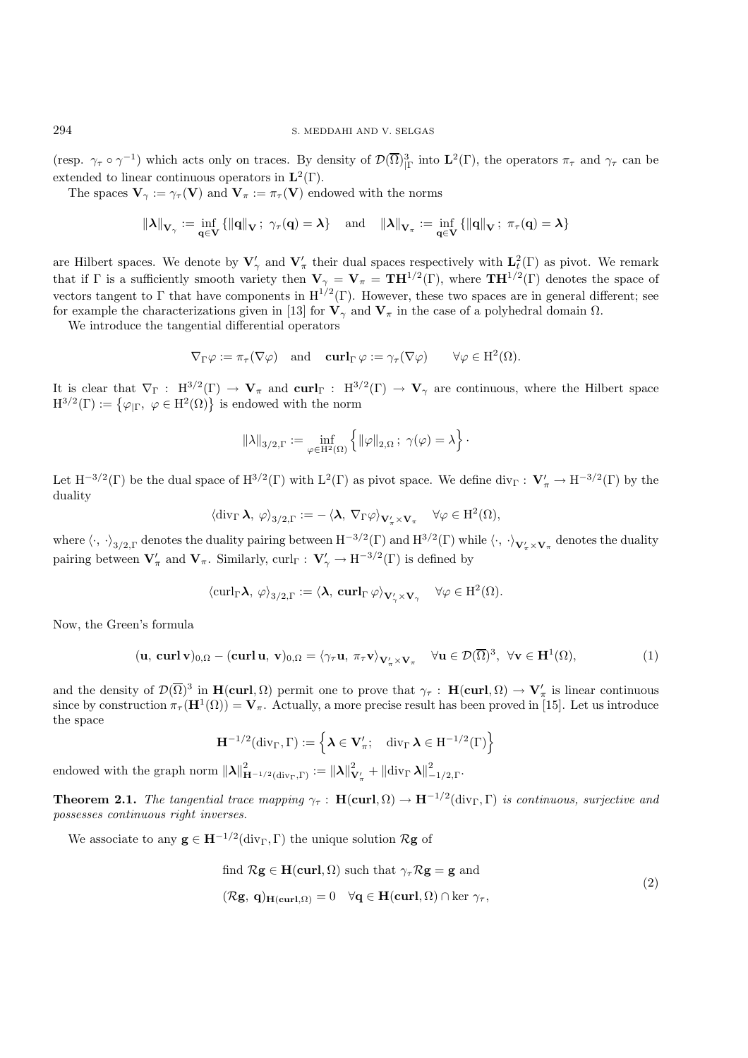(resp.  $\gamma_{\tau} \circ \gamma^{-1}$ ) which acts only on traces. By density of  $\mathcal{D}(\overline{\Omega})^3_{|\Gamma}$  into  $\mathbf{L}^2(\Gamma)$ , the operators  $\pi_{\tau}$  and  $\gamma_{\tau}$  can be extended to linear continuous operators in  $\mathbf{L}^2(\Gamma)$ .

The spaces  $V_\gamma := \gamma_\tau(V)$  and  $V_\pi := \pi_\tau(V)$  endowed with the norms

$$
\left\Vert \lambda\right\Vert _{\mathbf{V}_{\gamma}}:=\inf_{\mathbf{q}\in\mathbf{V}}\left\{ \left\Vert \mathbf{q}\right\Vert _{\mathbf{V}}\text{; }\gamma_{\tau}(\mathbf{q})=\lambda\right\} \quad\text{and}\quad\left\Vert \lambda\right\Vert _{\mathbf{V}_{\pi}}:=\inf_{\mathbf{q}\in\mathbf{V}}\left\{ \left\Vert \mathbf{q}\right\Vert _{\mathbf{V}}\text{; }\pi_{\tau}(\mathbf{q})=\lambda\right\}
$$

are Hilbert spaces. We denote by  $V'_{\gamma}$  and  $V'_{\pi}$  their dual spaces respectively with  $L_t^2(\Gamma)$  as pivot. We remark that if  $\Gamma$  is a sufficiently smooth variety then  $\mathbf{V}_{\gamma} = \mathbf{V}_{\pi} = \mathbf{T} \mathbf{H}^{1/2}(\Gamma)$ , where  $\mathbf{T} \mathbf{H}^{1/2}(\Gamma)$  denotes the space of vectors tangent to Γ that have components in  $H^{1/2}(\Gamma)$ . However, these two spaces are in general different; see for example the characterizations given in [13] for  $V_\gamma$  and  $V_\pi$  in the case of a polyhedral domain  $\Omega$ .

We introduce the tangential differential operators

$$
\nabla_{\Gamma}\varphi:=\pi_{\tau}(\nabla\varphi) \quad \text{and} \quad \operatorname{\mathbf{curl}}_{\Gamma}\varphi:=\gamma_{\tau}(\nabla\varphi) \qquad \forall \varphi\in H^2(\Omega).
$$

It is clear that  $\nabla_{\Gamma}$  : H<sup>3/2</sup>(Γ)  $\rightarrow$  **V**<sub>π</sub> and **curl**<sub>Γ</sub> : H<sup>3/2</sup>(Γ)  $\rightarrow$  **V**<sub>γ</sub> are continuous, where the Hilbert space  $H^{3/2}(\Gamma) := \{ \varphi_{|\Gamma}, \varphi \in H^2(\Omega) \}$  is endowed with the norm

$$
\|\lambda\|_{3/2,\Gamma} := \inf_{\varphi \in \mathrm{H}^2(\Omega)} \left\{ \|\varphi\|_{2,\Omega} \, ; \, \gamma(\varphi) = \lambda \right\}.
$$

Let  $H^{-3/2}(\Gamma)$  be the dual space of  $H^{3/2}(\Gamma)$  with  $L^2(\Gamma)$  as pivot space. We define div<sub> $\Gamma$ </sub> :  $V'_\pi \to H^{-3/2}(\Gamma)$  by the duality

$$
\langle \operatorname{div}_{\Gamma} \boldsymbol{\lambda}, \, \varphi \rangle_{3/2, \Gamma} := - \langle \boldsymbol{\lambda}, \, \nabla_{\Gamma} \varphi \rangle_{\mathbf{V}^{\prime}_{\pi} \times \mathbf{V}_{\pi}} \quad \forall \varphi \in \mathrm{H}^{2}(\Omega),
$$

where  $\langle \cdot, \cdot \rangle_{3/2,\Gamma}$  denotes the duality pairing between  $H^{-3/2}(\Gamma)$  and  $H^{3/2}(\Gamma)$  while  $\langle \cdot, \cdot \rangle_{\mathbf{V}'_{\pi} \times \mathbf{V}_{\pi}}$  denotes the duality pairing between  $V'_\pi$  and  $V_\pi$ . Similarly, curl<sub>Γ</sub> :  $V'_\gamma \to H^{-3/2}(\Gamma)$  is defined by

$$
\langle \operatorname{curl}_{\Gamma} \lambda, \varphi \rangle_{3/2, \Gamma} := \langle \lambda, \operatorname{curl}_{\Gamma} \varphi \rangle_{\mathbf{V}'_{\gamma} \times \mathbf{V}_{\gamma}} \quad \forall \varphi \in \mathrm{H}^{2}(\Omega).
$$

Now, the Green's formula

$$
(\mathbf{u}, \operatorname{\mathbf{curl}} \mathbf{v})_{0,\Omega} - (\operatorname{\mathbf{curl}} \mathbf{u}, \mathbf{v})_{0,\Omega} = \langle \gamma_{\tau} \mathbf{u}, \pi_{\tau} \mathbf{v} \rangle_{\mathbf{V}'_{\pi} \times \mathbf{V}_{\pi}} \quad \forall \mathbf{u} \in \mathcal{D}(\overline{\Omega})^3, \ \forall \mathbf{v} \in \mathbf{H}^1(\Omega), \tag{1}
$$

and the density of  $\mathcal{D}(\overline{\Omega})^3$  in  $\mathbf{H}(\mathbf{curl}, \Omega)$  permit one to prove that  $\gamma_\tau : \mathbf{H}(\mathbf{curl}, \Omega) \to \mathbf{V}'_\pi$  is linear continuous since by construction  $\pi_{\tau}(\mathbf{H}^1(\Omega)) = \mathbf{V}_{\pi}$ . Actually, a more precise result has been proved in [15]. Let us introduce the space

$$
\mathbf{H}^{-1/2}(\mathrm{div}_{\Gamma}, \Gamma) := \left\{ \boldsymbol{\lambda} \in \mathbf{V}_{\pi}'; \quad \mathrm{div}_{\Gamma} \, \boldsymbol{\lambda} \in \mathrm{H}^{-1/2}(\Gamma) \right\}
$$

endowed with the graph norm  $\|\lambda\|_{\mathbf H^{-1/2}(\operatorname{div}_\Gamma,\Gamma)}^2:=\|\lambda\|_\mathbf V^2$  $\frac{2}{\mathbf{V}'_{\pi}} + ||\text{div}_{\Gamma} \boldsymbol{\lambda}||^2_{-1/2,\Gamma}.$ 

**Theorem 2.1.** *The tangential trace mapping*  $\gamma_{\tau}$ : **H**(**curl**,  $\Omega$ )  $\rightarrow$  **H**<sup>-1/2</sup>(div<sub>Γ</sub>, Γ) *is continuous, surjective and possesses continuous right inverses.*

We associate to any  $\mathbf{g} \in \mathbf{H}^{-1/2}(\text{div}_{\Gamma}, \Gamma)$  the unique solution  $\mathcal{R}\mathbf{g}$  of

find 
$$
\mathcal{R}g \in H(\text{curl}, \Omega)
$$
 such that  $\gamma_{\tau} \mathcal{R}g = g$  and  
\n $(\mathcal{R}g, \mathbf{q})_{H(\text{curl}, \Omega)} = 0 \quad \forall \mathbf{q} \in H(\text{curl}, \Omega) \cap \text{ker } \gamma_{\tau},$ \n
$$
(2)
$$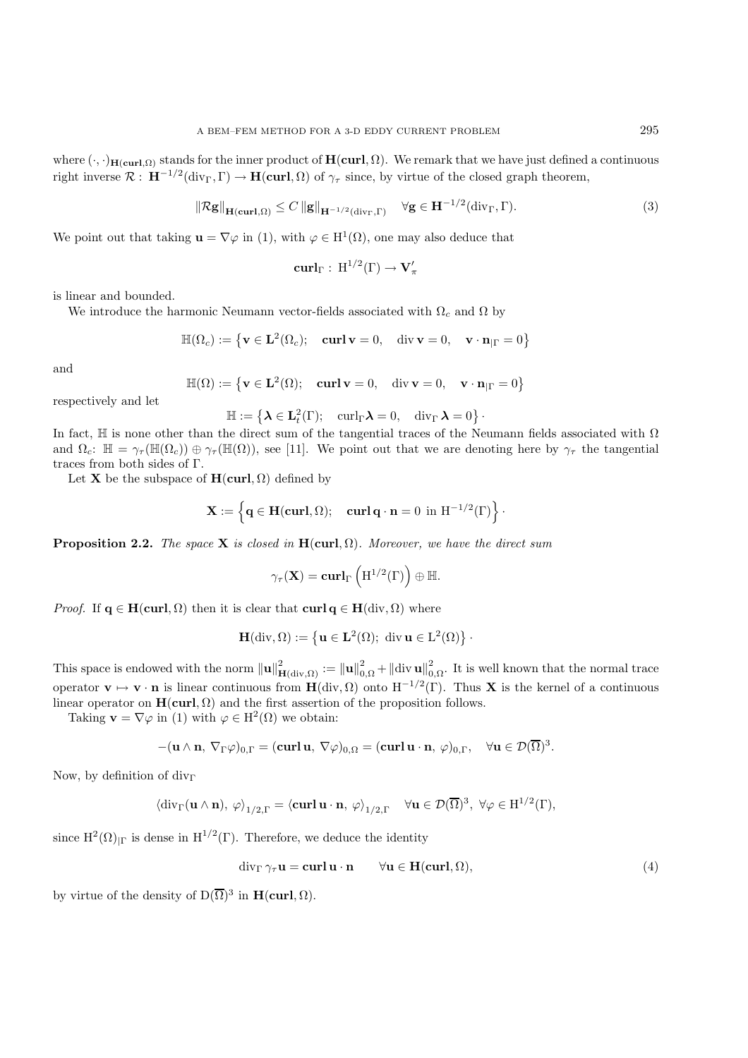where  $(\cdot, \cdot)_{\mathbf{H}(\mathbf{curl}, \Omega)}$  stands for the inner product of  $\mathbf{H}(\mathbf{curl}, \Omega)$ . We remark that we have just defined a continuous right inverse  $\mathcal{R}: H^{-1/2}(\text{div}_{\Gamma}, \Gamma) \to H(\text{curl}, \Omega)$  of  $\gamma_{\tau}$  since, by virtue of the closed graph theorem,

$$
\|\mathcal{R}\mathbf{g}\|_{\mathbf{H}(\mathbf{curl},\Omega)} \le C \|\mathbf{g}\|_{\mathbf{H}^{-1/2}(\text{div}_{\Gamma},\Gamma)} \quad \forall \mathbf{g} \in \mathbf{H}^{-1/2}(\text{div}_{\Gamma},\Gamma). \tag{3}
$$

We point out that taking  $\mathbf{u} = \nabla \varphi$  in (1), with  $\varphi \in H^1(\Omega)$ , one may also deduce that

$$
\operatorname{\mathbf{curl}}_{\Gamma}:\ \operatorname{H}^{1/2}(\Gamma)\to\mathbf{V}'_{\pi}
$$

is linear and bounded.

We introduce the harmonic Neumann vector-fields associated with  $\Omega_c$  and  $\Omega$  by

$$
\mathbb{H}(\Omega_c) := \left\{ \mathbf{v} \in \mathbf{L}^2(\Omega_c); \quad \mathbf{curl}\,\mathbf{v} = 0, \quad \text{div}\,\mathbf{v} = 0, \quad \mathbf{v} \cdot \mathbf{n}_{|\Gamma} = 0 \right\}
$$

and

$$
\mathbb{H}(\Omega):=\left\{\mathbf{v}\in\mathbf{L}^2(\Omega);\quad\mathbf{curl}\,\mathbf{v}=0,\quad\mathrm{div}\,\mathbf{v}=0,\quad\mathbf{v}\cdot\mathbf{n}_{|\Gamma}=0\right\}
$$

respectively and let

$$
\mathbb{H}:=\left\{\pmb{\lambda}\in \mathbf{L}_t^2(\Gamma);\quad \operatorname{curl}_\Gamma\pmb{\lambda}=0,\quad \operatorname{div}_\Gamma\pmb{\lambda}=0\right\}\cdot
$$

In fact,  $\mathbb H$  is none other than the direct sum of the tangential traces of the Neumann fields associated with  $\Omega$ and  $\Omega_c$ :  $\mathbb{H} = \gamma_\tau(\mathbb{H}(\Omega_c)) \oplus \gamma_\tau(\mathbb{H}(\Omega))$ , see [11]. We point out that we are denoting here by  $\gamma_\tau$  the tangential traces from both sides of Γ.

Let **X** be the subspace of  $H(\text{curl}, \Omega)$  defined by

$$
\mathbf{X}:=\left\{\mathbf{q}\in \mathbf{H}(\mathbf{curl},\Omega);\quad \mathbf{curl}\,\mathbf{q}\cdot\mathbf{n}=0\ \mathrm{in}\ \mathrm{H}^{-1/2}(\Gamma)\right\}\cdot
$$

**Proposition 2.2.** *The space* **X** *is closed in*  $H(\text{curl}, \Omega)$ *. Moreover, we have the direct sum* 

$$
\gamma_\tau(\mathbf{X}) = \mathbf{curl}_\Gamma\left(\mathrm{H}^{1/2}(\Gamma)\right) \oplus \mathbb{H}.
$$

*Proof.* If  $q \in H(\text{curl}, \Omega)$  then it is clear that  $\text{curl } q \in H(\text{div}, \Omega)$  where

$$
\mathbf{H}(\mathrm{div}, \Omega) := \left\{ \mathbf{u} \in \mathbf{L}^2(\Omega); \text{ div } \mathbf{u} \in L^2(\Omega) \right\}.
$$

This space is endowed with the norm  $\|\mathbf{u}\|_{\mathbf{H}(\text{div},\Omega)}^2 := \|\mathbf{u}\|_{0,\Omega}^2 + \|\text{div}\,\mathbf{u}\|_{0,\Omega}^2$ . It is well known that the normal trace operator  $\mathbf{v} \mapsto \mathbf{v} \cdot \mathbf{n}$  is linear continuous from  $\mathbf{H}(\text{div}, \Omega)$  onto  $H^{-1/2}(\Gamma)$ . Thus **X** is the kernel of a continuous linear operator on  $H(\text{curl}, \Omega)$  and the first assertion of the proposition follows.

Taking **v** =  $\nabla \varphi$  in (1) with  $\varphi \in H^2(\Omega)$  we obtain:

$$
-(\mathbf{u}\wedge\mathbf{n},\,\nabla_{\Gamma}\varphi)_{0,\Gamma}=(\mathbf{curl}\,\mathbf{u},\,\nabla\varphi)_{0,\Omega}=(\mathbf{curl}\,\mathbf{u}\cdot\mathbf{n},\,\varphi)_{0,\Gamma},\quad\forall\mathbf{u}\in\mathcal{D}(\overline{\Omega})^3.
$$

Now, by definition of  $div<sub>Γ</sub>$ 

$$
\langle \operatorname{div}_\Gamma(\mathbf{u}\wedge\mathbf{n}),\,\varphi\rangle_{1/2,\Gamma}=\langle \operatorname{\mathbf{curl}}\mathbf{u}\cdot\mathbf{n},\,\varphi\rangle_{1/2,\Gamma}\quad\forall\mathbf{u}\in\mathcal{D}(\overline{\Omega})^3,\;\forall\varphi\in H^{1/2}(\Gamma),
$$

since  $H^2(\Omega)_{\Gamma}$  is dense in  $H^{1/2}(\Gamma)$ . Therefore, we deduce the identity

$$
\operatorname{div}_{\Gamma} \gamma_{\tau} \mathbf{u} = \operatorname{\mathbf{curl}} \mathbf{u} \cdot \mathbf{n} \qquad \forall \mathbf{u} \in \mathbf{H}(\operatorname{\mathbf{curl}}, \Omega), \tag{4}
$$

by virtue of the density of  $D(\overline{\Omega})^3$  in **H**(**curl**,  $\Omega$ ).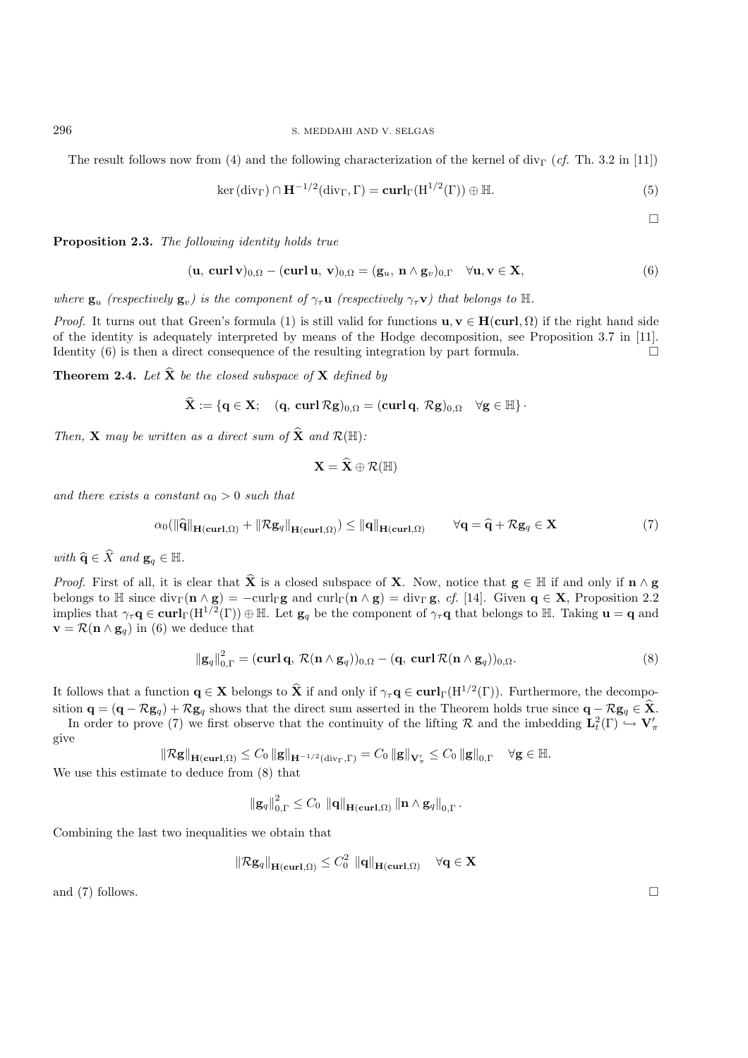The result follows now from (4) and the following characterization of the kernel of div<sub>Γ</sub> (*cf.* Th. 3.2 in [11])

$$
\ker(\operatorname{div}_{\Gamma}) \cap \mathbf{H}^{-1/2}(\operatorname{div}_{\Gamma}, \Gamma) = \mathbf{curl}_{\Gamma}(\mathbf{H}^{1/2}(\Gamma)) \oplus \mathbb{H}.
$$
 (5)

 $\Box$ 

**Proposition 2.3.** *The following identity holds true*

$$
(\mathbf{u}, \operatorname{curl} \mathbf{v})_{0,\Omega} - (\operatorname{curl} \mathbf{u}, \mathbf{v})_{0,\Omega} = (\mathbf{g}_u, \mathbf{n} \wedge \mathbf{g}_v)_{0,\Gamma} \quad \forall \mathbf{u}, \mathbf{v} \in \mathbf{X},
$$
\n(6)

*where*  $\mathbf{g}_u$  *(respectively*  $\mathbf{g}_v$ *) is the component of*  $\gamma_\tau \mathbf{u}$  *(respectively*  $\gamma_\tau \mathbf{v}$ *) that belongs to* H.

*Proof.* It turns out that Green's formula (1) is still valid for functions  $\mathbf{u}, \mathbf{v} \in \mathbf{H}(\text{curl}, \Omega)$  if the right hand side of the identity is adequately interpreted by means of the Hodge decomposition, see Proposition 3.7 in [11]. Identity  $(6)$  is then a direct consequence of the resulting integration by part formula.

**Theorem 2.4.** Let  $\hat{\mathbf{X}}$  be the closed subspace of  $\mathbf{X}$  defined by

$$
\mathbf{X} := \{ \mathbf{q} \in \mathbf{X}; \quad (\mathbf{q}, \ \mathbf{curl} \,\mathcal{R}\mathbf{g})_{0,\Omega} = (\mathbf{curl} \,\mathbf{q}, \,\mathcal{R}\mathbf{g})_{0,\Omega} \quad \forall \mathbf{g} \in \mathbb{H} \}.
$$

*Then,* **X** *may be written as a direct sum of*  $\hat{\mathbf{X}}$  *and*  $\mathcal{R}(\mathbb{H})$ *:* 

$$
\mathbf{X} = \mathbf{\widehat{X}} \oplus \mathcal{R}(\mathbb{H})
$$

*and there exists a constant*  $\alpha_0 > 0$  *such that* 

$$
\alpha_0(\|\widehat{\mathbf{q}}\|_{\mathbf{H}(\mathbf{curl},\Omega)} + \|\mathcal{R}\mathbf{g}_q\|_{\mathbf{H}(\mathbf{curl},\Omega)}) \le \|\mathbf{q}\|_{\mathbf{H}(\mathbf{curl},\Omega)} \qquad \forall \mathbf{q} = \widehat{\mathbf{q}} + \mathcal{R}\mathbf{g}_q \in \mathbf{X}
$$
 (7)

*with*  $\widehat{\mathbf{q}} \in \widehat{X}$  *and*  $\mathbf{g}_q \in \mathbb{H}$ *.* 

*Proof.* First of all, it is clear that  $\hat{\mathbf{X}}$  is a closed subspace of **X**. Now, notice that  $\mathbf{g} \in \mathbb{H}$  if and only if  $\mathbf{n} \wedge \mathbf{g}$ belongs to  $\mathbb{H}$  since  $\text{div}_{\Gamma}(\mathbf{n} \wedge \mathbf{g}) = -\text{curl}_{\Gamma} \mathbf{g}$  and  $\text{curl}_{\Gamma}(\mathbf{n} \wedge \mathbf{g}) = \text{div}_{\Gamma} \mathbf{g}$ , *cf.* [14]. Given  $\mathbf{q} \in \mathbf{X}$ , Proposition 2.2 implies that  $\gamma_{\tau} \mathbf{q} \in \mathbf{curl}_{\Gamma}(\mathbf{H}^{1/2}(\Gamma)) \oplus \mathbb{H}$ . Let  $\mathbf{g}_q$  be the component of  $\gamma_{\tau} \mathbf{q}$  that belongs to  $\mathbb{H}$ . Taking  $\mathbf{u} = \mathbf{q}$  and **v** =  $\mathcal{R}$ (**n** ∧ **g**<sub>q</sub>) in (6) we deduce that

$$
\|\mathbf{g}_q\|_{0,\Gamma}^2 = (\mathbf{curl}\,\mathbf{q},\,\mathcal{R}(\mathbf{n}\wedge\mathbf{g}_q))_{0,\Omega} - (\mathbf{q},\,\mathbf{curl}\,\mathcal{R}(\mathbf{n}\wedge\mathbf{g}_q))_{0,\Omega}.\tag{8}
$$

It follows that a function  $\mathbf{q} \in \mathbf{X}$  belongs to  $\hat{\mathbf{X}}$  if and only if  $\gamma_{\tau} \mathbf{q} \in \mathbf{curl}_{\Gamma}(\mathbf{H}^{1/2}(\Gamma))$ . Furthermore, the decomposition **q** =  $(\mathbf{q} - R\mathbf{g}_q) + R\mathbf{g}_q$  shows that the direct sum asserted in the Theorem holds true since  $\mathbf{q} - R\mathbf{g}_q \in \hat{\mathbf{X}}$ .

In order to prove (7) we first observe that the continuity of the lifting R and the imbedding  $\mathbf{L}_t^2(\Gamma) \hookrightarrow \mathbf{V}_{\pi}$ give

$$
\left\|\mathcal{R}\mathbf{g}\right\|_{\mathbf{H}(\mathbf{curl},\Omega)} \leq C_0 \left\|\mathbf{g}\right\|_{\mathbf{H}^{-1/2}(\textrm{div}_\Gamma,\Gamma)} = C_0 \left\|\mathbf{g}\right\|_{\mathbf{V}'_\pi} \leq C_0 \left\|\mathbf{g}\right\|_{0,\Gamma} \quad \forall \mathbf{g} \in \mathbb{H}.
$$

We use this estimate to deduce from (8) that

$$
\left\|\mathbf{g}_{q}\right\|_{0,\Gamma}^{2} \leq C_{0} \left\|\mathbf{q}\right\|_{\mathbf{H}(\mathbf{curl},\Omega)} \left\|\mathbf{n} \wedge \mathbf{g}_{q}\right\|_{0,\Gamma}.
$$

Combining the last two inequalities we obtain that

$$
\|\mathcal{R}\mathbf{g}_q\|_{\mathbf{H}(\mathbf{curl},\Omega)} \leq C_0^2 \|\mathbf{q}\|_{\mathbf{H}(\mathbf{curl},\Omega)} \quad \forall \mathbf{q} \in \mathbf{X}
$$

and (7) follows.  $\square$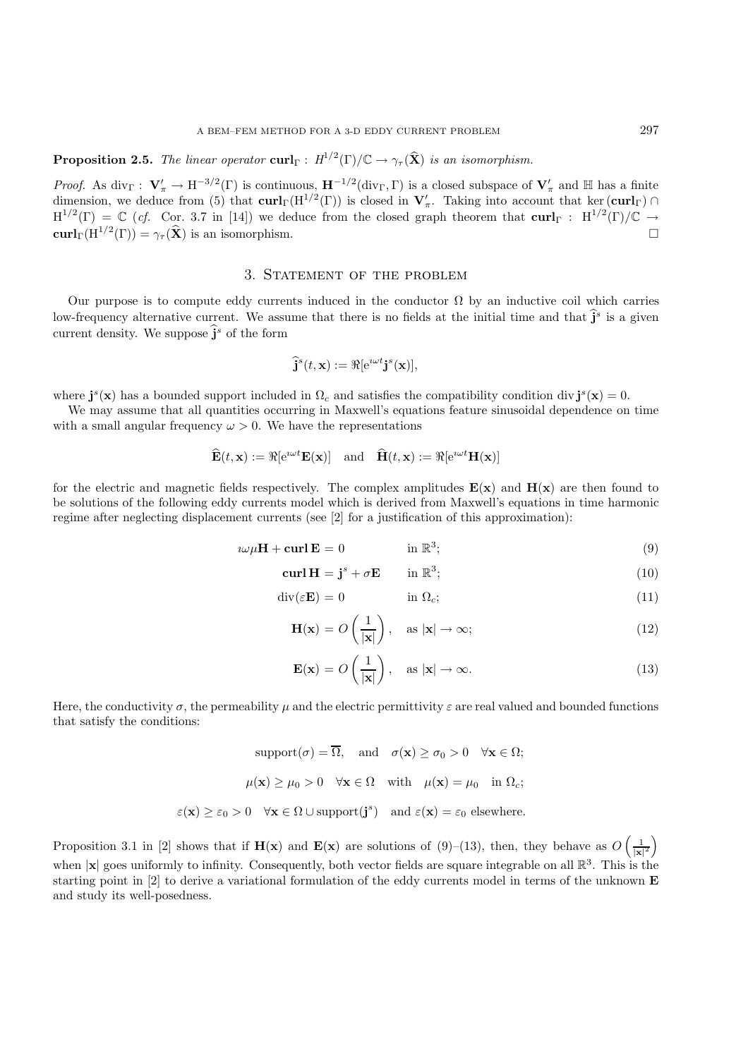**Proposition 2.5.** *The linear operator* **curl**<sub>Γ</sub> :  $H^{1/2}(\Gamma)/\mathbb{C} \rightarrow \gamma_{\tau}(\hat{\mathbf{X}})$  *is an isomorphism.* 

*Proof.* As div<sub> $\Gamma$ </sub> :  $V'_{\pi} \to H^{-3/2}(\Gamma)$  is continuous,  $H^{-1/2}$ (div<sub> $\Gamma$ </sub>,  $\Gamma$ ) is a closed subspace of  $V'_{\pi}$  and  $\mathbb{H}$  has a finite dimension, we deduce from (5) that  $\text{curl}_{\Gamma}(H^{1/2}(\Gamma))$  is closed in  $V'_\pi$ . Taking into account that ker ( $\text{curl}_{\Gamma}$ ) ∩  $H^{1/2}(\Gamma) = \mathbb{C}$  (*cf.* Cor. 3.7 in [14]) we deduce from the closed graph theorem that  $\text{curl}_{\Gamma}$  :  $H^{1/2}(\Gamma)/\mathbb{C} \rightarrow$  $\mathbf{curl}_{\Gamma}(\mathbf{H}^{1/2}(\Gamma)) = \gamma_{\tau}(\widehat{\mathbf{X}})$  is an isomorphism.

## 3. Statement of the problem

Our purpose is to compute eddy currents induced in the conductor  $\Omega$  by an inductive coil which carries low-frequency alternative current. We assume that there is no fields at the initial time and that  $\hat{\mathbf{j}}^s$  is a given current density. We suppose  $\hat{\mathbf{j}}^s$  of the form

$$
\widehat{\mathbf{j}}^s(t,\mathbf{x}) := \Re[\mathrm{e}^{\imath \omega t} \mathbf{j}^s(\mathbf{x})],
$$

where  $\mathbf{j}^s(\mathbf{x})$  has a bounded support included in  $\Omega_c$  and satisfies the compatibility condition div  $\mathbf{j}^s(\mathbf{x}) = 0$ .

We may assume that all quantities occurring in Maxwell's equations feature sinusoidal dependence on time with a small angular frequency  $\omega > 0$ . We have the representations

$$
\widehat{\mathbf{E}}(t, \mathbf{x}) := \Re[e^{i\omega t} \mathbf{E}(\mathbf{x})] \quad \text{and} \quad \widehat{\mathbf{H}}(t, \mathbf{x}) := \Re[e^{i\omega t} \mathbf{H}(\mathbf{x})]
$$

for the electric and magnetic fields respectively. The complex amplitudes  $E(x)$  and  $H(x)$  are then found to be solutions of the following eddy currents model which is derived from Maxwell's equations in time harmonic regime after neglecting displacement currents (see [2] for a justification of this approximation):

$$
i\omega\mu\mathbf{H} + \mathbf{curl}\,\mathbf{E} = 0 \qquad \text{in } \mathbb{R}^3; \tag{9}
$$

$$
\mathbf{curl}\,\mathbf{H}=\mathbf{j}^s+\sigma\mathbf{E}\qquad\text{in }\mathbb{R}^3;\tag{10}
$$

$$
\operatorname{div}(\varepsilon \mathbf{E}) = 0 \qquad \qquad \text{in } \Omega_c; \tag{11}
$$

$$
\mathbf{H}(\mathbf{x}) = O\left(\frac{1}{|\mathbf{x}|}\right), \quad \text{as } |\mathbf{x}| \to \infty;
$$
 (12)

$$
\mathbf{E}(\mathbf{x}) = O\left(\frac{1}{|\mathbf{x}|}\right), \quad \text{as } |\mathbf{x}| \to \infty.
$$
 (13)

Here, the conductivity  $\sigma$ , the permeability  $\mu$  and the electric permittivity  $\varepsilon$  are real valued and bounded functions that satisfy the conditions:

> $\text{support}(\sigma) = \overline{\Omega}$ , and  $\sigma(\mathbf{x}) \ge \sigma_0 > 0 \quad \forall \mathbf{x} \in \Omega$ ;  $\mu(\mathbf{x}) > \mu_0 > 0 \quad \forall \mathbf{x} \in \Omega \quad \text{with} \quad \mu(\mathbf{x}) = \mu_0 \quad \text{in } \Omega_c;$  $\varepsilon(\mathbf{x}) \geq \varepsilon_0 > 0 \quad \forall \mathbf{x} \in \Omega \cup \text{support}(\mathbf{j}^s) \text{ and } \varepsilon(\mathbf{x}) = \varepsilon_0 \text{ elsewhere.}$

Proposition 3.1 in [2] shows that if  $\mathbf{H}(\mathbf{x})$  and  $\mathbf{E}(\mathbf{x})$  are solutions of (9)–(13), then, they behave as  $O\left(\frac{1}{|\mathbf{x}|}\right)$  $\frac{1}{|\mathbf{x}|^2}$ when  $|\mathbf{x}|$  goes uniformly to infinity. Consequently, both vector fields are square integrable on all  $\mathbb{R}^3$ . This is the starting point in [2] to derive a variational formulation of the eddy currents model in terms of the unknown **E** and study its well-posedness.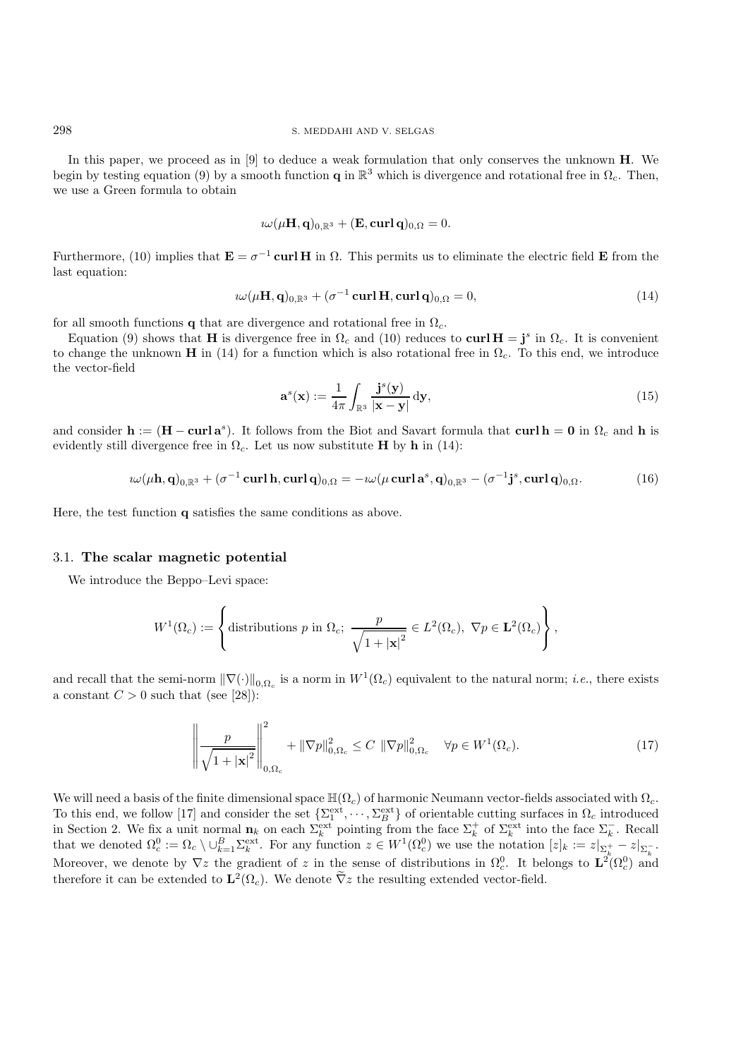In this paper, we proceed as in [9] to deduce a weak formulation that only conserves the unknown **H**. We begin by testing equation (9) by a smooth function **q** in  $\mathbb{R}^3$  which is divergence and rotational free in  $\Omega_c$ . Then, we use a Green formula to obtain

$$
i\omega(\mu\mathbf{H},\mathbf{q})_{0,\mathbb{R}^3} + (\mathbf{E},\operatorname{\mathbf{curl}}\mathbf{q})_{0,\Omega} = 0.
$$

Furthermore, (10) implies that  $\mathbf{E} = \sigma^{-1}$  curl H in  $\Omega$ . This permits us to eliminate the electric field **E** from the last equation:

$$
i\omega(\mu\mathbf{H}, \mathbf{q})_{0,\mathbb{R}^3} + (\sigma^{-1}\operatorname{curl}\mathbf{H}, \operatorname{curl}\mathbf{q})_{0,\Omega} = 0, \tag{14}
$$

for all smooth functions **q** that are divergence and rotational free in  $\Omega_c$ .

Equation (9) shows that **H** is divergence free in  $\Omega_c$  and (10) reduces to **curl H** = **j**<sup>s</sup> in  $\Omega_c$ . It is convenient to change the unknown **H** in (14) for a function which is also rotational free in  $\Omega_c$ . To this end, we introduce the vector-field

$$
\mathbf{a}^s(\mathbf{x}) := \frac{1}{4\pi} \int_{\mathbb{R}^3} \frac{\mathbf{j}^s(\mathbf{y})}{|\mathbf{x} - \mathbf{y}|} \, \mathrm{d}\mathbf{y},\tag{15}
$$

and consider  $h := (H - \text{curl } a^s)$ . It follows from the Biot and Savart formula that  $\text{curl } h = 0$  in  $\Omega_c$  and h is evidently still divergence free in  $\Omega_c$ . Let us now substitute **H** by **h** in (14):

$$
i\omega(\mu\mathbf{h},\mathbf{q})_{0,\mathbb{R}^3} + (\sigma^{-1}\operatorname{curl}\mathbf{h},\operatorname{curl}\mathbf{q})_{0,\Omega} = -i\omega(\mu\operatorname{curl}\mathbf{a}^s,\mathbf{q})_{0,\mathbb{R}^3} - (\sigma^{-1}\mathbf{j}^s,\operatorname{curl}\mathbf{q})_{0,\Omega}.\tag{16}
$$

Here, the test function **q** satisfies the same conditions as above.

## 3.1. **The scalar magnetic potential**

We introduce the Beppo–Levi space:

$$
W^{1}(\Omega_{c}) := \left\{ \text{distributions } p \text{ in } \Omega_{c}; \ \frac{p}{\sqrt{1+|\mathbf{x}|^{2}}} \in L^{2}(\Omega_{c}), \ \nabla p \in \mathbf{L}^{2}(\Omega_{c}) \right\},\
$$

and recall that the semi-norm  $\|\nabla(\cdot)\|_{0,\Omega_c}$  is a norm in  $W^1(\Omega_c)$  equivalent to the natural norm; *i.e.*, there exists a constant  $C > 0$  such that (see [28]):

$$
\left\| \frac{p}{\sqrt{1+|\mathbf{x}|^2}} \right\|_{0,\Omega_c}^2 + \|\nabla p\|_{0,\Omega_c}^2 \le C \|\nabla p\|_{0,\Omega_c}^2 \quad \forall p \in W^1(\Omega_c). \tag{17}
$$

We will need a basis of the finite dimensional space  $\mathbb{H}(\Omega_c)$  of harmonic Neumann vector-fields associated with  $\Omega_c$ . To this end, we follow [17] and consider the set  $\{\Sigma_1^{\text{ext}}, \dots, \Sigma_B^{\text{ext}}\}$  of orientable cutting surfaces in  $\Omega_c$  introduced in Section 2. We fix a unit normal  $\mathbf{n}_k$  on each  $\Sigma_k^{\text{ext}}$  pointing from the face  $\Sigma_k^+$  of  $\Sigma_k^{\text{ext}}$  into the face  $\Sigma_k^-$ . Recall that we denoted  $\Omega_c^0 := \Omega_c \setminus \cup_{k=1}^B \Sigma_k^{\text{ext}}$ . For any function  $z \in W^1(\Omega_c^0)$  we use the notation  $[z]_k := z|_{\Sigma_k^+} - z|_{\Sigma_k^-}$ . Moreover, we denote by  $\nabla z$  the gradient of z in the sense of distributions in  $\Omega_c^0$ . It belongs to  $\mathbf{L}^2(\Omega_c^0)$  and therefore it can be extended to  $\mathbf{L}^2(\Omega_c)$ . We denote  $\tilde{\nabla}z$  the resulting extended vector-field.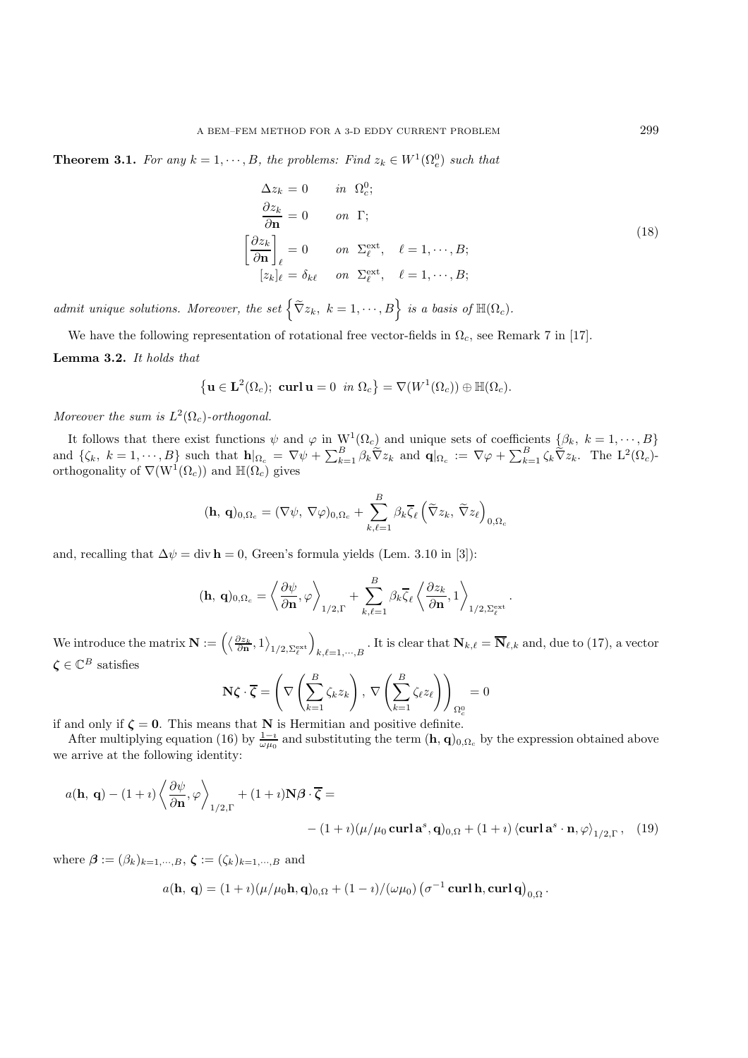**Theorem 3.1.** *For any*  $k = 1, \dots, B$ *, the problems: Find*  $z_k \in W^1(\Omega_e^0)$  *such that* 

$$
\Delta z_k = 0 \t in \t \Omega_c^0; \n\frac{\partial z_k}{\partial \mathbf{n}} = 0 \t on \t \Gamma; \n\left[\frac{\partial z_k}{\partial \mathbf{n}}\right]_\ell = 0 \t on \t \Sigma_\ell^{\text{ext}}, \quad \ell = 1, \dots, B; \n[z_k]_\ell = \delta_{k\ell} \t on \t \Sigma_\ell^{\text{ext}}, \quad \ell = 1, \dots, B;
$$
\n(18)

*admit unique solutions. Moreover, the set*  $\left\{ \widetilde{\nabla} z_k, k = 1, \cdots, B \right\}$  is a basis of  $\mathbb{H}(\Omega_c)$ .

We have the following representation of rotational free vector-fields in  $\Omega_c$ , see Remark 7 in [17]. **Lemma 3.2.** *It holds that*

$$
\left\{ \mathbf{u} \in \mathbf{L}^2(\Omega_c); \ \mathbf{curl} \mathbf{u} = 0 \ \ in \ \Omega_c \right\} = \nabla(W^1(\Omega_c)) \oplus \mathbb{H}(\Omega_c).
$$

*Moreover the sum is*  $L^2(\Omega_c)$ -orthogonal.

It follows that there exist functions  $\psi$  and  $\varphi$  in  $W^1(\Omega_c)$  and unique sets of coefficients  $\{\beta_k, k = 1, \dots, B\}$ and  $\{\zeta_k, k = 1, \dots, B\}$  such that  $\mathbf{h}|_{\Omega_c} = \nabla \psi + \sum_{k=1}^B \beta_k \tilde{\nabla} z_k$  and  $\mathbf{q}|_{\Omega_c} := \nabla \varphi + \sum_{k=1}^B \zeta_k \tilde{\nabla} z_k$ . The  $L^2(\Omega_c)$ -<br>orthogonality of  $\nabla(\mathbf{W}^1(\Omega_c))$  and  $\mathbb{H}(\Omega_c)$  gives

$$
(\mathbf{h}, \, \mathbf{q})_{0,\Omega_c} = (\nabla \psi, \, \nabla \varphi)_{0,\Omega_c} + \sum_{k,\ell=1}^B \beta_k \overline{\zeta}_{\ell} \left( \widetilde{\nabla} z_k, \, \widetilde{\nabla} z_{\ell} \right)_{0,\Omega_c}
$$

and, recalling that  $\Delta \psi = \text{div } \mathbf{h} = 0$ , Green's formula yields (Lem. 3.10 in [3]):

$$
(\mathbf{h}, \, \mathbf{q})_{0,\Omega_c} = \left\langle \frac{\partial \psi}{\partial \mathbf{n}}, \varphi \right\rangle_{1/2, \Gamma} + \sum_{k,\ell=1}^B \beta_k \overline{\zeta}_{\ell} \left\langle \frac{\partial z_k}{\partial \mathbf{n}}, 1 \right\rangle_{1/2, \Sigma_{\ell}^{\text{ext}}}.
$$

We introduce the matrix  $\mathbf{N} := \left( \left\langle \frac{\partial z_k}{\partial \mathbf{n}}, 1 \right\rangle_{1/2, \Sigma_{\ell}^{\text{ext}}} \right)_{k, \ell=1,\cdots,B}$ . It is clear that  $\mathbf{N}_{k,\ell} = \overline{\mathbf{N}}_{\ell,k}$  and, due to (17), a vector  $\zeta \in \mathbb{C}^B$  satisfies

$$
\mathbf{N}\boldsymbol{\zeta} \cdot \overline{\boldsymbol{\zeta}} = \left( \nabla \left( \sum_{k=1}^{B} \zeta_k z_k \right), \, \nabla \left( \sum_{k=1}^{B} \zeta_{\ell} z_{\ell} \right) \right)_{\Omega_c^0} = 0
$$

if and only if  $\zeta = 0$ . This means that **N** is Hermitian and positive definite.

After multiplying equation (16) by  $\frac{1-i}{\omega\mu_0}$  and substituting the term  $(\mathbf{h}, \mathbf{q})_{0,\Omega_c}$  by the expression obtained above we arrive at the following identity:

$$
a(\mathbf{h}, \mathbf{q}) - (1 + i) \left\langle \frac{\partial \psi}{\partial \mathbf{n}}, \varphi \right\rangle_{1/2, \Gamma} + (1 + i) \mathbf{N} \beta \cdot \overline{\zeta} =
$$
  
-  $(1 + i) (\mu / \mu_0 \operatorname{curl} \mathbf{a}^s, \mathbf{q})_{0, \Omega} + (1 + i) \left\langle \operatorname{curl} \mathbf{a}^s \cdot \mathbf{n}, \varphi \right\rangle_{1/2, \Gamma}, (19)$ 

where  $\beta := (\beta_k)_{k=1,\cdots,B}, \zeta := (\zeta_k)_{k=1,\cdots,B}$  and

$$
a(\mathbf{h},\,\mathbf{q})=(1+\imath)(\mu/\mu_0\mathbf{h},\mathbf{q})_{0,\Omega}+(1-\imath)/(\omega\mu_0)\left(\sigma^{-1}\,\mathbf{curl}\,\mathbf{h},\mathbf{curl}\,\mathbf{q}\right)_{0,\Omega}.
$$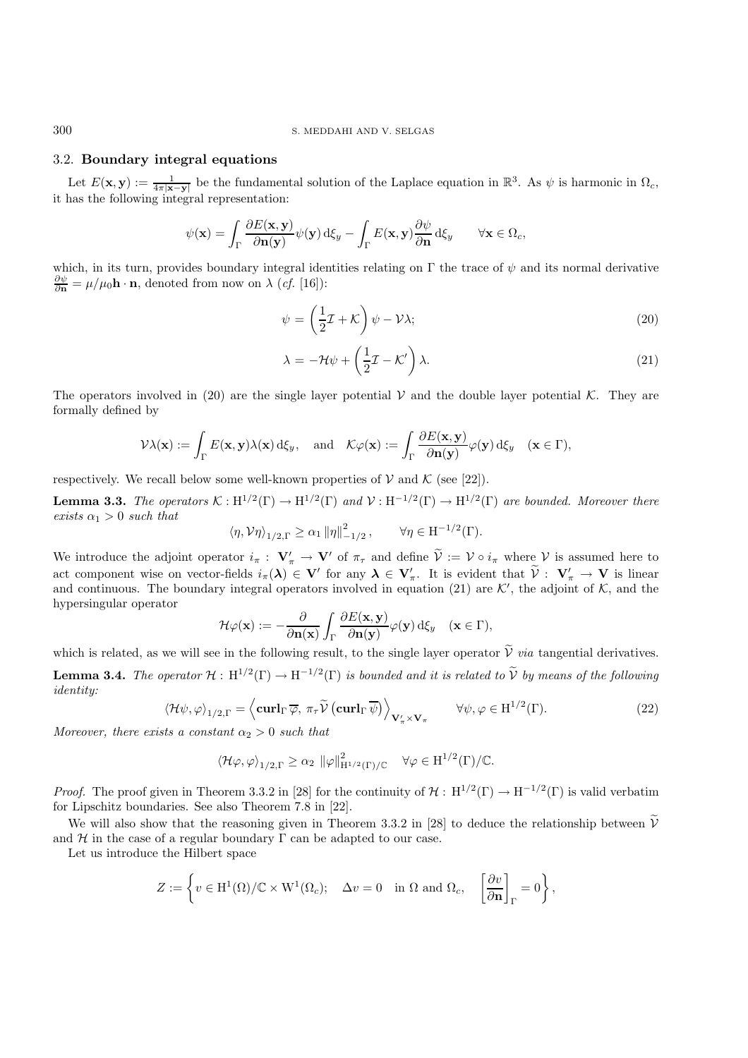#### 300 S. MEDDAHI AND V. SELGAS

## 3.2. **Boundary integral equations**

Let  $E(\mathbf{x}, \mathbf{y}) := \frac{1}{4\pi |\mathbf{x} - \mathbf{y}|}$  be the fundamental solution of the Laplace equation in  $\mathbb{R}^3$ . As  $\psi$  is harmonic in  $\Omega_c$ , it has the following integral representation:

$$
\psi(\mathbf{x}) = \int_{\Gamma} \frac{\partial E(\mathbf{x}, \mathbf{y})}{\partial \mathbf{n}(\mathbf{y})} \psi(\mathbf{y}) d\xi_{y} - \int_{\Gamma} E(\mathbf{x}, \mathbf{y}) \frac{\partial \psi}{\partial \mathbf{n}} d\xi_{y} \qquad \forall \mathbf{x} \in \Omega_{c},
$$

which, in its turn, provides boundary integral identities relating on  $\Gamma$  the trace of  $\psi$  and its normal derivative  $\frac{\partial \psi}{\partial \mathbf{n}} = \mu / \mu_0 \mathbf{h} \cdot \mathbf{n}$ , denoted from now on  $\lambda$  (*cf.* [16]):

$$
\psi = \left(\frac{1}{2}\mathcal{I} + \mathcal{K}\right)\psi - \mathcal{V}\lambda; \tag{20}
$$

$$
\lambda = -\mathcal{H}\psi + \left(\frac{1}{2}\mathcal{I} - \mathcal{K}'\right)\lambda.
$$
\n(21)

The operators involved in (20) are the single layer potential  $\mathcal V$  and the double layer potential K. They are formally defined by

$$
\mathcal{V}\lambda(\mathbf{x}) := \int_{\Gamma} E(\mathbf{x}, \mathbf{y}) \lambda(\mathbf{x}) \,d\xi_y, \text{ and } \mathcal{K}\varphi(\mathbf{x}) := \int_{\Gamma} \frac{\partial E(\mathbf{x}, \mathbf{y})}{\partial \mathbf{n}(\mathbf{y})} \varphi(\mathbf{y}) \,d\xi_y \quad (\mathbf{x} \in \Gamma),
$$

respectively. We recall below some well-known properties of  $V$  and  $K$  (see [22]).

**Lemma 3.3.** *The operators*  $K : H^{1/2}(\Gamma) \to H^{1/2}(\Gamma)$  *and*  $V : H^{-1/2}(\Gamma) \to H^{1/2}(\Gamma)$  *are bounded. Moreover there*  $exists \alpha_1 > 0 \text{ such that}$ 

$$
\left\langle \eta, \mathcal{V}\eta \right\rangle_{1/2,\Gamma} \geq \alpha_1 \left\| \eta \right\|_{-1/2}^2, \qquad \forall \eta \in \mathrm{H}^{-1/2}(\Gamma).
$$

We introduce the adjoint operator  $i_{\pi}: \mathbf{V}'_{\pi} \to \mathbf{V}'$  of  $\pi_{\tau}$  and define  $\mathcal{V} := \mathcal{V} \circ i_{\pi}$  where  $\mathcal{V}$  is assumed here to act component wise on vector-fields  $i_{\pi}(\lambda) \in V'$  for any  $\lambda \in V'_{\pi}$ . It is evident that  $\tilde{V}: V'_{\pi} \to V$  is linear and continuous. The boundary integral operators involved in equation (21) are  $K'$ , the adjoint of  $K$ , and the hypersingular operator

$$
\mathcal{H}\varphi(\mathbf{x}) := -\frac{\partial}{\partial \mathbf{n}(\mathbf{x})} \int_{\Gamma} \frac{\partial E(\mathbf{x}, \mathbf{y})}{\partial \mathbf{n}(\mathbf{y})} \varphi(\mathbf{y}) d\xi_{y} \quad (\mathbf{x} \in \Gamma),
$$

which is related, as we will see in the following result, to the single layer operator  $\tilde{V}$  *via* tangential derivatives.

**Lemma 3.4.** *The operator*  $\mathcal{H}: H^{1/2}(\Gamma) \to H^{-1/2}(\Gamma)$  *is bounded and it is related to*  $\widetilde{V}$  *by means of the following identity:*

$$
\langle \mathcal{H}\psi, \varphi \rangle_{1/2,\Gamma} = \left\langle \mathbf{curl}_{\Gamma} \overline{\varphi}, \pi_{\tau} \widetilde{\mathcal{V}} \left( \mathbf{curl}_{\Gamma} \overline{\psi} \right) \right\rangle_{\mathbf{V}_{\pi}^{\prime} \times \mathbf{V}_{\pi}} \qquad \forall \psi, \varphi \in \mathrm{H}^{1/2}(\Gamma). \tag{22}
$$

*Moreover, there exists a constant*  $\alpha_2 > 0$  *such that* 

$$
\langle \mathcal{H}\varphi,\varphi\rangle_{1/2,\Gamma}\geq \alpha_2\ \|\varphi\|_{H^{1/2}(\Gamma)/\mathbb{C}}^2\quad \forall \varphi\in H^{1/2}(\Gamma)/\mathbb{C}.
$$

*Proof.* The proof given in Theorem 3.3.2 in [28] for the continuity of  $H : H^{1/2}(\Gamma) \to H^{-1/2}(\Gamma)$  is valid verbatim for Lipschitz boundaries. See also Theorem 7.8 in [22].

We will also show that the reasoning given in Theorem 3.3.2 in [28] to deduce the relationship between  $\tilde{V}$ and  $H$  in the case of a regular boundary  $\Gamma$  can be adapted to our case.

Let us introduce the Hilbert space

$$
Z := \left\{ v \in H^1(\Omega)/\mathbb{C} \times W^1(\Omega_c); \quad \Delta v = 0 \quad \text{in } \Omega \text{ and } \Omega_c, \quad \left[\frac{\partial v}{\partial \mathbf{n}}\right]_{\Gamma} = 0 \right\},\
$$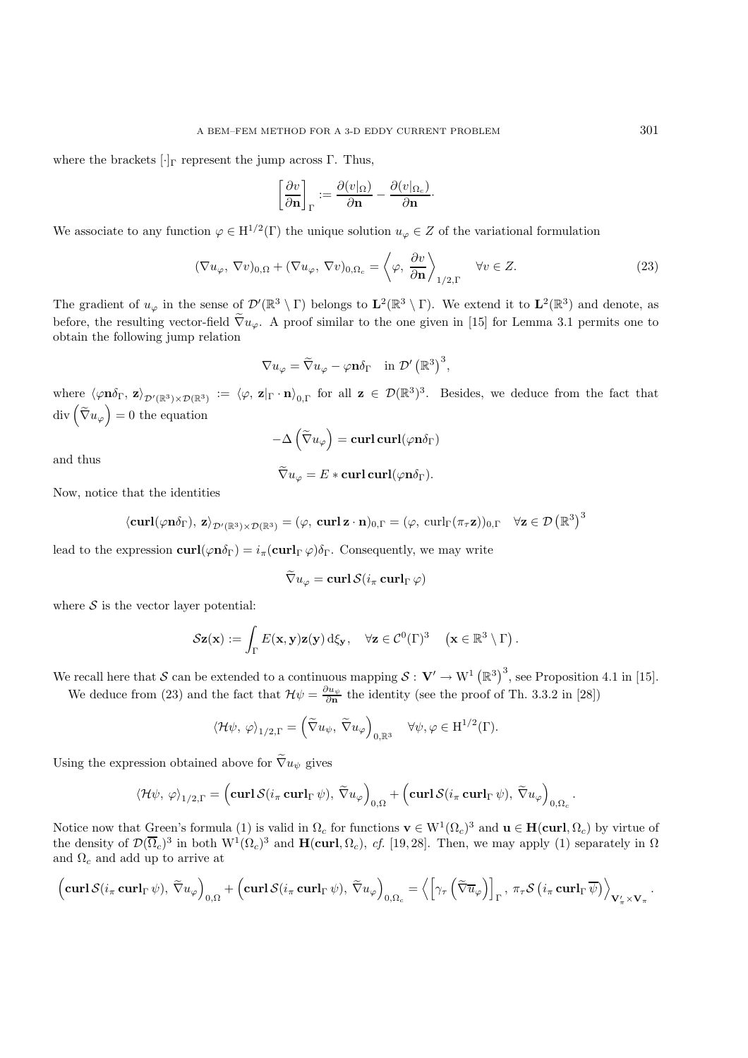where the brackets  $[\cdot]_{\Gamma}$  represent the jump across  $\Gamma$ . Thus,

$$
\left[\frac{\partial v}{\partial \mathbf{n}}\right]_{\Gamma} := \frac{\partial (v|_{\Omega})}{\partial \mathbf{n}} - \frac{\partial (v|_{\Omega_c})}{\partial \mathbf{n}}.
$$

We associate to any function  $\varphi \in H^{1/2}(\Gamma)$  the unique solution  $u_{\varphi} \in Z$  of the variational formulation

$$
(\nabla u_{\varphi}, \nabla v)_{0,\Omega} + (\nabla u_{\varphi}, \nabla v)_{0,\Omega_c} = \left\langle \varphi, \frac{\partial v}{\partial \mathbf{n}} \right\rangle_{1/2,\Gamma} \quad \forall v \in Z.
$$
 (23)

The gradient of  $u_{\varphi}$  in the sense of  $\mathcal{D}'(\mathbb{R}^3 \setminus \Gamma)$  belongs to  $\mathbf{L}^2(\mathbb{R}^3 \setminus \Gamma)$ . We extend it to  $\mathbf{L}^2(\mathbb{R}^3)$  and denote, as before, the resulting vector-field  $\nabla u_\varphi$ . A proof similar to the one given in [15] for Lemma 3.1 permits one to obtain the following jump relation

$$
\nabla u_{\varphi} = \widetilde{\nabla} u_{\varphi} - \varphi \mathbf{n} \delta_{\Gamma} \quad \text{in } \mathcal{D}' (\mathbb{R}^3)^3,
$$

where  $\langle \varphi \mathbf{n} \delta_{\Gamma}, \mathbf{z} \rangle_{\mathcal{D}'(\mathbb{R}^3) \times \mathcal{D}(\mathbb{R}^3)} := \langle \varphi, \mathbf{z} |_{\Gamma} \cdot \mathbf{n} \rangle_{0,\Gamma}$  for all  $\mathbf{z} \in \mathcal{D}(\mathbb{R}^3)^3$ . Besides, we deduce from the fact that  $\text{div}\left(\tilde{\nabla}u_{\varphi}\right) = 0$  the equation

$$
-\Delta\left(\widetilde{\nabla}u_{\varphi}\right) = \mathbf{curl} \, \mathbf{curl}(\varphi \mathbf{n} \delta_{\Gamma})
$$

and thus

$$
\widetilde{\nabla} u_{\varphi} = E * \operatorname{\mathbf{curl}} \operatorname{\mathbf{curl}}(\varphi \mathbf{n} \delta_{\Gamma}).
$$

Now, notice that the identities

$$
\langle {\bf curl}(\varphi {\bf n}\delta_\Gamma),\ {\bf z}\rangle_{\mathcal{D}'(\mathbb{R}^3)\times\mathcal{D}(\mathbb{R}^3)}=(\varphi,\ {\bf curl\,}{\bf z}\cdot{\bf n})_{0,\Gamma}=(\varphi,\ {\bf curl}_\Gamma(\pi_\tau {\bf z}))_{0,\Gamma}\quad\forall {\bf z}\in\mathcal{D}\left(\mathbb{R}^3\right)^3
$$

lead to the expression  $\mathbf{curl}(\varphi \mathbf{n}\delta_{\Gamma}) = i_{\pi}(\mathbf{curl}_{\Gamma}\varphi)\delta_{\Gamma}$ . Consequently, we may write

$$
\nabla u_{\varphi} = \operatorname{curl} \mathcal{S}(i_{\pi} \operatorname{curl}_{\Gamma} \varphi)
$$

where  $S$  is the vector layer potential:

$$
\mathcal{S}\mathbf{z}(\mathbf{x}) := \int_{\Gamma} E(\mathbf{x}, \mathbf{y}) \mathbf{z}(\mathbf{y}) \, d\xi_{\mathbf{y}}, \quad \forall \mathbf{z} \in \mathcal{C}^0(\Gamma)^3 \quad (\mathbf{x} \in \mathbb{R}^3 \setminus \Gamma).
$$

We recall here that S can be extended to a continuous mapping  $S: V' \to W^1 (\mathbb{R}^3)^3$ , see Proposition 4.1 in [15].

We deduce from (23) and the fact that  $\mathcal{H}\psi = \frac{\partial u_{\psi}}{\partial n}$  the identity (see the proof of Th. 3.3.2 in [28])

$$
\langle \mathcal{H}\psi, \, \varphi \rangle_{1/2,\Gamma} = \left( \widetilde{\nabla} u_{\psi}, \, \widetilde{\nabla} u_{\varphi} \right)_{0,\mathbb{R}^3} \quad \forall \psi, \varphi \in \mathrm{H}^{1/2}(\Gamma).
$$

Using the expression obtained above for  $\tilde{\nabla}u_{\psi}$  gives

$$
\langle \mathcal{H}\psi, \, \varphi \rangle_{1/2,\Gamma} = \left( \mathbf{curl} \, \mathcal{S}(i_{\pi} \, \mathbf{curl}_{\Gamma} \, \psi), \, \widetilde{\nabla} u_{\varphi} \right)_{0,\Omega} + \left( \mathbf{curl} \, \mathcal{S}(i_{\pi} \, \mathbf{curl}_{\Gamma} \, \psi), \, \widetilde{\nabla} u_{\varphi} \right)_{0,\Omega_c}
$$

Notice now that Green's formula (1) is valid in  $\Omega_c$  for functions  $\mathbf{v} \in W^1(\Omega_c)^3$  and  $\mathbf{u} \in \mathbf{H}(\text{curl}, \Omega_c)$  by virtue of the density of  $\mathcal{D}(\overline{\Omega}_c)^3$  in both  $W^1(\Omega_c)^3$  and  $H(\text{curl}, \Omega_c)$ , *cf.* [19, 28]. Then, we may apply (1) separately in  $\Omega$ and  $\Omega_c$  and add up to arrive at

$$
\left(\mathbf{curl}\,\mathcal{S}(i_{\pi}\,\mathbf{curl}_{\Gamma}\,\psi),\,\widetilde{\nabla}u_{\varphi}\right)_{0,\Omega}+\left(\mathbf{curl}\,\mathcal{S}(i_{\pi}\,\mathbf{curl}_{\Gamma}\,\psi),\,\widetilde{\nabla}u_{\varphi}\right)_{0,\Omega_{c}}=\left\langle\left[\gamma_{\tau}\left(\widetilde{\nabla}\overline{u}_{\varphi}\right)\right]_{\Gamma},\,\pi_{\tau}\mathcal{S}\left(i_{\pi}\,\mathbf{curl}_{\Gamma}\,\overline{\psi}\right)\right\rangle_{\mathbf{V}'_{\pi}\times\mathbf{V}_{\pi}}.
$$

.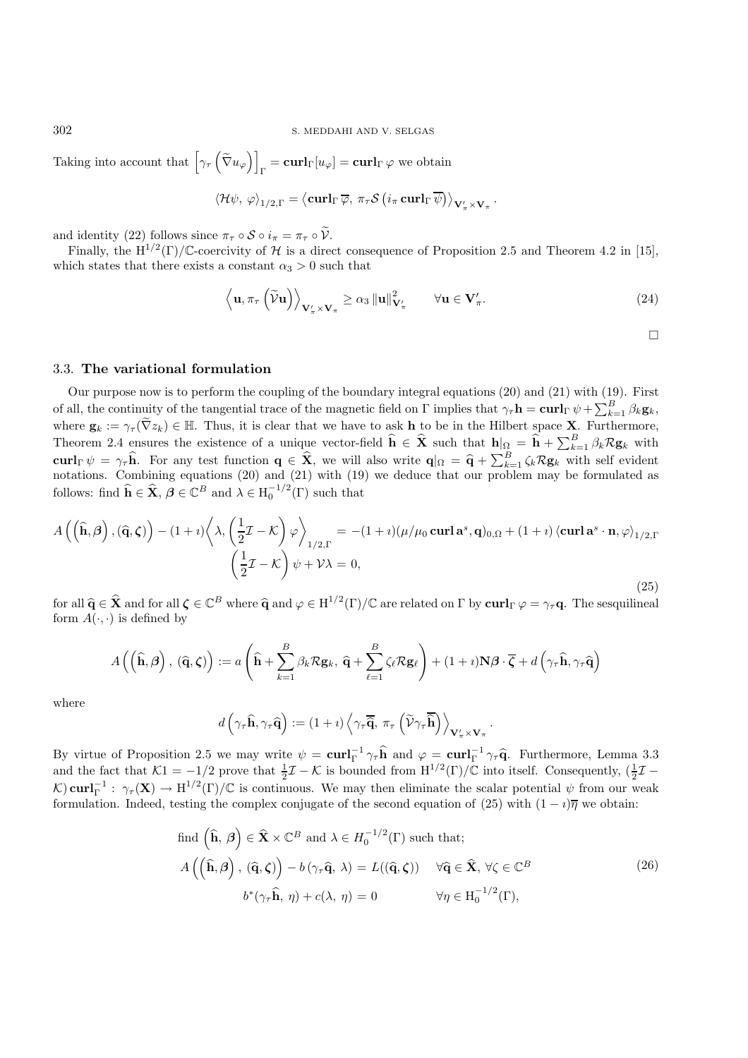Taking into account that  $\left[\gamma_\tau \left(\tilde{\nabla} u_\varphi\right)\right]_{\Gamma} = \mathbf{curl}_{\Gamma} [u_\varphi] = \mathbf{curl}_{\Gamma} \varphi$  we obtain

$$
\langle \mathcal{H}\psi, \, \varphi \rangle_{1/2,\Gamma} = \langle \mathbf{curl}_{\Gamma} \, \overline{\varphi}, \, \pi_{\tau} \mathcal{S} \left( i_{\pi} \, \mathbf{curl}_{\Gamma} \, \overline{\psi} \right) \rangle_{\mathbf{V}'_{\pi} \times \mathbf{V}_{\pi}}.
$$

and identity (22) follows since  $\pi_{\tau} \circ S \circ i_{\pi} = \pi_{\tau} \circ \tilde{\mathcal{V}}$ .

Finally, the H<sup>1/2</sup>(Γ)/C-coercivity of H is a direct consequence of Proposition 2.5 and Theorem 4.2 in [15], which states that there exists a constant  $\alpha_3 > 0$  such that

$$
\left\langle \mathbf{u}, \pi_{\tau} \left( \widetilde{\mathcal{V}} \mathbf{u} \right) \right\rangle_{\mathbf{V}_{\pi}^{\prime} \times \mathbf{V}_{\pi}} \ge \alpha_{3} \left\| \mathbf{u} \right\|_{\mathbf{V}_{\pi}^{\prime}}^{2}, \qquad \forall \mathbf{u} \in \mathbf{V}_{\pi}^{\prime}.
$$
 (24)

 $\Box$ 

## 3.3. **The variational formulation**

Our purpose now is to perform the coupling of the boundary integral equations (20) and (21) with (19). First of all, the continuity of the tangential trace of the magnetic field on  $\Gamma$  implies that  $\gamma_{\tau} \mathbf{h} = \mathbf{curl}_{\Gamma} \psi + \sum_{k=1}^{B} \beta_k \mathbf{g}_k$ , where  $\mathbf{g}_k := \gamma_\tau(\widetilde{\nabla} z_k) \in \mathbb{H}$ . Thus, it is clear that we have to ask **h** to be in the Hilbert space **X**. Furthermore, Theorem 2.4 ensures the existence of a unique vector-field  $\hat{\mathbf{h}} \in \hat{\mathbf{X}}$  such that  $\mathbf{h}|_{\Omega} = \hat{\mathbf{h}} + \sum_{k=1}^{B} \beta_k \mathcal{R} \mathbf{g}_k$  with **curl**<sub>Γ</sub>  $\psi = \gamma_r \hat{\mathbf{h}}$ . For any test function  $\mathbf{q} \in \hat{\mathbf{X}}$ , we will also write  $\mathbf{q} |_{\Omega} = \hat{\mathbf{q}} + \sum_{k=1}^B \zeta_k \mathcal{R} \mathbf{g}_k$  with self evident potations. Combining equations (20) and (21) with (19) we deduce notations. Combining equations (20) and (21) with (19) we deduce that our problem may be formulated as follows: find  $\hat{\mathbf{h}} \in \hat{\mathbf{X}}$ ,  $\boldsymbol{\beta} \in \mathbb{C}^B$  and  $\lambda \in H_0^{-1/2}(\Gamma)$  such that

$$
A\left(\left(\widehat{\mathbf{h}},\beta\right),\left(\widehat{\mathbf{q}},\zeta\right)\right) - (1+i)\left\langle \lambda,\left(\frac{1}{2}\mathcal{I}-\mathcal{K}\right)\varphi\right\rangle_{1/2,\Gamma} = -(1+i)(\mu/\mu_0 \operatorname{curl}\mathbf{a}^s,\mathbf{q})_{0,\Omega} + (1+i)\left\langle \operatorname{curl}\mathbf{a}^s\cdot\mathbf{n},\varphi\right\rangle_{1/2,\Gamma}
$$

$$
\left(\frac{1}{2}\mathcal{I}-\mathcal{K}\right)\psi+\mathcal{V}\lambda = 0,
$$
\n(25)

for all  $\hat{\mathbf{q}} \in \hat{\mathbf{X}}$  and for all  $\boldsymbol{\zeta} \in \mathbb{C}^B$  where  $\hat{\mathbf{q}}$  and  $\varphi \in H^{1/2}(\Gamma)/\mathbb{C}$  are related on  $\Gamma$  by  $\operatorname{curl}_{\Gamma} \varphi = \gamma_{\tau} \mathbf{q}$ . The sesquilineal form  $A(\cdot, \cdot)$  is defined by

$$
A\left(\left(\widehat{\mathbf{h}},\boldsymbol{\beta}\right),\left(\widehat{\mathbf{q}},\boldsymbol{\zeta}\right)\right):=a\left(\widehat{\mathbf{h}}+\sum_{k=1}^{B}\beta_{k}\mathcal{R}\mathbf{g}_{k},\,\widehat{\mathbf{q}}+\sum_{\ell=1}^{B}\zeta_{\ell}\mathcal{R}\mathbf{g}_{\ell}\right)+(1+i)\mathbf{N}\boldsymbol{\beta}\cdot\overline{\boldsymbol{\zeta}}+d\left(\gamma_{\tau}\widehat{\mathbf{h}},\gamma_{\tau}\widehat{\mathbf{q}}\right)
$$

where

$$
d\left(\gamma_\tau\widehat{\mathbf{h}}, \gamma_\tau\widehat{\mathbf{q}}\right) := (1+\imath)\left\langle\gamma_\tau\overline{\widehat{\mathbf{q}}},\ \pi_\tau\left(\widetilde{\mathcal{V}}\gamma_\tau\overline{\widehat{\mathbf{h}}}\right)\right\rangle_{\mathbf{V}'_\pi\times\mathbf{V}_\pi}
$$

By virtue of Proposition 2.5 we may write  $\psi = \mathbf{curl}_{\Gamma}^{-1} \gamma_{\tau} \hat{\mathbf{h}}$  and  $\varphi = \mathbf{curl}_{\Gamma}^{-1} \gamma_{\tau} \hat{\mathbf{q}}$ . Furthermore, Lemma 3.3<br>and the fact that  $\mathcal{K}1 = -1/2$  prove that  $\frac{1}{2}\mathcal{I} - \mathcal{K}$  is bounded from  $H^{1$  $K$ ) **curl**<sub>Γ</sub><sup>-1</sup> :  $γ_τ$ (**X**) → H<sup>1/2</sup>(Γ)/C is continuous. We may then eliminate the scalar potential  $ψ$  from our weak formulation. Indeed, testing the complex conjugate of the second equation of (25) with  $(1 - i)\overline{\eta}$  we obtain:

find 
$$
(\hat{\mathbf{h}}, \beta) \in \hat{\mathbf{X}} \times \mathbb{C}^{B}
$$
 and  $\lambda \in H_{0}^{-1/2}(\Gamma)$  such that;  
\n
$$
A((\hat{\mathbf{h}}, \beta), (\hat{\mathbf{q}}, \zeta)) - b(\gamma_{\tau} \hat{\mathbf{q}}, \lambda) = L((\hat{\mathbf{q}}, \zeta)) \quad \forall \hat{\mathbf{q}} \in \hat{\mathbf{X}}, \forall \zeta \in \mathbb{C}^{B}
$$
\n
$$
b^{*}(\gamma_{\tau} \hat{\mathbf{h}}, \eta) + c(\lambda, \eta) = 0 \qquad \forall \eta \in H_{0}^{-1/2}(\Gamma),
$$
\n(26)

.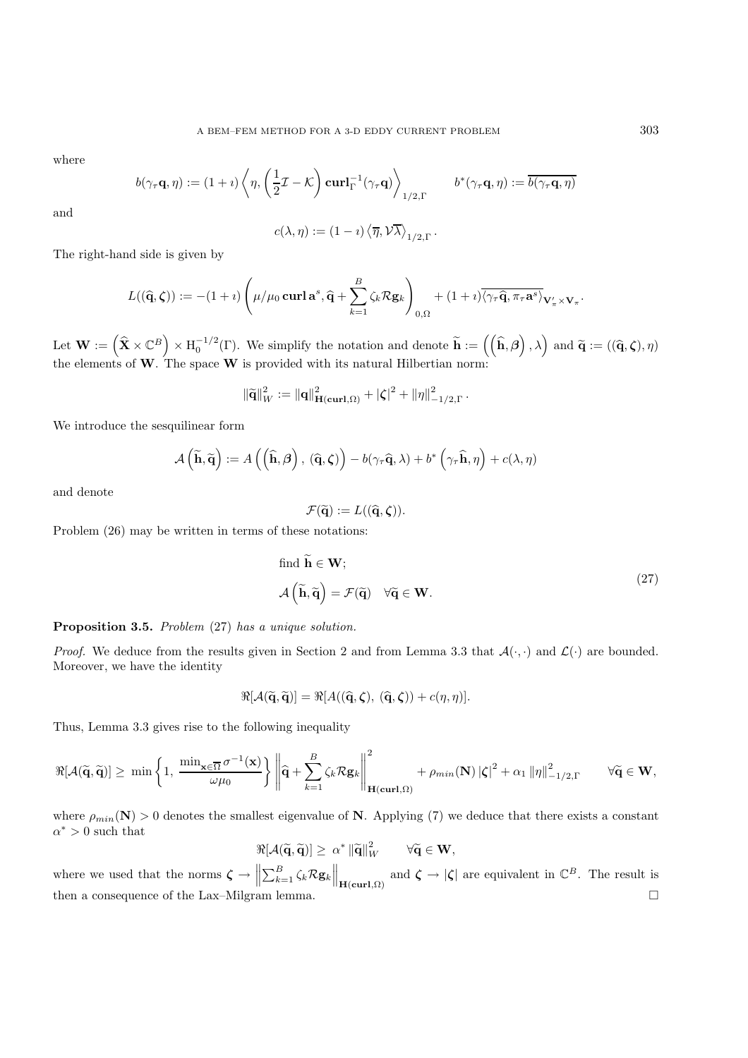where

$$
b(\gamma_{\tau}\mathbf{q},\eta) := (1 + i) \left\langle \eta, \left( \frac{1}{2} \mathcal{I} - \mathcal{K} \right) \mathbf{curl}_{\Gamma}^{-1}(\gamma_{\tau}\mathbf{q}) \right\rangle_{1/2,\Gamma} \qquad b^*(\gamma_{\tau}\mathbf{q},\eta) := \overline{b(\gamma_{\tau}\mathbf{q},\eta)}
$$

and

$$
c(\lambda, \eta) := (1 - i) \langle \overline{\eta}, \mathcal{V}\overline{\lambda} \rangle_{1/2, \Gamma}.
$$

The right-hand side is given by

$$
L((\widehat{\mathbf{q}},\boldsymbol{\zeta})) := -(1+i)\left(\mu/\mu_0 \operatorname{\mathbf{curl}} \mathbf{a}^s, \widehat{\mathbf{q}} + \sum_{k=1}^B \zeta_k \mathcal{R} \mathbf{g}_k\right)_{0,\Omega} + (1+i)\overline{\langle \gamma_\tau \widehat{\mathbf{q}}, \pi_\tau \mathbf{a}^s \rangle} \mathbf{v}'_\pi \times \mathbf{v}_\pi.
$$

Let  $\mathbf{W} := (\widehat{\mathbf{X}} \times \mathbb{C}^B) \times H_0^{-1/2}(\Gamma)$ . We simplify the notation and denote  $\widetilde{\mathbf{h}} := ((\widehat{\mathbf{h}}, \beta), \lambda)$  and  $\widetilde{\mathbf{q}} := ((\widehat{\mathbf{q}}, \zeta), \eta)$ <br>the elements of **W**. The space **W** is provided with its natural Hilberti

$$
\|\widetilde{\mathbf{q}}\|_{W}^{2} := \|\mathbf{q}\|_{\mathbf{H}(\mathbf{curl},\Omega)}^{2} + |\zeta|^{2} + \|\eta\|_{-1/2,\Gamma}^{2}.
$$

We introduce the sesquilinear form

$$
\mathcal{A}\left(\widetilde{\mathbf{h}},\widetilde{\mathbf{q}}\right):=A\left(\left(\widehat{\mathbf{h}},\boldsymbol{\beta}\right),\ (\widehat{\mathbf{q}},\boldsymbol{\zeta})\right)-b(\gamma_{\tau}\widehat{\mathbf{q}},\lambda)+b^{*}\left(\gamma_{\tau}\widehat{\mathbf{h}},\eta\right)+c(\lambda,\eta)
$$

and denote

$$
\mathcal{F}(\widetilde{\mathbf{q}}):=L((\widehat{\mathbf{q}},\boldsymbol{\zeta})).
$$

Problem (26) may be written in terms of these notations:

find 
$$
\mathbf{h} \in \mathbf{W};
$$
  
\n
$$
\mathcal{A}(\widetilde{\mathbf{h}}, \widetilde{\mathbf{q}}) = \mathcal{F}(\widetilde{\mathbf{q}}) \quad \forall \widetilde{\mathbf{q}} \in \mathbf{W}.
$$
\n(27)

**Proposition 3.5.** *Problem* (27) *has a unique solution.*

*Proof.* We deduce from the results given in Section 2 and from Lemma 3.3 that  $\mathcal{A}(\cdot, \cdot)$  and  $\mathcal{L}(\cdot)$  are bounded. Moreover, we have the identity

$$
\Re[\mathcal{A}(\widetilde{\mathbf{q}},\widetilde{\mathbf{q}})]=\Re[\mathcal{A}((\widehat{\mathbf{q}},\boldsymbol{\zeta}),(\widehat{\mathbf{q}},\boldsymbol{\zeta}))+c(\eta,\eta)].
$$

Thus, Lemma 3.3 gives rise to the following inequality

$$
\Re[\mathcal{A}(\widetilde{\mathbf{q}},\widetilde{\mathbf{q}})]\geq\ \min\left\{1,\ \frac{\min_{\mathbf{x}\in\overline{\Omega}}\sigma^{-1}(\mathbf{x})}{\omega\mu_0}\right\}\left\|\widehat{\mathbf{q}}+\sum_{k=1}^{B}\zeta_k\mathcal{R}\mathbf{g}_k\right\|_{\mathbf{H}(\mathbf{curl},\Omega)}^2+\rho_{min}(\mathbf{N})\left|\zeta\right|^2+\alpha_1\left\|\eta\right\|_{-1/2,\Gamma}^2\qquad\forall\widetilde{\mathbf{q}}\in\mathbf{W},
$$

where  $\rho_{min}(\mathbf{N}) > 0$  denotes the smallest eigenvalue of **N**. Applying (7) we deduce that there exists a constant  $\alpha^*>0$  such that

$$
\Re[\mathcal{A}(\widetilde{\mathbf{q}},\widetilde{\mathbf{q}})] \geq \alpha^* \|\widetilde{\mathbf{q}}\|_W^2 \qquad \forall \widetilde{\mathbf{q}} \in \mathbf{W},
$$

where we used that the norms  $\zeta \to \left\| \sum_{k=1}^B \zeta_k \mathcal{R} \mathbf{g}_k \right\|_{\mathbf{H}(\mathbf{curl},\Omega)}$  and  $\zeta \to |\zeta|$  are equivalent in  $\mathbb{C}^B$ . The result is then a consequence of the Lax–Milgram lemma.  $\Box$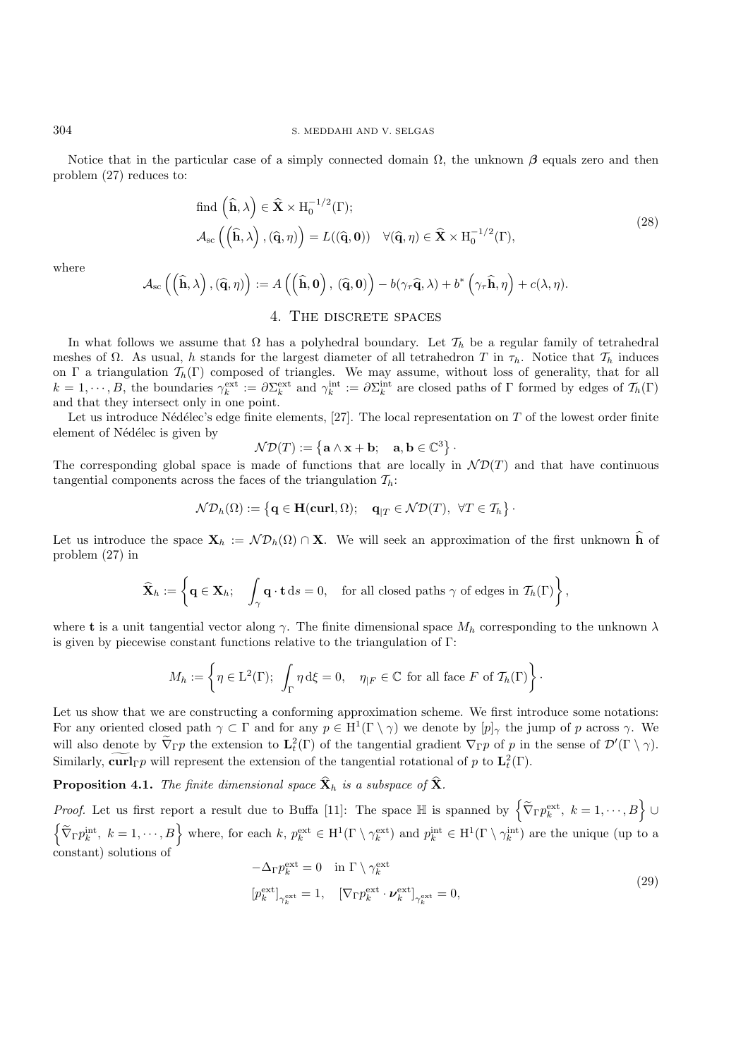Notice that in the particular case of a simply connected domain  $\Omega$ , the unknown  $\beta$  equals zero and then problem (27) reduces to:

find 
$$
(\hat{\mathbf{h}}, \lambda) \in \hat{\mathbf{X}} \times H_0^{-1/2}(\Gamma);
$$
  
\n
$$
\mathcal{A}_{sc}((\hat{\mathbf{h}}, \lambda), (\hat{\mathbf{q}}, \eta)) = L((\hat{\mathbf{q}}, \mathbf{0})) \quad \forall (\hat{\mathbf{q}}, \eta) \in \hat{\mathbf{X}} \times H_0^{-1/2}(\Gamma),
$$
\n(28)

where

$$
\mathcal{A}_{\mathrm{sc}}\left(\left(\widehat{\mathbf{h}}, \lambda\right), \left(\widehat{\mathbf{q}}, \eta\right)\right) := A\left(\left(\widehat{\mathbf{h}}, \mathbf{0}\right), \left(\widehat{\mathbf{q}}, \mathbf{0}\right)\right) - b(\gamma_{\tau}\widehat{\mathbf{q}}, \lambda) + b^* \left(\gamma_{\tau}\widehat{\mathbf{h}}, \eta\right) + c(\lambda, \eta).
$$

## 4. THE DISCRETE SPACES

In what follows we assume that  $\Omega$  has a polyhedral boundary. Let  $\mathcal{T}_h$  be a regular family of tetrahedral meshes of  $\Omega$ . As usual, h stands for the largest diameter of all tetrahedron T in  $\tau_h$ . Notice that  $\mathcal{T}_h$  induces on Γ a triangulation  $\mathcal{T}_h(\Gamma)$  composed of triangles. We may assume, without loss of generality, that for all  $k = 1, \dots, B$ , the boundaries  $\gamma_k^{\text{ext}} := \partial \Sigma_k^{\text{ext}}$  and  $\gamma_k^{\text{int}} := \partial \Sigma_k^{\text{int}}$  are closed paths of  $\Gamma$  formed by edges of  $\mathcal{T}_h(\Gamma)$ and that they intersect only in one point.

Let us introduce Nédélec's edge finite elements,  $[27]$ . The local representation on  $T$  of the lowest order finite element of Nédélec is given by

$$
\mathcal{N}\mathcal{D}(T) := \left\{ \mathbf{a} \wedge \mathbf{x} + \mathbf{b}; \quad \mathbf{a}, \mathbf{b} \in \mathbb{C}^3 \right\}.
$$

The corresponding global space is made of functions that are locally in  $\mathcal{N}D(T)$  and that have continuous tangential components across the faces of the triangulation  $\mathcal{T}_h$ :

$$
\mathcal{ND}_h(\Omega) := \left\{ \mathbf{q} \in \mathbf{H}(\mathbf{curl}, \Omega); \quad \mathbf{q}_{|T} \in \mathcal{ND}(T), \ \forall T \in \mathcal{T}_h \right\}.
$$

Let us introduce the space  $\mathbf{X}_h := \mathcal{N} \mathcal{D}_h(\Omega) \cap \mathbf{X}$ . We will seek an approximation of the first unknown  $\hat{\mathbf{h}}$  of problem (27) in

$$
\widehat{\mathbf{X}}_h := \left\{ \mathbf{q} \in \mathbf{X}_h; \quad \int_{\gamma} \mathbf{q} \cdot \mathbf{t} \, \mathrm{d}s = 0, \quad \text{for all closed paths } \gamma \text{ of edges in } \mathcal{T}_h(\Gamma) \right\},
$$

where **t** is a unit tangential vector along  $\gamma$ . The finite dimensional space  $M_h$  corresponding to the unknown  $\lambda$ is given by piecewise constant functions relative to the triangulation of Γ:

$$
M_h := \left\{ \eta \in \mathcal{L}^2(\Gamma); \int_{\Gamma} \eta \, d\xi = 0, \quad \eta_{|F} \in \mathbb{C} \text{ for all face } F \text{ of } \mathcal{T}_h(\Gamma) \right\}.
$$

Let us show that we are constructing a conforming approximation scheme. We first introduce some notations: For any oriented closed path  $\gamma \subset \Gamma$  and for any  $p \in H^1(\Gamma \setminus \gamma)$  we denote by  $[p]_{\gamma}$  the jump of p across  $\gamma$ . We will also denote by  $\widetilde{\nabla}_{\Gamma} p$  the extension to  $\mathbf{L}_t^2(\Gamma)$  of the tangential gradient  $\nabla_{\Gamma} p$  of p in the sense of  $\mathcal{D}'(\Gamma \setminus \gamma)$ . Similarly,  $\widetilde{\text{curl}}_{\Gamma} p$  will represent the extension of the tangential rotational of p to  $\mathbf{L}_t^2(\Gamma)$ .

**Proposition 4.1.** *The finite dimensional space*  $\hat{\mathbf{X}}_h$  *is a subspace of*  $\hat{\mathbf{X}}_h$ .

*Proof.* Let us first report a result due to Buffa [11]: The space  $\mathbb{H}$  is spanned by  $\left\{ \tilde{\nabla}_{\Gamma} p_{k}^{\text{ext}}, k=1,\cdots,B\right\} \cup$  $\left\{ \widetilde{\nabla}_{\Gamma} p_k^{\text{int}}, k = 1, \cdots, B \right\}$  where, for each k,  $p_k^{\text{ext}} \in H^1(\Gamma \setminus \gamma_k^{\text{ext}})$  and  $p_k^{\text{int}} \in H^1(\Gamma \setminus \gamma_k^{\text{int}})$  are the unique (up to a constant) solutions of

$$
-\Delta_{\Gamma} p_k^{\text{ext}} = 0 \quad \text{in } \Gamma \setminus \gamma_k^{\text{ext}}
$$

$$
\left[ p_k^{\text{ext}} \right]_{\gamma_k^{\text{ext}}} = 1, \quad \left[ \nabla_{\Gamma} p_k^{\text{ext}} \cdot \boldsymbol{\nu}_k^{\text{ext}} \right]_{\gamma_k^{\text{ext}}} = 0,
$$

$$
(29)
$$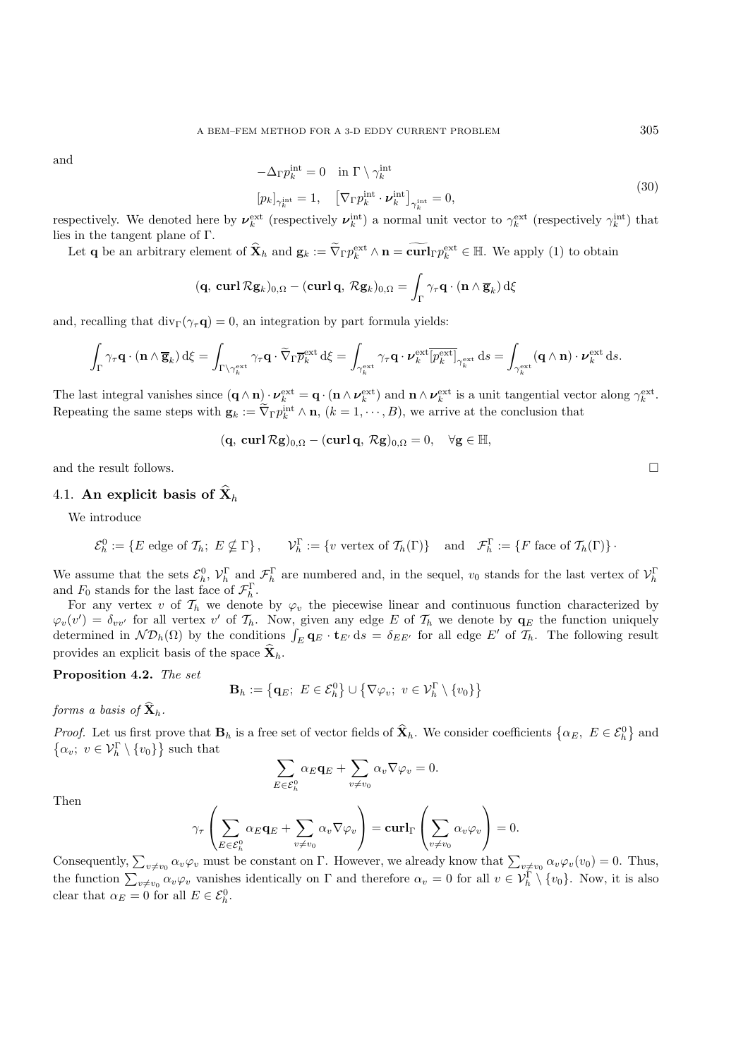and  
\n
$$
-\Delta_{\Gamma} p_k^{\text{int}} = 0 \quad \text{in } \Gamma \setminus \gamma_k^{\text{int}}
$$
\n
$$
[p_k]_{\gamma_k^{\text{int}}} = 1, \quad [\nabla_{\Gamma} p_k^{\text{int}} \cdot \boldsymbol{\nu}_k^{\text{int}}]_{\gamma_k^{\text{int}}} = 0,
$$
\n(30)

respectively. We denoted here by  $\nu_k^{\text{ext}}$  (respectively  $\nu_k^{\text{int}}$ ) a normal unit vector to  $\gamma_k^{\text{ext}}$  (respectively  $\gamma_k^{\text{int}}$ ) that lies in the tangent plane of Γ.

Let **q** be an arbitrary element of  $\hat{\mathbf{X}}_h$  and  $\mathbf{g}_k := \tilde{\nabla}_{\Gamma} p_k^{\text{ext}} \wedge \mathbf{n} = \tilde{\text{curl}}_{\Gamma} p_k^{\text{ext}} \in \mathbb{H}$ . We apply (1) to obtain

$$
(\mathbf{q}, \operatorname{curl} \mathcal{R} \mathbf{g}_k)_{0,\Omega} - (\operatorname{curl} \mathbf{q}, \mathcal{R} \mathbf{g}_k)_{0,\Omega} = \int_{\Gamma} \gamma_{\tau} \mathbf{q} \cdot (\mathbf{n} \wedge \overline{\mathbf{g}}_k) d\xi
$$

and, recalling that  $div_\Gamma(\gamma_\tau \mathbf{q}) = 0$ , an integration by part formula yields:

$$
\int_{\Gamma} \gamma_{\tau} \mathbf{q} \cdot (\mathbf{n} \wedge \overline{\mathbf{g}}_k) d\xi = \int_{\Gamma \setminus \gamma_k^{\text{ext}}} \gamma_{\tau} \mathbf{q} \cdot \widetilde{\nabla}_{\Gamma} \overline{p}_k^{\text{ext}} d\xi = \int_{\gamma_k^{\text{ext}}} \gamma_{\tau} \mathbf{q} \cdot \nu_k^{\text{ext}} \overline{[p_k^{\text{ext}}]}_{\gamma_k^{\text{ext}}} ds = \int_{\gamma_k^{\text{ext}}} (\mathbf{q} \wedge \mathbf{n}) \cdot \nu_k^{\text{ext}} ds.
$$

The last integral vanishes since  $(\mathbf{q} \wedge \mathbf{n}) \cdot \boldsymbol{\nu}_k^{\text{ext}} = \mathbf{q} \cdot (\mathbf{n} \wedge \boldsymbol{\nu}_k^{\text{ext}})$  and  $\mathbf{n} \wedge \boldsymbol{\nu}_k^{\text{ext}}$  is a unit tangential vector along  $\gamma_k^{\text{ext}}$ . Repeating the same steps with  $\mathbf{g}_k := \tilde{\nabla}_{\Gamma} p_k^{\text{int}} \wedge \mathbf{n}, (k = 1, \cdots, B)$ , we arrive at the conclusion that

 $(\mathbf{q}, \mathbf{curl}\,\mathcal{R}\mathbf{g})_{0,\Omega} - (\mathbf{curl}\,\mathbf{q}, \mathcal{R}\mathbf{g})_{0,\Omega} = 0, \quad \forall \mathbf{g} \in \mathbb{H},$ 

and the result follows.  $\Box$ 

## 4.1. An explicit basis of  $\widehat{\mathbf{X}}_h$

We introduce

$$
\mathcal{E}_h^0 := \{ E \text{ edge of } \mathcal{T}_h; E \nsubseteq \Gamma \}, \qquad \mathcal{V}_h^{\Gamma} := \{ v \text{ vertex of } \mathcal{T}_h(\Gamma) \} \quad \text{and} \quad \mathcal{F}_h^{\Gamma} := \{ F \text{ face of } \mathcal{T}_h(\Gamma) \}.
$$

We assume that the sets  $\mathcal{E}_h^0$ ,  $\mathcal{V}_h^{\Gamma}$  and  $\mathcal{F}_h^{\Gamma}$  are numbered and, in the sequel,  $v_0$  stands for the last vertex of  $\mathcal{V}_h^{\Gamma}$ and  $F_0$  stands for the last face of  $\mathcal{F}_h^{\Gamma}$ .

For any vertex v of  $\mathcal{T}_h$  we denote by  $\varphi_v$  the piecewise linear and continuous function characterized by  $\varphi_v(v') = \delta_{vv'}$  for all vertex v' of  $\mathcal{T}_h$ . Now, given any edge E of  $\mathcal{T}_h$  we denote by  $\mathbf{q}_E$  the function uniquely determined in  $\mathcal{ND}_h(\Omega)$  by the conditions  $\int_E \mathbf{q}_E \cdot \mathbf{t}_{E'} ds = \delta_{EE'}$  for all edge E' of  $\mathcal{T}_h$ . The following result provides an explicit basis of the space  $\widehat{\mathbf{X}}_h$ .

**Proposition 4.2.** *The set*

$$
\mathbf{B}_h := \left\{ \mathbf{q}_E; \ E \in \mathcal{E}_h^0 \right\} \cup \left\{ \nabla \varphi_v; \ v \in \mathcal{V}_h^{\Gamma} \setminus \{v_0\} \right\}
$$

*forms a basis of*  $\widehat{\mathbf{X}}_h$ .

*Proof.* Let us first prove that  $\mathbf{B}_h$  is a free set of vector fields of  $\hat{\mathbf{X}}_h$ . We consider coefficients  $\{\alpha_E, E \in \mathcal{E}_h^0\}$  and  $\left\{ \alpha_{v};\ v\in\mathcal{V}_{h}^{\Gamma}\setminus\{v_{0}\}\right\}$  such that

$$
\sum_{E \in \mathcal{E}_h^0} \alpha_E \mathbf{q}_E + \sum_{v \neq v_0} \alpha_v \nabla \varphi_v = 0.
$$

Then

$$
\gamma_{\tau}\left(\sum_{E\in\mathcal{E}_h^0}\alpha_E\mathbf{q}_E + \sum_{v\neq v_0}\alpha_v\nabla\varphi_v\right) = \mathbf{curl}_{\Gamma}\left(\sum_{v\neq v_0}\alpha_v\varphi_v\right) = 0.
$$

Consequently,  $\sum_{v\neq v_0} \alpha_v \varphi_v$  must be constant on  $\Gamma$ . However, we already know that  $\sum_{v\neq v_0} \alpha_v \varphi_v(v_0) = 0$ . Thus, the function  $\sum_{v\neq v_0} \alpha_v \varphi_v$  vanishes identically on  $\Gamma$  and therefore  $\alpha_v = 0$  for all  $v \in \mathcal{V}_h^{\Gamma} \setminus \{v_0\}$ . Now, it is also clear that  $\alpha_E = 0$  for all  $E \in \mathcal{E}_h^0$ .

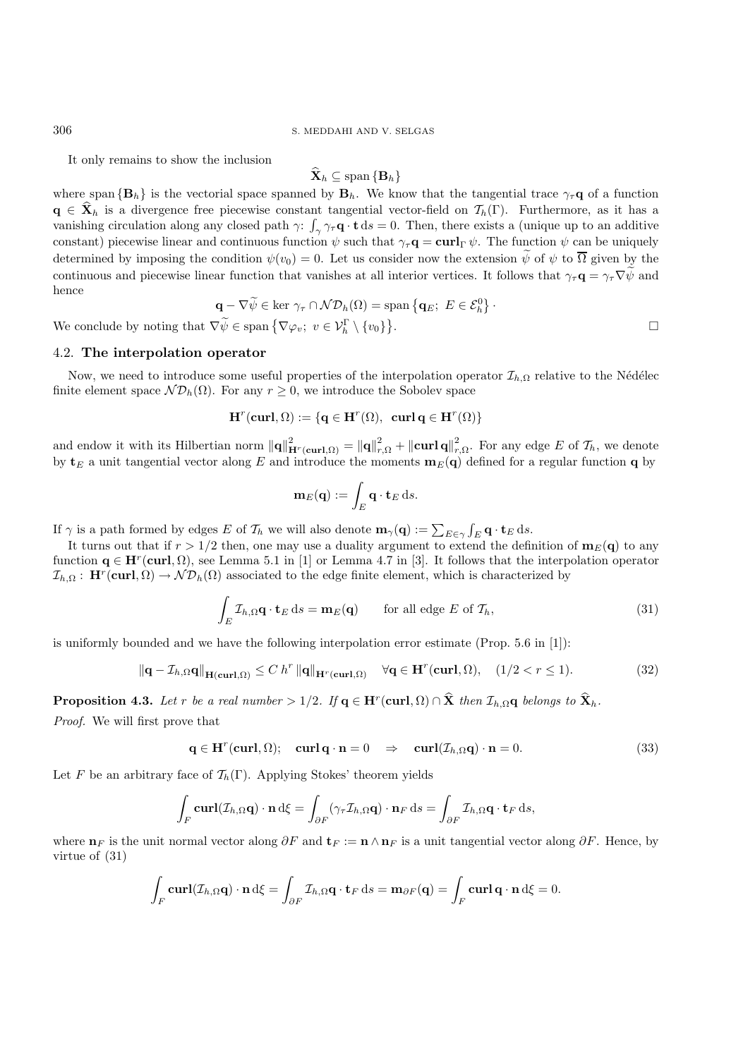It only remains to show the inclusion

$$
\mathbf{X}_h \subseteq \text{span}\{\mathbf{B}_h\}
$$

where span  ${\bf B}_h$  is the vectorial space spanned by  ${\bf B}_h$ . We know that the tangential trace  $\gamma_\tau{\bf q}$  of a function **q**  $\in \mathbf{X}_h$  is a divergence free piecewise constant tangential vector-field on  $\mathcal{T}_h(\Gamma)$ . Furthermore, as it has a vanishing circulation along any closed path  $\gamma$ :  $\int_{\gamma} \gamma_{\tau} \mathbf{q} \cdot \mathbf{t} ds = 0$ . Then, there exists a (unique up to an additive constant) piecewise linear and continuous function  $\psi$  such that  $\gamma_{\tau} \mathbf{q} = \mathbf{curl}_{\Gamma} \psi$ . The function  $\psi$  can be uniquely determined by imposing the condition  $\psi(v_0) = 0$ . Let us consider now the extension  $\psi$  of  $\psi$  to  $\overline{\Omega}$  given by the continuous and piecewise linear function that vanishes at all interior vertices. It follows that  $\gamma_\tau \mathbf{q} = \gamma_\tau \nabla \tilde{\psi}$  and hence

$$
\mathbf{q} - \nabla \widetilde{\psi} \in \text{ker } \gamma_{\tau} \cap \mathcal{ND}_h(\Omega) = \text{span } \{ \mathbf{q}_E; \ E \in \mathcal{E}_h^0 \}.
$$
  

$$
\nabla \widetilde{\psi} \in \text{span } \{ \nabla \varphi_v; \ v \in \mathcal{V}_h^{\Gamma} \setminus \{v_0\} \}.
$$

We conclude by noting that  $\nabla \widetilde{\psi} \in \text{span}\left\{\nabla \varphi_v; v \in \mathcal{V}_h^{\Gamma} \setminus \{v_0\}\right\}$ 

## 4.2. **The interpolation operator**

Now, we need to introduce some useful properties of the interpolation operator  $\mathcal{I}_{h,\Omega}$  relative to the Nédélec finite element space  $\mathcal{ND}_h(\Omega)$ . For any  $r \geq 0$ , we introduce the Sobolev space

$$
\mathbf{H}^r(\mathbf{curl},\Omega):=\{\mathbf{q}\in\mathbf{H}^r(\Omega),\;\,\mathbf{curl}\,\mathbf{q}\in\mathbf{H}^r(\Omega)\}
$$

and endow it with its Hilbertian norm  $\|\mathbf{q}\|_{\mathbf{H}^r(\mathbf{curl},\Omega)}^2 = \|\mathbf{q}\|_{r,\Omega}^2 + \|\mathbf{curl}\,\mathbf{q}\|_{r,\Omega}^2$ . For any edge E of  $\mathcal{T}_h$ , we denote by  $\mathbf{t}_E$  a unit tangential vector along E and introduce the moments  $\mathbf{m}_E(\mathbf{q})$  defined for a regular function **q** by

$$
\mathbf{m}_E(\mathbf{q}) := \int_E \mathbf{q} \cdot \mathbf{t}_E \, \mathrm{d} s.
$$

If  $\gamma$  is a path formed by edges E of  $\mathcal{T}_h$  we will also denote  $\mathbf{m}_{\gamma}(\mathbf{q}) := \sum_{E \in \gamma} \int_E \mathbf{q} \cdot \mathbf{t}_E \, ds$ .

It turns out that if  $r > 1/2$  then, one may use a duality argument to extend the definition of  $\mathbf{m}_E(\mathbf{q})$  to any function  $\mathbf{q} \in \mathbf{H}^r(\textbf{curl}, \Omega)$ , see Lemma 5.1 in [1] or Lemma 4.7 in [3]. It follows that the interpolation operator  $\mathcal{I}_{h,\Omega}$ : **H**<sup>r</sup>(**curl**,  $\Omega$ ) →  $\mathcal{ND}_h(\Omega)$  associated to the edge finite element, which is characterized by

$$
\int_{E} \mathcal{I}_{h,\Omega} \mathbf{q} \cdot \mathbf{t}_{E} \, \mathrm{d}s = \mathbf{m}_{E}(\mathbf{q}) \qquad \text{for all edge } E \text{ of } \mathcal{T}_{h},\tag{31}
$$

is uniformly bounded and we have the following interpolation error estimate (Prop. 5.6 in [1]):

$$
\|\mathbf{q} - \mathcal{I}_{h,\Omega}\mathbf{q}\|_{\mathbf{H}(\mathbf{curl},\Omega)} \le C h^r \|\mathbf{q}\|_{\mathbf{H}^r(\mathbf{curl},\Omega)} \quad \forall \mathbf{q} \in \mathbf{H}^r(\mathbf{curl},\Omega), \quad (1/2 < r \le 1). \tag{32}
$$

**Proposition 4.3.** Let r be a real number > 1/2. If  $q \in H^r(\text{curl}, \Omega) \cap \hat{X}$  then  $\mathcal{I}_{h,\Omega}q$  belongs to  $\hat{X}_h$ . *Proof.* We will first prove that

$$
\mathbf{q} \in \mathbf{H}^r(\mathbf{curl}, \Omega); \quad \mathbf{curl} \mathbf{q} \cdot \mathbf{n} = 0 \quad \Rightarrow \quad \mathbf{curl}(\mathcal{I}_{h,\Omega} \mathbf{q}) \cdot \mathbf{n} = 0. \tag{33}
$$

Let F be an arbitrary face of  $\mathcal{T}_h(\Gamma)$ . Applying Stokes' theorem yields

$$
\int_F \mathbf{curl}(\mathcal{I}_{h,\Omega}\mathbf{q}) \cdot \mathbf{n} d\xi = \int_{\partial F} (\gamma_\tau \mathcal{I}_{h,\Omega}\mathbf{q}) \cdot \mathbf{n}_F ds = \int_{\partial F} \mathcal{I}_{h,\Omega}\mathbf{q} \cdot \mathbf{t}_F ds,
$$

where  $\mathbf{n}_F$  is the unit normal vector along  $\partial F$  and  $\mathbf{t}_F := \mathbf{n} \wedge \mathbf{n}_F$  is a unit tangential vector along  $\partial F$ . Hence, by virtue of (31)

$$
\int_F \mathbf{curl}(\mathcal{I}_{h,\Omega}\mathbf{q}) \cdot \mathbf{n} d\xi = \int_{\partial F} \mathcal{I}_{h,\Omega}\mathbf{q} \cdot \mathbf{t}_F ds = \mathbf{m}_{\partial F}(\mathbf{q}) = \int_F \mathbf{curl} \mathbf{q} \cdot \mathbf{n} d\xi = 0.
$$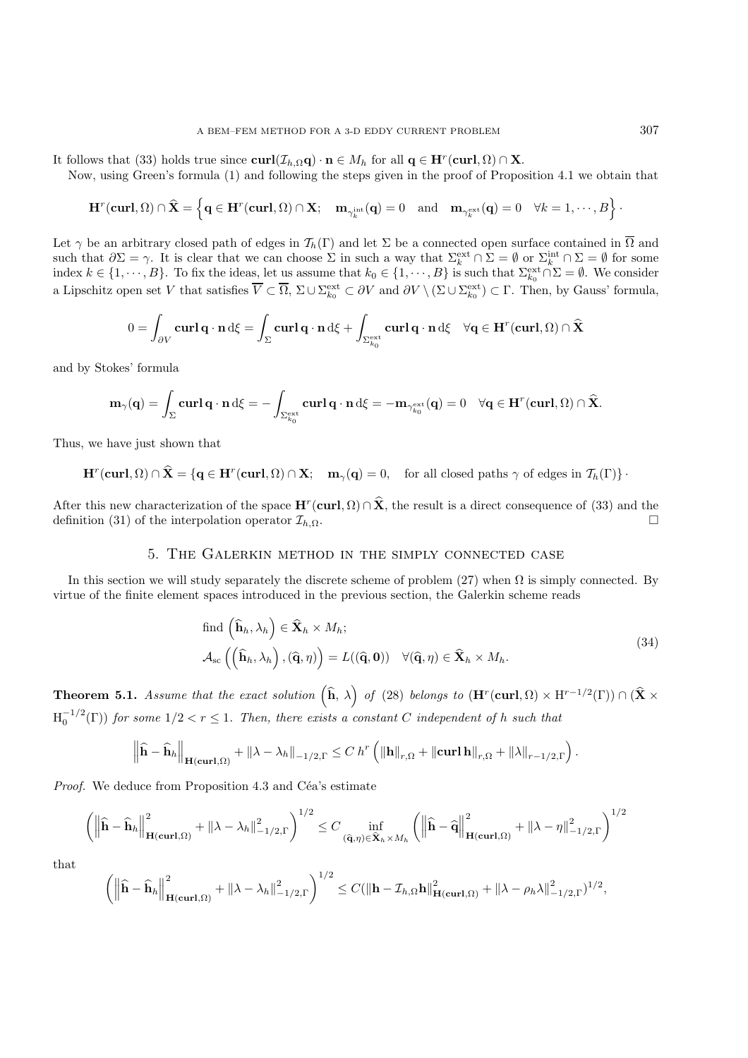It follows that (33) holds true since  $\mathbf{curl}(\mathcal{I}_{h,\Omega}\mathbf{q}) \cdot \mathbf{n} \in M_h$  for all  $\mathbf{q} \in \mathbf{H}^r(\mathbf{curl}, \Omega) \cap \mathbf{X}$ .

Now, using Green's formula (1) and following the steps given in the proof of Proposition 4.1 we obtain that

$$
\mathbf{H}^r(\mathbf{curl},\Omega)\cap\widehat{\mathbf{X}}=\left\{\mathbf{q}\in\mathbf{H}^r(\mathbf{curl},\Omega)\cap\mathbf{X};\quad \mathbf{m}_{\gamma_k^{\mathrm{int}}}(\mathbf{q})=0\quad\text{and}\quad\mathbf{m}_{\gamma_k^{\mathrm{ext}}}(\mathbf{q})=0\quad\forall k=1,\cdots,B\right\}.
$$

Let  $\gamma$  be an arbitrary closed path of edges in  $\mathcal{T}_h(\Gamma)$  and let  $\Sigma$  be a connected open surface contained in  $\overline{\Omega}$  and such that  $\partial \Sigma = \gamma$ . It is clear that we can choose  $\Sigma$  in such a way that  $\Sigma_k^{\text{ext}} \cap \Sigma = \emptyset$  or  $\Sigma_k^{\text{int}} \cap \Sigma = \emptyset$  for some index  $k \in \{1, \dots, B\}$ . To fix the ideas, let us assume that  $k_0 \in \{1, \dots, B\}$  is such that  $\sum_{k_0}^{\text{ext}} \cap \Sigma = \emptyset$ . We consider a Lipschitz open set V that satisfies  $\overline{V} \subset \overline{\Omega}$ ,  $\Sigma \cup \Sigma_{k_0}^{\text{ext}} \subset \partial V$  and  $\partial V \setminus (\Sigma \cup \Sigma_{k_0}^{\text{ext}}) \subset \Gamma$ . Then, by Gauss' formula,

$$
0 = \int_{\partial V} \mathbf{curl} \, \mathbf{q} \cdot \mathbf{n} \, d\xi = \int_{\Sigma} \mathbf{curl} \, \mathbf{q} \cdot \mathbf{n} \, d\xi + \int_{\Sigma_{k_0}^{\text{ext}}} \mathbf{curl} \, \mathbf{q} \cdot \mathbf{n} \, d\xi \quad \forall \mathbf{q} \in \mathbf{H}^r(\mathbf{curl}, \Omega) \cap \widehat{\mathbf{X}}
$$

and by Stokes' formula

$$
\mathbf{m}_{\gamma}(\mathbf{q}) = \int_{\Sigma} \mathbf{curl} \, \mathbf{q} \cdot \mathbf{n} \, d\xi = -\int_{\Sigma_{k_0}^{\rm ext}} \mathbf{curl} \, \mathbf{q} \cdot \mathbf{n} \, d\xi = -\mathbf{m}_{\gamma_{k_0}^{\rm ext}}(\mathbf{q}) = 0 \quad \forall \mathbf{q} \in \mathbf{H}^r(\mathbf{curl}, \Omega) \cap \widehat{\mathbf{X}}.
$$

Thus, we have just shown that

 $\mathbf{H}^r(\mathbf{curl}, \Omega) \cap \hat{\mathbf{X}} = {\mathbf{q} \in \mathbf{H}^r(\mathbf{curl}, \Omega) \cap \mathbf{X}}; \quad \mathbf{m}_\gamma(\mathbf{q}) = 0, \quad \text{for all closed paths } \gamma \text{ of edges in } \mathcal{T}_h(\Gamma) \}$ .

After this new characterization of the space  $\mathbf{H}^r(\text{curl}, \Omega) \cap \hat{\mathbf{X}}$ , the result is a direct consequence of (33) and the definition (31) of the interpolation operator  $\mathcal{T}_{k,\Omega}$ . definition (31) of the interpolation operator  $\mathcal{I}_{h,\Omega}$ .

#### 5. The Galerkin method in the simply connected case

In this section we will study separately the discrete scheme of problem  $(27)$  when  $\Omega$  is simply connected. By virtue of the finite element spaces introduced in the previous section, the Galerkin scheme reads

find 
$$
(\hat{\mathbf{h}}_h, \lambda_h) \in \hat{\mathbf{X}}_h \times M_h;
$$
  
\n
$$
\mathcal{A}_{\rm sc} ((\hat{\mathbf{h}}_h, \lambda_h), (\hat{\mathbf{q}}, \eta)) = L((\hat{\mathbf{q}}, \mathbf{0})) \quad \forall (\hat{\mathbf{q}}, \eta) \in \hat{\mathbf{X}}_h \times M_h.
$$
\n(34)

**Theorem 5.1.** *Assume that the exact solution*  $(\hat{\mathbf{h}}, \lambda)$  *of* (28) *belongs to* ( $\mathbf{H}^r(\textbf{curl}, \Omega) \times \mathbf{H}^{r-1/2}(\Gamma)$ )  $\cap$  ( $\hat{\mathbf{X}} \times$  $H_0^{-1/2}(\Gamma)$  for some  $1/2 < r \leq 1$ . Then, there exists a constant C independent of h such that

$$
\left\|\widehat{\mathbf{h}}-\widehat{\mathbf{h}}_h\right\|_{\mathbf{H}(\mathbf{curl},\Omega)}+\|\lambda-\lambda_h\|_{-1/2,\Gamma}\leq C\,h^r\left(\|\mathbf{h}\|_{r,\Omega}+\|\mathbf{curl}\,\mathbf{h}\|_{r,\Omega}+\|\lambda\|_{r-1/2,\Gamma}\right).
$$

*Proof.* We deduce from Proposition 4.3 and Céa's estimate

$$
\left(\left\|\widehat{\mathbf{h}}-\widehat{\mathbf{h}}_h\right\|_{\mathbf{H}(\mathbf{curl},\Omega)}^2+\left\|\lambda-\lambda_h\right\|_{-1/2,\Gamma}^2\right)^{1/2}\leq C\inf_{(\widehat{\mathbf{q}},\eta)\in\widehat{\mathbf{X}}_h\times M_h}\left(\left\|\widehat{\mathbf{h}}-\widehat{\mathbf{q}}\right\|_{\mathbf{H}(\mathbf{curl},\Omega)}^2+\left\|\lambda-\eta\right\|_{-1/2,\Gamma}^2\right)^{1/2}
$$

that

$$
\left(\left\|\widehat{\mathbf{h}}-\widehat{\mathbf{h}}_h\right\|_{\mathbf{H}(\mathbf{curl},\Omega)}^2+\left\|\lambda-\lambda_h\right\|_{-1/2,\Gamma}^2\right)^{1/2}\leq C(\left\|\mathbf{h}-\mathcal{I}_{h,\Omega}\mathbf{h}\right\|_{\mathbf{H}(\mathbf{curl},\Omega)}^2+\left\|\lambda-\rho_h\lambda\right\|_{-1/2,\Gamma}^2)^{1/2},
$$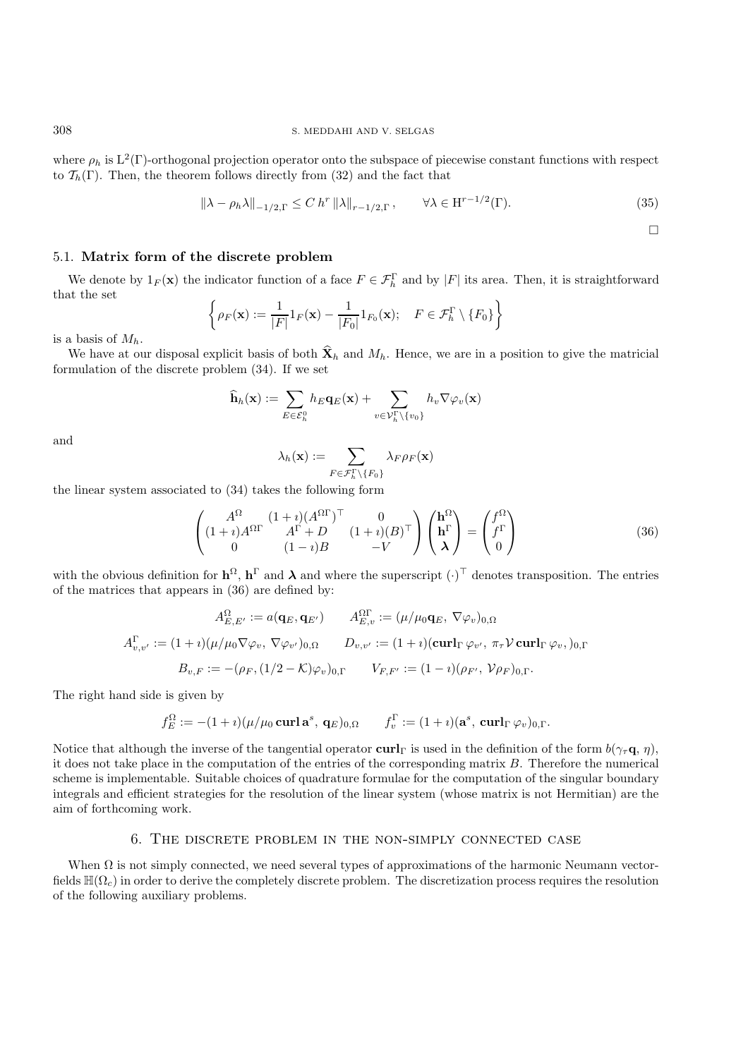where  $\rho_h$  is  $L^2(\Gamma)$ -orthogonal projection operator onto the subspace of piecewise constant functions with respect to  $\mathcal{T}_h(\Gamma)$ . Then, the theorem follows directly from (32) and the fact that

$$
\|\lambda - \rho_h \lambda\|_{-1/2,\Gamma} \le C \ h^r \|\lambda\|_{r-1/2,\Gamma}, \qquad \forall \lambda \in \mathcal{H}^{r-1/2}(\Gamma). \tag{35}
$$

 $\Box$ 

## 5.1. **Matrix form of the discrete problem**

We denote by  $1_F(\mathbf{x})$  the indicator function of a face  $F \in \mathcal{F}_h^{\Gamma}$  and by |F| its area. Then, it is straightforward that the set

$$
\left\{\rho_F(\mathbf{x}) := \frac{1}{|F|} 1_F(\mathbf{x}) - \frac{1}{|F_0|} 1_{F_0}(\mathbf{x}); \quad F \in \mathcal{F}_h^{\Gamma} \setminus \{F_0\} \right\}
$$

is a basis of  $M_h$ .

We have at our disposal explicit basis of both  $\hat{\mathbf{X}}_h$  and  $M_h$ . Hence, we are in a position to give the matricial formulation of the discrete problem (34). If we set

$$
\widehat{\mathbf{h}}_h(\mathbf{x}) := \sum_{E \in \mathcal{E}_h^0} h_E \mathbf{q}_E(\mathbf{x}) + \sum_{v \in \mathcal{V}_h^{\Gamma} \setminus \{v_0\}} h_v \nabla \varphi_v(\mathbf{x})
$$

and

$$
\lambda_h(\mathbf{x}) := \sum_{F \in \mathcal{F}_h^{\Gamma} \setminus \{F_0\}} \lambda_F \rho_F(\mathbf{x})
$$

the linear system associated to (34) takes the following form

$$
\begin{pmatrix}\nA^{\Omega} & (1+i)(A^{\Omega}\Gamma)^{\top} & 0 \\
(1+i)A^{\Omega}\Gamma & A^{\Gamma} + D & (1+i)(B)^{\top} \\
0 & (1-i)B & -V\n\end{pmatrix}\n\begin{pmatrix}\n\mathbf{h}^{\Omega} \\
\mathbf{h}^{\Gamma} \\
\lambda\n\end{pmatrix} =\n\begin{pmatrix}\nf^{\Omega} \\
f^{\Gamma} \\
0\n\end{pmatrix}
$$
\n(36)

with the obvious definition for  $\mathbf{h}^{\Omega}$ ,  $\mathbf{h}^{\Gamma}$  and  $\lambda$  and where the superscript  $(\cdot)^{\top}$  denotes transposition. The entries of the matrices that appears in (36) are defined by:

$$
A_{E,v}^{\Omega} := a(\mathbf{q}_E, \mathbf{q}_{E'}) \qquad A_{E,v}^{\Omega\Gamma} := (\mu/\mu_0 \mathbf{q}_E, \nabla \varphi_v)_{0,\Omega}
$$

$$
A_{v,v'}^{\Gamma} := (1 + i)(\mu/\mu_0 \nabla \varphi_v, \nabla \varphi_{v'})_{0,\Omega} \qquad D_{v,v'} := (1 + i)(\operatorname{curl}_{\Gamma} \varphi_{v'}, \pi_{\tau} \mathcal{V} \operatorname{curl}_{\Gamma} \varphi_v, )_{0,\Gamma}
$$

$$
B_{v,F} := -(\rho_F, (1/2 - K)\varphi_v)_{0,\Gamma} \qquad V_{F,F'} := (1 - i)(\rho_{F'}, \mathcal{V}\rho_F)_{0,\Gamma}.
$$

The right hand side is given by

$$
f_E^\Omega:=- (1+\imath)(\mu/\mu_0\operatorname{\mathbf{curl}\,} \mathbf{a}^s, \, \mathbf{q}_E)_{0,\Omega}\qquad f_v^\Gamma:= (1+\imath)(\mathbf{a}^s,\, \operatorname{\mathbf{curl}}_{\Gamma}\varphi_v)_{0,\Gamma}.
$$

Notice that although the inverse of the tangential operator **curl**<sub>Γ</sub> is used in the definition of the form  $b(\gamma_\tau \mathbf{q}, \eta)$ , it does not take place in the computation of the entries of the corresponding matrix  $B$ . Therefore the numerical scheme is implementable. Suitable choices of quadrature formulae for the computation of the singular boundary integrals and efficient strategies for the resolution of the linear system (whose matrix is not Hermitian) are the aim of forthcoming work.

#### 6. The discrete problem in the non-simply connected case

When  $\Omega$  is not simply connected, we need several types of approximations of the harmonic Neumann vectorfields  $\mathbb{H}(\Omega_c)$  in order to derive the completely discrete problem. The discretization process requires the resolution of the following auxiliary problems.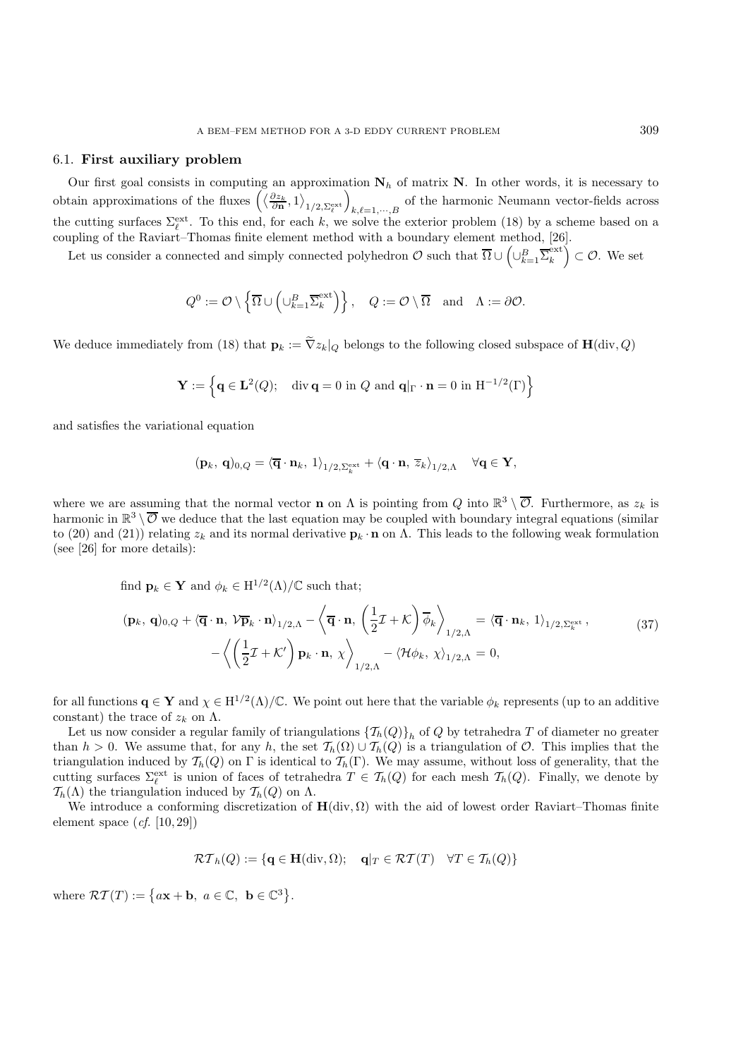## 6.1. **First auxiliary problem**

Our first goal consists in computing an approximation  $N_h$  of matrix **N**. In other words, it is necessary to obtain approximations of the fluxes  $\left(\left\langle \frac{\partial z_k}{\partial \mathbf{n}}, 1 \right\rangle_{1/2, \Sigma_{\ell}^{\text{ext}}}\right)$ of the harmonic Neumann vector-fields across  $k, \ell=1,\dots,B$ the cutting surfaces  $\Sigma_{\ell}^{\text{ext}}$ . To this end, for each k, we solve the exterior problem (18) by a scheme based on a coupling of the Raviart–Thomas finite element method with a boundary element method, [26].

Let us consider a connected and simply connected polyhedron  $\mathcal{O}$  such that  $\overline{\Omega} \cup \left( \cup_{k=1}^B \overline{\Sigma}_k^{\text{ext}} \right) \subset \mathcal{O}$ . We set

$$
Q^0 := \mathcal{O} \setminus \left\{ \overline{\Omega} \cup \left( \cup_{k=1}^B \overline{\Sigma}_k^{\text{ext}} \right) \right\}, \quad Q := \mathcal{O} \setminus \overline{\Omega} \quad \text{and} \quad \Lambda := \partial \mathcal{O}.
$$

We deduce immediately from (18) that  $\mathbf{p}_k := \tilde{\nabla} z_k|_Q$  belongs to the following closed subspace of  $\mathbf{H}(\text{div}, Q)$ 

$$
\mathbf{Y} := \left\{ \mathbf{q} \in \mathbf{L}^2(Q); \quad \text{div } \mathbf{q} = 0 \text{ in } Q \text{ and } \mathbf{q}|_{\Gamma} \cdot \mathbf{n} = 0 \text{ in } H^{-1/2}(\Gamma) \right\}
$$

and satisfies the variational equation

$$
(\mathbf{p}_k,\,\mathbf{q})_{0,Q}=\langle \overline{\mathbf{q}}\cdot\mathbf{n}_k,\, 1\rangle_{1/2,\Sigma_k^{\rm ext}}+\langle\mathbf{q}\cdot\mathbf{n},\, \overline{z}_k\rangle_{1/2,\Lambda}\quad \forall \mathbf{q}\in\mathbf{Y},
$$

where we are assuming that the normal vector **n** on  $\Lambda$  is pointing from Q into  $\mathbb{R}^3 \setminus \overline{\mathcal{O}}$ . Furthermore, as  $z_k$  is harmonic in  $\mathbb{R}^3 \setminus \overline{\mathcal{O}}$  we deduce that the last equation may be coupled with boundary integral equations (similar to (20) and (21)) relating  $z_k$  and its normal derivative  $\mathbf{p}_k \cdot \mathbf{n}$  on  $\Lambda$ . This leads to the following weak formulation (see [26] for more details):

find  $\mathbf{p}_k \in \mathbf{Y}$  and  $\phi_k \in \mathrm{H}^{1/2}(\Lambda)/\mathbb{C}$  such that;

$$
(\mathbf{p}_k, \mathbf{q})_{0,Q} + \langle \overline{\mathbf{q}} \cdot \mathbf{n}, \mathcal{V} \overline{\mathbf{p}}_k \cdot \mathbf{n} \rangle_{1/2,\Lambda} - \langle \overline{\mathbf{q}} \cdot \mathbf{n}, \left( \frac{1}{2} \mathcal{I} + \mathcal{K} \right) \overline{\phi}_k \rangle_{1/2,\Lambda} = \langle \overline{\mathbf{q}} \cdot \mathbf{n}_k, 1 \rangle_{1/2, \Sigma_k^{\text{ext}}},
$$
\n
$$
- \langle \left( \frac{1}{2} \mathcal{I} + \mathcal{K}' \right) \mathbf{p}_k \cdot \mathbf{n}, \chi \rangle_{1/2,\Lambda} - \langle \mathcal{H} \phi_k, \chi \rangle_{1/2,\Lambda} = 0,
$$
\n(37)

for all functions  $\mathbf{q} \in \mathbf{Y}$  and  $\chi \in H^{1/2}(\Lambda)/\mathbb{C}$ . We point out here that the variable  $\phi_k$  represents (up to an additive constant) the trace of  $z_k$  on  $\Lambda$ .

Let us now consider a regular family of triangulations  $\{\mathcal{T}_h(Q)\}_h$  of Q by tetrahedra T of diameter no greater than  $h > 0$ . We assume that, for any h, the set  $\mathcal{T}_h(\Omega) \cup \mathcal{T}_h(Q)$  is a triangulation of  $\mathcal{O}$ . This implies that the triangulation induced by  $\mathcal{T}_h(Q)$  on  $\Gamma$  is identical to  $\mathcal{T}_h(\Gamma)$ . We may assume, without loss of generality, that the cutting surfaces  $\Sigma_{\ell}^{\text{ext}}$  is union of faces of tetrahedra  $T \in \mathcal{T}_h(Q)$  for each mesh  $\mathcal{T}_h(Q)$ . Finally, we denote by  $\mathcal{T}_h(\Lambda)$  the triangulation induced by  $\mathcal{T}_h(Q)$  on  $\Lambda$ .

We introduce a conforming discretization of  $H(\text{div}, \Omega)$  with the aid of lowest order Raviart–Thomas finite element space (*cf.* [10, 29])

$$
\mathcal{RT}_h(Q) := \{ \mathbf{q} \in \mathbf{H}(\text{div}, \Omega); \quad \mathbf{q}|_T \in \mathcal{RT}(T) \quad \forall T \in \mathcal{T}_h(Q) \}
$$

where  $\mathcal{RT}(T) := \{ a\mathbf{x} + \mathbf{b}, \ a \in \mathbb{C}, \ \mathbf{b} \in \mathbb{C}^3 \}.$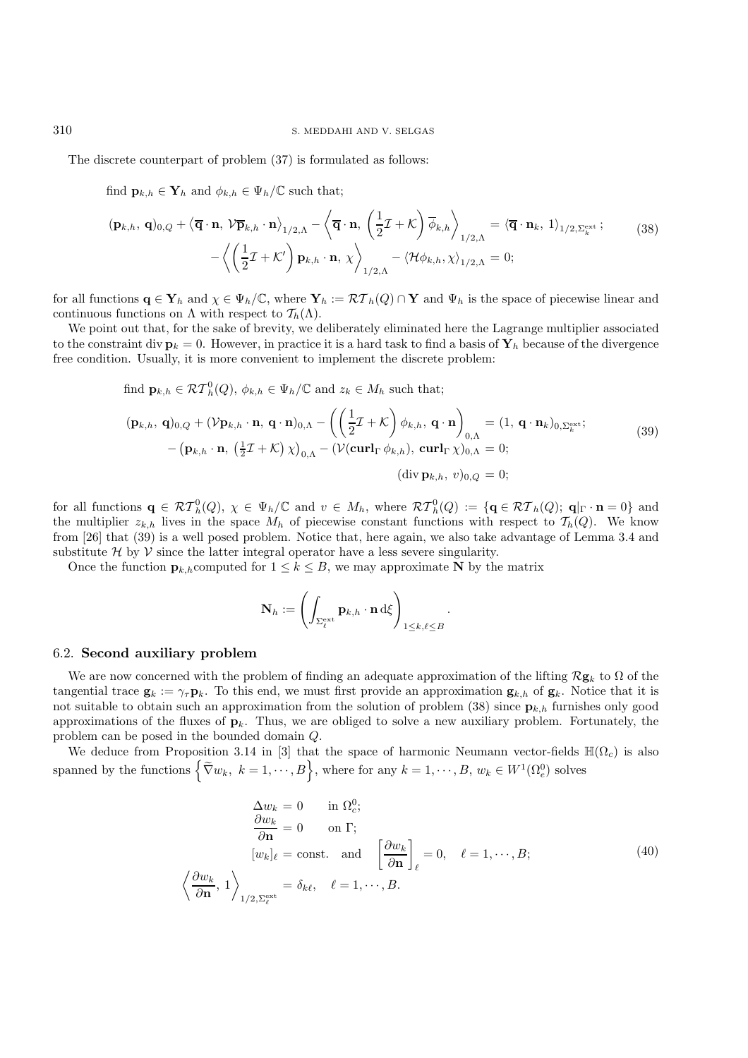The discrete counterpart of problem (37) is formulated as follows:

find 
$$
\mathbf{p}_{k,h} \in \mathbf{Y}_h
$$
 and  $\phi_{k,h} \in \Psi_h/\mathbb{C}$  such that;

$$
(\mathbf{p}_{k,h}, \mathbf{q})_{0,Q} + \langle \overline{\mathbf{q}} \cdot \mathbf{n}, \mathcal{V} \overline{\mathbf{p}}_{k,h} \cdot \mathbf{n} \rangle_{1/2,\Lambda} - \langle \overline{\mathbf{q}} \cdot \mathbf{n}, \left( \frac{1}{2} \mathcal{I} + \mathcal{K} \right) \overline{\phi}_{k,h} \rangle_{1/2,\Lambda} = \langle \overline{\mathbf{q}} \cdot \mathbf{n}_k, 1 \rangle_{1/2,\Sigma_k^{\text{ext}}};
$$
\n
$$
- \langle \left( \frac{1}{2} \mathcal{I} + \mathcal{K}' \right) \mathbf{p}_{k,h} \cdot \mathbf{n}, \chi \rangle_{1/2,\Lambda} - \langle \mathcal{H} \phi_{k,h}, \chi \rangle_{1/2,\Lambda} = 0;
$$
\n(38)

for all functions  $\mathbf{q} \in \mathbf{Y}_h$  and  $\chi \in \Psi_h/\mathbb{C}$ , where  $\mathbf{Y}_h := \mathcal{RT}_h(Q) \cap \mathbf{Y}$  and  $\Psi_h$  is the space of piecewise linear and continuous functions on  $\Lambda$  with respect to  $\mathcal{T}_h(\Lambda)$ .

We point out that, for the sake of brevity, we deliberately eliminated here the Lagrange multiplier associated to the constraint div  $\mathbf{p}_k = 0$ . However, in practice it is a hard task to find a basis of  $\mathbf{Y}_h$  because of the divergence free condition. Usually, it is more convenient to implement the discrete problem:

find 
$$
\mathbf{p}_{k,h} \in \mathcal{RT}_h^0(Q)
$$
,  $\phi_{k,h} \in \Psi_h/\mathbb{C}$  and  $z_k \in M_h$  such that;  
\n
$$
(\mathbf{p}_{k,h}, \mathbf{q})_{0,Q} + (\mathcal{V}\mathbf{p}_{k,h} \cdot \mathbf{n}, \mathbf{q} \cdot \mathbf{n})_{0,\Lambda} - \left( \left( \frac{1}{2} \mathcal{I} + \mathcal{K} \right) \phi_{k,h}, \mathbf{q} \cdot \mathbf{n} \right)_{0,\Lambda} = (1, \mathbf{q} \cdot \mathbf{n}_k)_{0,\Sigma_k^{\text{ext}}};
$$
\n
$$
-(\mathbf{p}_{k,h} \cdot \mathbf{n}, \left( \frac{1}{2} \mathcal{I} + \mathcal{K} \right) \chi)_{0,\Lambda} - (\mathcal{V}(\mathbf{curl}_{\Gamma} \phi_{k,h}), \mathbf{curl}_{\Gamma} \chi)_{0,\Lambda} = 0;
$$
\n
$$
(\text{div } \mathbf{p}_{k,h}, v)_{0,Q} = 0;
$$
\n(10.10)

for all functions  $\mathbf{q} \in \mathcal{RT}_h^0(Q)$ ,  $\chi \in \Psi_h/\mathbb{C}$  and  $v \in M_h$ , where  $\mathcal{RT}_h^0(Q) := \{ \mathbf{q} \in \mathcal{RT}_h(Q); \mathbf{q} | \Gamma \cdot \mathbf{n} = 0 \}$  and the multiplier  $z_{k,h}$  lives in the space  $M_h$  of piecewise constant functions with respect to  $\mathcal{T}_h(Q)$ . We know from [26] that (39) is a well posed problem. Notice that, here again, we also take advantage of Lemma 3.4 and substitute  $H$  by  $V$  since the latter integral operator have a less severe singularity.

Once the function  $\mathbf{p}_{k,h}$ computed for  $1 \leq k \leq B$ , we may approximate **N** by the matrix

$$
\mathbf{N}_h := \left(\int_{\Sigma_{\ell}^{\rm ext}} \mathbf{p}_{k,h} \cdot \mathbf{n} \, {\rm d}\xi\right)_{1\leq k,\ell \leq B}
$$

## 6.2. **Second auxiliary problem**

We are now concerned with the problem of finding an adequate approximation of the lifting R**g**<sup>k</sup> to Ω of the tangential trace  $\mathbf{g}_k := \gamma_\tau \mathbf{p}_k$ . To this end, we must first provide an approximation  $\mathbf{g}_{k,h}$  of  $\mathbf{g}_k$ . Notice that it is not suitable to obtain such an approximation from the solution of problem  $(38)$  since  $\mathbf{p}_{k,h}$  furnishes only good approximations of the fluxes of  $\mathbf{p}_k$ . Thus, we are obliged to solve a new auxiliary problem. Fortunately, the problem can be posed in the bounded domain Q.

We deduce from Proposition 3.14 in [3] that the space of harmonic Neumann vector-fields  $\mathbb{H}(\Omega_c)$  is also spanned by the functions  $\left\{ \widetilde{\nabla} w_k, k = 1, \cdots, B \right\}$ , where for any  $k = 1, \cdots, B$ ,  $w_k \in W^1(\Omega_e^0)$  solves

$$
\Delta w_k = 0 \quad \text{in } \Omega_c^0; \n\frac{\partial w_k}{\partial \mathbf{n}} = 0 \quad \text{on } \Gamma; \n[w_k]_\ell = \text{const.} \quad \text{and} \quad \left[\frac{\partial w_k}{\partial \mathbf{n}}\right]_\ell = 0, \quad \ell = 1, \cdots, B; \n\left\langle \frac{\partial w_k}{\partial \mathbf{n}}, 1 \right\rangle_{1/2, \Sigma_c^{\text{ext}}} = \delta_{k\ell}, \quad \ell = 1, \cdots, B.
$$
\n(40)

.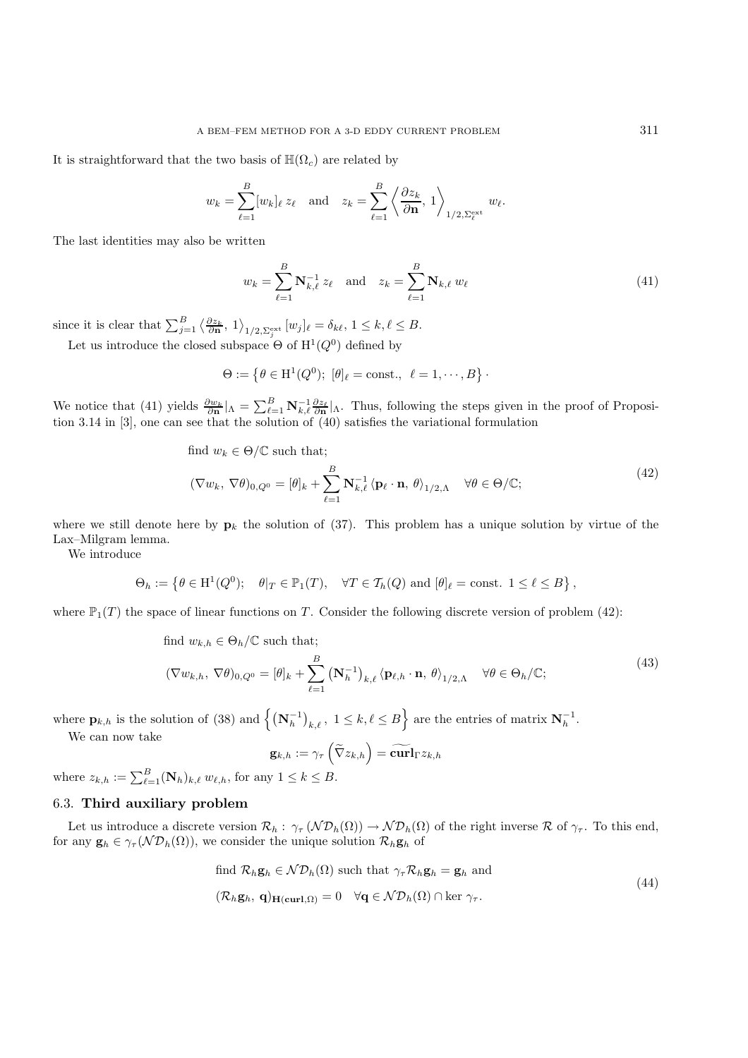It is straightforward that the two basis of  $\mathbb{H}(\Omega_c)$  are related by

$$
w_k = \sum_{\ell=1}^B [w_k]_{\ell} z_{\ell}
$$
 and  $z_k = \sum_{\ell=1}^B \left\langle \frac{\partial z_k}{\partial \mathbf{n}}, 1 \right\rangle_{1/2, \Sigma_{\ell}^{\text{ext}}} w_{\ell}.$ 

The last identities may also be written

$$
w_k = \sum_{\ell=1}^{B} \mathbf{N}_{k,\ell}^{-1} z_{\ell} \text{ and } z_k = \sum_{\ell=1}^{B} \mathbf{N}_{k,\ell} w_{\ell}
$$
 (41)

since it is clear that  $\sum_{j=1}^B \left\langle \frac{\partial z_k}{\partial \mathbf{n}} , 1 \right\rangle_{1/2, \sum_j^{\text{ext}}} [w_j]_\ell = \delta_{k\ell}, 1 \leq k, \ell \leq B.$ 

Let us introduce the closed subspace  $\Theta$  of  $H^1(Q^0)$  defined by

$$
\Theta:=\left\{\theta\in \mathrm{H}^1(Q^0);\ [\theta]_{\ell}=\mathrm{const.},\ \ell=1,\cdot\cdot\cdot,B\right\}\cdot
$$

We notice that (41) yields  $\frac{\partial w_k}{\partial n}|_{\Lambda} = \sum_{\ell=1}^B \mathbf{N}_{k,\ell}^{-1} \frac{\partial z_{\ell}}{\partial n}|_{\Lambda}$ . Thus, following the steps given in the proof of Proposition 3.14 in [3], one can see that the solution of (40) satisfies the variational formulation

find 
$$
w_k \in \Theta/\mathbb{C}
$$
 such that;  
\n
$$
(\nabla w_k, \nabla \theta)_{0,Q^0} = [\theta]_k + \sum_{\ell=1}^B \mathbf{N}_{k,\ell}^{-1} \langle \mathbf{p}_{\ell} \cdot \mathbf{n}, \theta \rangle_{1/2,\Lambda} \quad \forall \theta \in \Theta/\mathbb{C};
$$
\n(42)

where we still denote here by  $\mathbf{p}_k$  the solution of (37). This problem has a unique solution by virtue of the Lax–Milgram lemma.

We introduce

$$
\Theta_h := \left\{ \theta \in \mathrm{H}^1(Q^0); \quad \theta|_T \in \mathbb{P}_1(T), \quad \forall T \in \mathcal{T}_h(Q) \text{ and } [\theta]_\ell = \mathrm{const.} \ \ 1 \leq \ell \leq B \right\},\
$$

where  $\mathbb{P}_1(T)$  the space of linear functions on T. Consider the following discrete version of problem (42):

find 
$$
w_{k,h} \in \Theta_h/\mathbb{C}
$$
 such that;  
\n
$$
(\nabla w_{k,h}, \nabla \theta)_{0,Q^0} = [\theta]_k + \sum_{\ell=1}^B (\mathbf{N}_h^{-1})_{k,\ell} \langle \mathbf{p}_{\ell,h} \cdot \mathbf{n}, \theta \rangle_{1/2,\Lambda} \quad \forall \theta \in \Theta_h/\mathbb{C};
$$
\n(43)

where  $\mathbf{p}_{k,h}$  is the solution of (38) and  $\left\{ (\mathbf{N}_h^{-1})_{k,\ell}, 1 \le k,\ell \le B \right\}$  are the entries of matrix  $\mathbf{N}_h^{-1}$ .

We can now take

$$
\mathbf{g}_{k,h}:=\gamma_\tau\left(\widetilde{\nabla}z_{k,h}\right)=\widetilde{\mathbf{curl}}_{\Gamma}z_{k,h}
$$

where  $z_{k,h} := \sum_{\ell=1}^B (\mathbf{N}_h)_{k,\ell} w_{\ell,h}$ , for any  $1 \leq k \leq B$ .

## 6.3. **Third auxiliary problem**

Let us introduce a discrete version  $\mathcal{R}_h$ :  $\gamma_\tau(\mathcal{N}\mathcal{D}_h(\Omega)) \to \mathcal{N}\mathcal{D}_h(\Omega)$  of the right inverse  $\mathcal R$  of  $\gamma_\tau$ . To this end, for any  $\mathbf{g}_h \in \gamma_\tau(\mathcal{ND}_h(\Omega))$ , we consider the unique solution  $\mathcal{R}_h \mathbf{g}_h$  of

find 
$$
\mathcal{R}_h \mathbf{g}_h \in \mathcal{N} \mathcal{D}_h(\Omega)
$$
 such that  $\gamma_\tau \mathcal{R}_h \mathbf{g}_h = \mathbf{g}_h$  and  
\n $(\mathcal{R}_h \mathbf{g}_h, \mathbf{q})_{\mathbf{H}(\mathbf{curl}, \Omega)} = 0 \quad \forall \mathbf{q} \in \mathcal{N} \mathcal{D}_h(\Omega) \cap \ker \gamma_\tau.$  (44)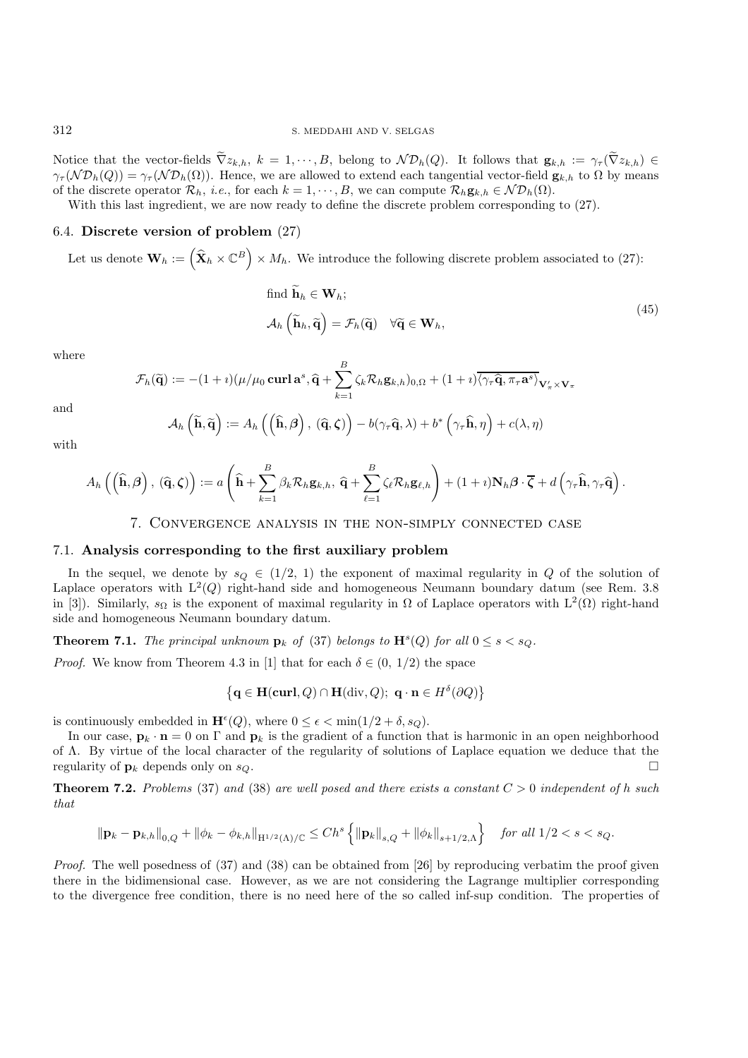Notice that the vector-fields  $\tilde{\nabla} z_{k,h}$ ,  $k = 1, \dots, B$ , belong to  $\mathcal{ND}_h(Q)$ . It follows that  $\mathbf{g}_{k,h} := \gamma_\tau(\tilde{\nabla} z_{k,h}) \in$  $\gamma_{\tau}(\mathcal{N} \mathcal{D}_{h}(Q)) = \gamma_{\tau}(\mathcal{N} \mathcal{D}_{h}(\Omega)).$  Hence, we are allowed to extend each tangential vector-field  $\mathbf{g}_{k,h}$  to  $\Omega$  by means of the discrete operator  $\mathcal{R}_h$ , *i.e.*, for each  $k = 1, \dots, B$ , we can compute  $\mathcal{R}_h$ **g**<sub>k,h</sub>  $\in \mathcal{ND}_h(\Omega)$ .

With this last ingredient, we are now ready to define the discrete problem corresponding to (27).

#### 6.4. **Discrete version of problem** (27)

Let us denote  $\mathbf{W}_h := (\hat{\mathbf{X}}_h \times \mathbb{C}^B) \times M_h$ . We introduce the following discrete problem associated to (27):

find 
$$
\widetilde{\mathbf{h}}_h \in \mathbf{W}_h
$$
;  
\n
$$
\mathcal{A}_h \left( \widetilde{\mathbf{h}}_h, \widetilde{\mathbf{q}} \right) = \mathcal{F}_h(\widetilde{\mathbf{q}}) \quad \forall \widetilde{\mathbf{q}} \in \mathbf{W}_h,
$$
\n(45)

where

$$
\mathcal{F}_h(\widetilde{\mathbf{q}}) := -(1+i)(\mu/\mu_0 \mathbf{curl}\,\mathbf{a}^s, \widehat{\mathbf{q}} + \sum_{k=1}^B \zeta_k \mathcal{R}_h \mathbf{g}_{k,h})_{0,\Omega} + (1+i)\overline{\langle \gamma_\tau \widehat{\mathbf{q}}, \pi_\tau \mathbf{a}^s \rangle}_{\mathbf{V}'_{\pi} \times \mathbf{V}_{\pi}}
$$

and

$$
\mathcal{A}_{h}\left(\widetilde{\mathbf{h}},\widetilde{\mathbf{q}}\right):=A_{h}\left(\left(\widehat{\mathbf{h}},\boldsymbol{\beta}\right),\,\left(\widehat{\mathbf{q}},\boldsymbol{\zeta}\right)\right)-b(\gamma_{\tau}\widehat{\mathbf{q}},\lambda)+b^{*}\left(\gamma_{\tau}\widehat{\mathbf{h}},\eta\right)+c(\lambda,\eta)
$$

with

$$
A_h\left(\left(\widehat{\mathbf{h}},\boldsymbol{\beta}\right),\left(\widehat{\mathbf{q}},\boldsymbol{\zeta}\right)\right):=a\left(\widehat{\mathbf{h}}+\sum_{k=1}^B\beta_k\mathcal{R}_h\mathbf{g}_{k,h},\,\widehat{\mathbf{q}}+\sum_{\ell=1}^B\zeta_\ell\mathcal{R}_h\mathbf{g}_{\ell,h}\right)+(1+\imath)\mathbf{N}_h\boldsymbol{\beta}\cdot\overline{\boldsymbol{\zeta}}+d\left(\gamma_r\widehat{\mathbf{h}},\gamma_r\widehat{\mathbf{q}}\right).
$$

## 7. Convergence analysis in the non-simply connected case

## 7.1. **Analysis corresponding to the first auxiliary problem**

In the sequel, we denote by  $s_Q \in (1/2, 1)$  the exponent of maximal regularity in Q of the solution of Laplace operators with  $L^2(Q)$  right-hand side and homogeneous Neumann boundary datum (see Rem. 3.8) in [3]). Similarly,  $s_{\Omega}$  is the exponent of maximal regularity in  $\Omega$  of Laplace operators with  $L^2(\Omega)$  right-hand side and homogeneous Neumann boundary datum.

**Theorem 7.1.** *The principal unknown*  $\mathbf{p}_k$  *of* (37) *belongs to*  $\mathbf{H}^s(Q)$  *for all*  $0 \le s \le s_Q$ *.* 

*Proof.* We know from Theorem 4.3 in [1] that for each  $\delta \in (0, 1/2)$  the space

$$
\{ \mathbf{q} \in \mathbf{H}(\mathbf{curl}, Q) \cap \mathbf{H}(\text{div}, Q); \ \mathbf{q} \cdot \mathbf{n} \in H^{\delta}(\partial Q) \}
$$

is continuously embedded in  $\mathbf{H}^{\epsilon}(Q)$ , where  $0 \leq \epsilon < \min(1/2 + \delta, s_Q)$ .

In our case,  $\mathbf{p}_k \cdot \mathbf{n} = 0$  on  $\Gamma$  and  $\mathbf{p}_k$  is the gradient of a function that is harmonic in an open neighborhood of Λ. By virtue of the local character of the regularity of solutions of Laplace equation we deduce that the regularity of  $\mathbf{p}_k$  depends only on  $s_Q$ .

**Theorem 7.2.** Problems (37) and (38) are well posed and there exists a constant  $C > 0$  independent of h such *that*

$$
\|\mathbf{p}_{k} - \mathbf{p}_{k,h}\|_{0,Q} + \|\phi_{k} - \phi_{k,h}\|_{\mathcal{H}^{1/2}(\Lambda)/\mathbb{C}} \le Ch^s \left\{ \|\mathbf{p}_{k}\|_{s,Q} + \|\phi_{k}\|_{s+1/2,\Lambda} \right\} \quad \text{for all } 1/2 < s < s_{Q}.
$$

*Proof.* The well posedness of (37) and (38) can be obtained from [26] by reproducing verbatim the proof given there in the bidimensional case. However, as we are not considering the Lagrange multiplier corresponding to the divergence free condition, there is no need here of the so called inf-sup condition. The properties of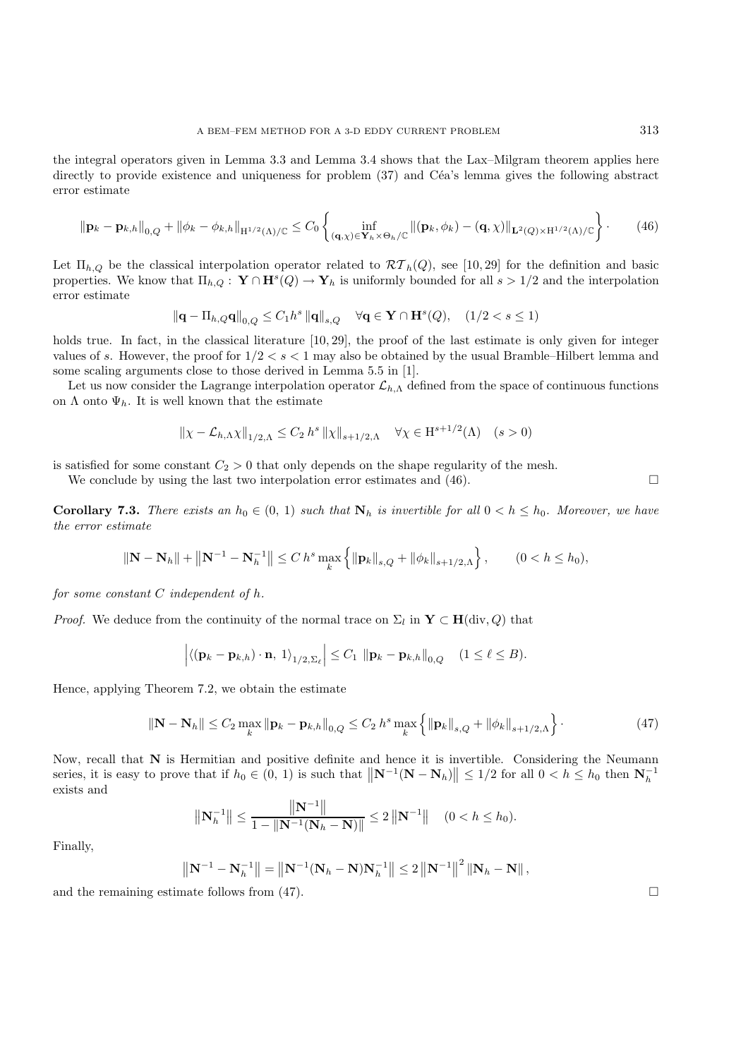the integral operators given in Lemma 3.3 and Lemma 3.4 shows that the Lax–Milgram theorem applies here directly to provide existence and uniqueness for problem (37) and Céa's lemma gives the following abstract error estimate

$$
\|\mathbf{p}_k - \mathbf{p}_{k,h}\|_{0,Q} + \|\phi_k - \phi_{k,h}\|_{\mathcal{H}^{1/2}(\Lambda)/\mathbb{C}} \leq C_0 \left\{ \inf_{(\mathbf{q},\chi)\in\mathbf{Y}_h\times\Theta_h/\mathbb{C}} \left\|(\mathbf{p}_k,\phi_k) - (\mathbf{q},\chi)\right\|_{\mathbf{L}^2(Q)\times\mathcal{H}^{1/2}(\Lambda)/\mathbb{C}} \right\}.
$$
 (46)

Let  $\Pi_{h,Q}$  be the classical interpolation operator related to  $\mathcal{RT}_h(Q)$ , see [10, 29] for the definition and basic properties. We know that  $\Pi_{h,Q}: \mathbf{Y} \cap \mathbf{H}^s(Q) \to \mathbf{Y}_h$  is uniformly bounded for all  $s > 1/2$  and the interpolation error estimate

$$
\left\|\mathbf{q} - \Pi_{h,Q}\mathbf{q}\right\|_{0,Q} \leq C_1 h^s \left\|\mathbf{q}\right\|_{s,Q} \quad \forall \mathbf{q} \in \mathbf{Y} \cap \mathbf{H}^s(Q), \quad (1/2 < s \leq 1)
$$

holds true. In fact, in the classical literature [10, 29], the proof of the last estimate is only given for integer values of s. However, the proof for  $1/2 < s < 1$  may also be obtained by the usual Bramble–Hilbert lemma and some scaling arguments close to those derived in Lemma 5.5 in [1].

Let us now consider the Lagrange interpolation operator  $\mathcal{L}_{h,\Lambda}$  defined from the space of continuous functions on  $\Lambda$  onto  $\Psi_h$ . It is well known that the estimate

$$
\|\chi - \mathcal{L}_{h,\Lambda} \chi\|_{1/2,\Lambda} \le C_2 h^s \|\chi\|_{s+1/2,\Lambda} \quad \forall \chi \in H^{s+1/2}(\Lambda) \quad (s > 0)
$$

is satisfied for some constant  $C_2 > 0$  that only depends on the shape regularity of the mesh.

We conclude by using the last two interpolation error estimates and  $(46)$ .

**Corollary 7.3.** *There exists an*  $h_0 \in (0, 1)$  *such that*  $N_h$  *is invertible for all*  $0 < h \leq h_0$ *. Moreover, we have the error estimate*

$$
\|\mathbf{N} - \mathbf{N}_h\| + \|\mathbf{N}^{-1} - \mathbf{N}_h^{-1}\| \le C h^s \max_k \left\{ \|\mathbf{p}_k\|_{s,Q} + \|\phi_k\|_{s+1/2,\Lambda} \right\}, \qquad (0 < h \le h_0),
$$

*for some constant* C *independent of* h*.*

*Proof.* We deduce from the continuity of the normal trace on  $\Sigma_l$  in **Y** ⊂ **H**(div, Q) that

$$
\left| \langle (\mathbf{p}_k - \mathbf{p}_{k,h}) \cdot \mathbf{n}, 1 \rangle_{1/2, \Sigma_{\ell}} \right| \leq C_1 \, \left\| \mathbf{p}_k - \mathbf{p}_{k,h} \right\|_{0, Q} \quad (1 \leq \ell \leq B).
$$

Hence, applying Theorem 7.2, we obtain the estimate

$$
\|\mathbf{N} - \mathbf{N}_h\| \le C_2 \max_k \|\mathbf{p}_k - \mathbf{p}_{k,h}\|_{0,Q} \le C_2 h^s \max_k \left\{ \|\mathbf{p}_k\|_{s,Q} + \|\phi_k\|_{s+1/2,\Lambda} \right\}.
$$
 (47)

Now, recall that **N** is Hermitian and positive definite and hence it is invertible. Considering the Neumann series, it is easy to prove that if  $h_0 \in (0, 1)$  is such that  $\|\mathbf{N}^{-1}(\mathbf{N} - \mathbf{N}_h)\| \le 1/2$  for all  $0 < h \le h_0$  then  $\mathbf{N}_h^{-1}$ exists and

$$
\left\| \mathbf{N}_h^{-1} \right\| \le \frac{\left\| \mathbf{N}^{-1} \right\|}{1 - \left\| \mathbf{N}^{-1} (\mathbf{N}_h - \mathbf{N}) \right\|} \le 2 \left\| \mathbf{N}^{-1} \right\| \quad (0 < h \le h_0).
$$

Finally,

$$
\left\| {\bf N}^{-1} - {\bf N}_h^{-1} \right\| = \left\| {\bf N}^{-1} ({\bf N}_h - {\bf N}) {\bf N}_h^{-1} \right\| \leq 2 \left\| {\bf N}^{-1} \right\|^2 \left\| {\bf N}_h - {\bf N} \right\|,
$$

and the remaining estimate follows from  $(47)$ .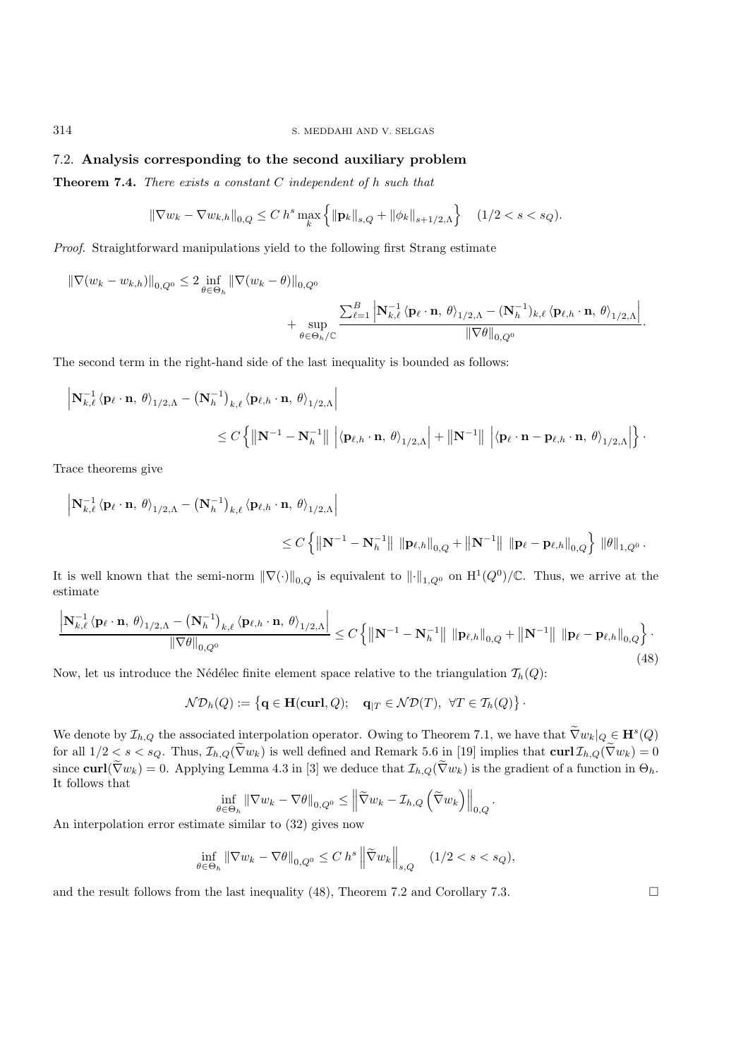## 7.2. **Analysis corresponding to the second auxiliary problem**

**Theorem 7.4.** *There exists a constant* C *independent of* h *such that*

$$
\|\nabla w_k - \nabla w_{k,h}\|_{0,Q} \le C h^s \max_k \left\{ \|\mathbf{p}_k\|_{s,Q} + \|\phi_k\|_{s+1/2,\Lambda} \right\} \quad (1/2 < s < s_Q).
$$

*Proof.* Straightforward manipulations yield to the following first Strang estimate

$$
\begin{split} \|\nabla (w_k - w_{k,h})\|_{0,Q^0} &\leq 2 \inf_{\theta \in \Theta_h} \|\nabla (w_k - \theta)\|_{0,Q^0} \\ &+ \sup_{\theta \in \Theta_h/\mathbb{C}} \frac{\sum_{\ell=1}^B \left| \mathbf{N}_{k,\ell}^{-1} \left\langle \mathbf{p}_{\ell} \cdot \mathbf{n}, \, \theta \right\rangle_{1/2,\Lambda} - (\mathbf{N}_h^{-1})_{k,\ell} \left\langle \mathbf{p}_{\ell,h} \cdot \mathbf{n}, \, \theta \right\rangle_{1/2,\Lambda} \right|}{\|\nabla \theta\|_{0,Q^0}}. \end{split}
$$

The second term in the right-hand side of the last inequality is bounded as follows:

$$
\begin{aligned}\n\left|\mathbf{N}_{k,\ell}^{-1} \left\langle \mathbf{p}_{\ell} \cdot \mathbf{n}, \, \theta \right\rangle_{1/2,\Lambda} - \left(\mathbf{N}_{h}^{-1}\right)_{k,\ell} \left\langle \mathbf{p}_{\ell,h} \cdot \mathbf{n}, \, \theta \right\rangle_{1/2,\Lambda}\right| \\
&\leq C \left\{ \left|\left|\mathbf{N}^{-1} - \mathbf{N}_{h}^{-1}\right|\right| \, \left|\left\langle \mathbf{p}_{\ell,h} \cdot \mathbf{n}, \, \theta \right\rangle_{1/2,\Lambda}\right| + \left|\left|\mathbf{N}^{-1}\right|\right| \, \left|\left\langle \mathbf{p}_{\ell} \cdot \mathbf{n} - \mathbf{p}_{\ell,h} \cdot \mathbf{n}, \, \theta \right\rangle_{1/2,\Lambda}\right|\right\}.\n\end{aligned}
$$

Trace theorems give

$$
\begin{aligned} \left|\mathbf{N}_{k,\ell}^{-1} \left\langle \mathbf{p}_{\ell} \cdot \mathbf{n}, \, \theta \right\rangle_{1/2,\Lambda} & -\left(\mathbf{N}_{h}^{-1}\right)_{k,\ell} \left\langle \mathbf{p}_{\ell,h} \cdot \mathbf{n}, \, \theta \right\rangle_{1/2,\Lambda} \right| \\ & \leq C \left\{ \left|\left|\mathbf{N}^{-1} - \mathbf{N}_{h}^{-1}\right|\right| \, \left\|\mathbf{p}_{\ell,h}\right\|_{0,Q} + \left\|\mathbf{N}^{-1}\right\| \, \left\|\mathbf{p}_{\ell} - \mathbf{p}_{\ell,h}\right\|_{0,Q} \right\} \, \left\|\theta\right\|_{1,Q^{0}}. \end{aligned}
$$

It is well known that the semi-norm  $\|\nabla(\cdot)\|_{0,Q}$  is equivalent to  $\|\cdot\|_{1,Q^0}$  on  $\mathrm{H}^1(Q^0)/\mathbb{C}$ . Thus, we arrive at the estimate

$$
\frac{\left|\mathbf{N}_{k,\ell}^{-1}\left\langle\mathbf{p}_{\ell}\cdot\mathbf{n},\,\theta\right\rangle_{1/2,\Lambda} - \left(\mathbf{N}_{h}^{-1}\right)_{k,\ell}\left\langle\mathbf{p}_{\ell,h}\cdot\mathbf{n},\,\theta\right\rangle_{1/2,\Lambda}\right|}{\left\|\nabla\theta\right\|_{0,Q^0}} \leq C\left\{\left\|\mathbf{N}^{-1} - \mathbf{N}_{h}^{-1}\right\| \left\|\mathbf{p}_{\ell,h}\right\|_{0,Q} + \left\|\mathbf{N}^{-1}\right\| \left\|\mathbf{p}_{\ell}-\mathbf{p}_{\ell,h}\right\|_{0,Q}\right\}.\tag{48}
$$

Now, let us introduce the Nédélec finite element space relative to the triangulation  $\mathcal{T}_h(Q)$ :

$$
\mathcal{ND}_h(Q) := \left\{ \mathbf{q} \in \mathbf{H}(\mathbf{curl}, Q); \quad \mathbf{q}_{|T} \in \mathcal{ND}(T), \ \forall T \in \mathcal{T}_h(Q) \right\}
$$

We denote by  $\mathcal{I}_{h,Q}$  the associated interpolation operator. Owing to Theorem 7.1, we have that  $\tilde{\nabla}w_k|_Q \in \mathbf{H}^s(Q)$ for all  $1/2 < s < s_Q$ . Thus,  $\mathcal{I}_{h,Q}(\tilde{\nabla}w_k)$  is well defined and Remark 5.6 in [19] implies that  $\text{curl } \mathcal{I}_{h,Q}(\tilde{\nabla}w_k)=0$ since **curl**( $\tilde{\nabla}w_k$ ) = 0. Applying Lemma 4.3 in [3] we deduce that  $\mathcal{I}_{h,Q}(\tilde{\nabla}w_k)$  is the gradient of a function in  $\Theta_h$ . It follows that

$$
\inf_{\theta \in \Theta_h} \|\nabla w_k - \nabla \theta\|_{0,Q^0} \le \left\|\widetilde{\nabla} w_k - \mathcal{I}_{h,Q}\left(\widetilde{\nabla} w_k\right)\right\|_{0,Q}.
$$

An interpolation error estimate similar to (32) gives now

$$
\inf_{\theta \in \Theta_h} \|\nabla w_k - \nabla \theta\|_{0, Q^0} \le C \, h^s \left\|\tilde{\nabla} w_k\right\|_{s, Q} \quad (1/2 < s < s_Q),
$$

and the result follows from the last inequality (48), Theorem 7.2 and Corollary 7.3.  $\square$ 

·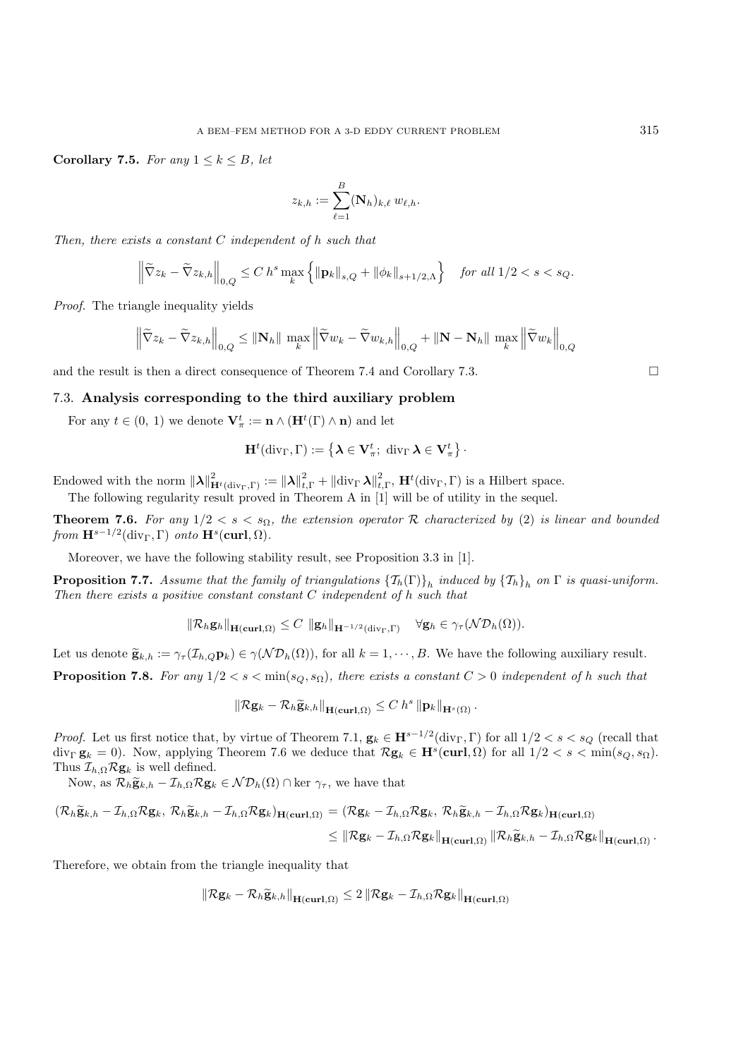**Corollary 7.5.** *For any*  $1 \leq k \leq B$ *, let* 

$$
z_{k,h} := \sum_{\ell=1}^B (\mathbf{N}_h)_{k,\ell} w_{\ell,h}.
$$

*Then, there exists a constant* C *independent of* h *such that*

$$
\left\|\widetilde{\nabla}z_{k}-\widetilde{\nabla}z_{k,h}\right\|_{0,Q}\leq C\ h^{s}\max_{k}\left\{\left\|\mathbf{p}_{k}\right\|_{s,Q}+\left\|\phi_{k}\right\|_{s+1/2,\Lambda}\right\}\quad \text{for all }1/2
$$

*Proof.* The triangle inequality yields

$$
\left\| \widetilde{\nabla} z_k - \widetilde{\nabla} z_{k,h} \right\|_{0,Q} \leq \left\| \mathbf{N}_h \right\| \max_k \left\| \widetilde{\nabla} w_k - \widetilde{\nabla} w_{k,h} \right\|_{0,Q} + \left\| \mathbf{N} - \mathbf{N}_h \right\| \max_k \left\| \widetilde{\nabla} w_k \right\|_{0,Q}
$$

and the result is then a direct consequence of Theorem 7.4 and Corollary 7.3.

## 7.3. **Analysis corresponding to the third auxiliary problem**

For any  $t \in (0, 1)$  we denote  $\mathbf{V}_{\pi}^t := \mathbf{n} \wedge (\mathbf{H}^t(\Gamma) \wedge \mathbf{n})$  and let

$$
\mathbf{H}^t(\mathrm{div}_\Gamma,\Gamma):=\left\{\boldsymbol{\lambda}\in\mathbf{V}^t_{\pi};\;\mathrm{div}_\Gamma\,\boldsymbol{\lambda}\in\mathbf{V}^t_{\pi}\right\}
$$

·

Endowed with the norm  $\|\lambda\|_{\mathbf{H}^t(\text{div}_\Gamma,\Gamma)}^2 := \|\lambda\|_{t,\Gamma}^2 + \|\text{div}_\Gamma \lambda\|_{t,\Gamma}^2$ ,  $\mathbf{H}^t(\text{div}_\Gamma,\Gamma)$  is a Hilbert space. The following regularity result proved in Theorem A in [1] will be of utility in the sequel.

**Theorem 7.6.** *For any*  $1/2 < s < s_\Omega$ , the extension operator R characterized by (2) is linear and bounded *from*  $\mathbf{H}^{s-1/2}$ (div<sub>Γ</sub>, Γ) *onto*  $\mathbf{H}^s$ (curl,  $\Omega$ )*.* 

Moreover, we have the following stability result, see Proposition 3.3 in [1].

**Proposition 7.7.** *Assume that the family of triangulations*  $\{T_h(\Gamma)\}_h$  *induced by*  $\{T_h\}_h$  *on*  $\Gamma$  *is quasi-uniform. Then there exists a positive constant constant* C *independent of* h *such that*

$$
\|\mathcal{R}_h\mathbf{g}_h\|_{\mathbf{H}(\mathbf{curl},\Omega)} \leq C \|\mathbf{g}_h\|_{\mathbf{H}^{-1/2}(\text{div}_\Gamma,\Gamma)} \quad \forall \mathbf{g}_h \in \gamma_\tau(\mathcal{ND}_h(\Omega)).
$$

Let us denote  $\widetilde{\mathbf{g}}_{k,h} := \gamma_{\tau}(\mathcal{I}_{h,Q}\mathbf{p}_k) \in \gamma(\mathcal{N}\mathcal{D}_h(\Omega))$ , for all  $k = 1, \dots, B$ . We have the following auxiliary result.

**Proposition 7.8.** *For any*  $1/2 < s < min(s_Q, s_Q)$ *, there exists a constant*  $C > 0$  *independent of h such that* 

$$
\left\|\mathcal{R}\mathbf{g}_k-\mathcal{R}_h\widetilde{\mathbf{g}}_{k,h}\right\|_{\mathbf{H}(\mathbf{curl},\Omega)}\leq C\ h^s\left\|\mathbf{p}_k\right\|_{\mathbf{H}^s(\Omega)}.
$$

*Proof.* Let us first notice that, by virtue of Theorem 7.1,  $\mathbf{g}_k \in \mathbf{H}^{s-1/2}(\text{div}_\Gamma, \Gamma)$  for all  $1/2 < s < s_Q$  (recall that div<sub>Γ</sub> **g**<sub>k</sub> = 0). Now, applying Theorem 7.6 we deduce that  $\mathcal{R}$ **g**<sub>k</sub>  $\in$  **H**<sup>s</sup>(**curl**,  $\Omega$ ) for all  $1/2 < s < \min(s_Q, s_Q)$ . Thus  $\mathcal{I}_{h,\Omega} \mathcal{R} \mathbf{g}_k$  is well defined.

Now, as  $\mathcal{R}_h \tilde{\mathbf{g}}_{k,h} - \mathcal{I}_{h,\Omega} \mathcal{R} \mathbf{g}_k \in \mathcal{ND}_h(\Omega) \cap \text{ker } \gamma_\tau$ , we have that

$$
\begin{aligned} (\mathcal{R}_h \widetilde{\mathbf{g}}_{k,h} - \mathcal{I}_{h,\Omega} \mathcal{R} \mathbf{g}_k, \ \mathcal{R}_h \widetilde{\mathbf{g}}_{k,h} - \mathcal{I}_{h,\Omega} \mathcal{R} \mathbf{g}_k)_{\mathbf{H}(\mathbf{curl},\Omega)} &= (\mathcal{R} \mathbf{g}_k - \mathcal{I}_{h,\Omega} \mathcal{R} \mathbf{g}_k, \ \mathcal{R}_h \widetilde{\mathbf{g}}_{k,h} - \mathcal{I}_{h,\Omega} \mathcal{R} \mathbf{g}_k)_{\mathbf{H}(\mathbf{curl},\Omega)} \\ &\leq \|\mathcal{R} \mathbf{g}_k - \mathcal{I}_{h,\Omega} \mathcal{R} \mathbf{g}_k\|_{\mathbf{H}(\mathbf{curl},\Omega)} \|\mathcal{R}_h \widetilde{\mathbf{g}}_{k,h} - \mathcal{I}_{h,\Omega} \mathcal{R} \mathbf{g}_k\|_{\mathbf{H}(\mathbf{curl},\Omega)} \,. \end{aligned}
$$

Therefore, we obtain from the triangle inequality that

$$
\|\mathcal{R}\mathbf{g}_k - \mathcal{R}_h \widetilde{\mathbf{g}}_{k,h}\|_{\mathbf{H}(\mathbf{curl},\Omega)} \leq 2\|\mathcal{R}\mathbf{g}_k - \mathcal{I}_{h,\Omega} \mathcal{R}\mathbf{g}_k\|_{\mathbf{H}(\mathbf{curl},\Omega)}
$$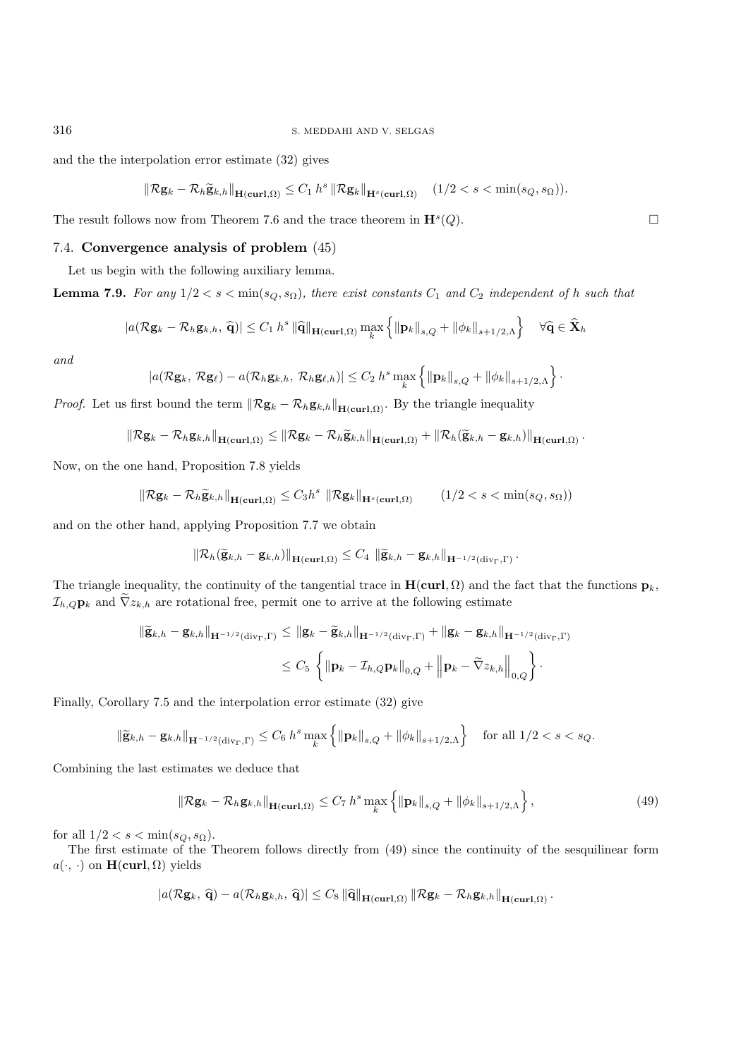and the the interpolation error estimate (32) gives

$$
\|\mathcal{R}\mathbf{g}_k - \mathcal{R}_h \widetilde{\mathbf{g}}_{k,h}\|_{\mathbf{H}(\mathbf{curl},\Omega)} \leq C_1 h^s \|\mathcal{R}\mathbf{g}_k\|_{\mathbf{H}^s(\mathbf{curl},\Omega)} \quad (1/2 < s < \min(s_Q, s_\Omega)).
$$

The result follows now from Theorem 7.6 and the trace theorem in  $\mathbf{H}^s(Q)$ .

## 7.4. **Convergence analysis of problem** (45)

Let us begin with the following auxiliary lemma.

**Lemma 7.9.** *For any*  $1/2 < s < \min(s_Q, s_Q)$ *, there exist constants*  $C_1$  *and*  $C_2$  *independent of* h *such that* 

$$
|a(\mathcal{R}\mathbf{g}_k - \mathcal{R}_h \mathbf{g}_{k,h}, \hat{\mathbf{q}})| \leq C_1 h^s \|\hat{\mathbf{q}}\|_{\mathbf{H}(\mathbf{curl}, \Omega)} \max_k \left\{ \|\mathbf{p}_k\|_{s,Q} + \|\phi_k\|_{s+1/2,\Lambda} \right\} \quad \forall \hat{\mathbf{q}} \in \hat{\mathbf{X}}_h
$$

*and*

$$
|a(\mathcal{R}\mathbf{g}_k,\,\mathcal{R}\mathbf{g}_\ell)-a(\mathcal{R}_h\mathbf{g}_{k,h},\,\mathcal{R}_h\mathbf{g}_{\ell,h})|\leq C_2\,h^s\max_k\left\{\|\mathbf{p}_k\|_{s,Q}+\|\phi_k\|_{s+1/2,\Lambda}\right\}.
$$

*Proof.* Let us first bound the term  $\|\mathcal{R} \mathbf{g}_k - \mathcal{R}_h \mathbf{g}_{k,h}\|_{\mathbf{H}(\mathbf{curl},\Omega)}$ . By the triangle inequality

$$
\left\|\mathcal{R}\mathbf{g}_k-\mathcal{R}_h\mathbf{g}_{k,h}\right\|_{\mathbf{H}(\mathbf{curl},\Omega)} \leq \left\|\mathcal{R}\mathbf{g}_k-\mathcal{R}_h\widetilde{\mathbf{g}}_{k,h}\right\|_{\mathbf{H}(\mathbf{curl},\Omega)}+\left\|\mathcal{R}_h(\widetilde{\mathbf{g}}_{k,h}-\mathbf{g}_{k,h})\right\|_{\mathbf{H}(\mathbf{curl},\Omega)}.
$$

Now, on the one hand, Proposition 7.8 yields

$$
\|\mathcal{R}\mathbf{g}_k - \mathcal{R}_h \widetilde{\mathbf{g}}_{k,h}\|_{\mathbf{H}(\mathbf{curl},\Omega)} \le C_3 h^s \|\mathcal{R}\mathbf{g}_k\|_{\mathbf{H}^s(\mathbf{curl},\Omega)} \qquad (1/2 < s < \min(s_Q, s_\Omega))
$$

and on the other hand, applying Proposition 7.7 we obtain

$$
\left\|\mathcal{R}_h(\widetilde{\mathbf{g}}_{k,h}-\mathbf{g}_{k,h})\right\|_{\mathbf{H}(\mathbf{curl},\Omega)} \leq C_4 \left\|\widetilde{\mathbf{g}}_{k,h}-\mathbf{g}_{k,h}\right\|_{\mathbf{H}^{-1/2}(\text{div}_\Gamma,\Gamma)}.
$$

The triangle inequality, the continuity of the tangential trace in  $H(\text{curl}, \Omega)$  and the fact that the functions  $p_k$ ,  $\mathcal{I}_{h,Q}$ **p**<sub>k</sub> and  $\tilde{\nabla}z_{k,h}$  are rotational free, permit one to arrive at the following estimate

$$
\|\widetilde{\mathbf{g}}_{k,h} - \mathbf{g}_{k,h}\|_{\mathbf{H}^{-1/2}(\mathrm{div}_{\Gamma},\Gamma)} \leq \|\mathbf{g}_k - \widetilde{\mathbf{g}}_{k,h}\|_{\mathbf{H}^{-1/2}(\mathrm{div}_{\Gamma},\Gamma)} + \|\mathbf{g}_k - \mathbf{g}_{k,h}\|_{\mathbf{H}^{-1/2}(\mathrm{div}_{\Gamma},\Gamma)}
$$
  

$$
\leq C_5 \left\{ \|\mathbf{p}_k - \mathcal{I}_{h,Q}\mathbf{p}_k\|_{0,Q} + \left\|\mathbf{p}_k - \widetilde{\nabla}z_{k,h}\right\|_{0,Q} \right\}.
$$

Finally, Corollary 7.5 and the interpolation error estimate (32) give

$$
\|\widetilde{\mathbf{g}}_{k,h} - \mathbf{g}_{k,h}\|_{\mathbf{H}^{-1/2}(\text{div}_{\Gamma},\Gamma)} \leq C_6 \, h^s \max_k \left\{ \|\mathbf{p}_k\|_{s,Q} + \|\phi_k\|_{s+1/2,\Lambda} \right\} \quad \text{for all } 1/2 < s < s_Q.
$$

Combining the last estimates we deduce that

$$
\left\| \mathcal{R} \mathbf{g}_k - \mathcal{R}_h \mathbf{g}_{k,h} \right\|_{\mathbf{H}(\mathbf{curl},\Omega)} \le C_7 h^s \max_k \left\{ \left\| \mathbf{p}_k \right\|_{s,Q} + \left\| \phi_k \right\|_{s+1/2,\Lambda} \right\},\tag{49}
$$

for all  $1/2 < s < \min(s_Q, s_\Omega)$ .

The first estimate of the Theorem follows directly from (49) since the continuity of the sesquilinear form  $a(\cdot, \cdot)$  on  $\mathbf{H}(\text{curl}, \Omega)$  yields

$$
|a(\mathcal{R}\mathbf{g}_k, \widehat{\mathbf{q}}) - a(\mathcal{R}_h \mathbf{g}_{k,h}, \widehat{\mathbf{q}})| \leq C_8 \|\widehat{\mathbf{q}}\|_{\mathbf{H}(\mathbf{curl}, \Omega)} \|\mathcal{R}\mathbf{g}_k - \mathcal{R}_h \mathbf{g}_{k,h}\|_{\mathbf{H}(\mathbf{curl}, \Omega)}.
$$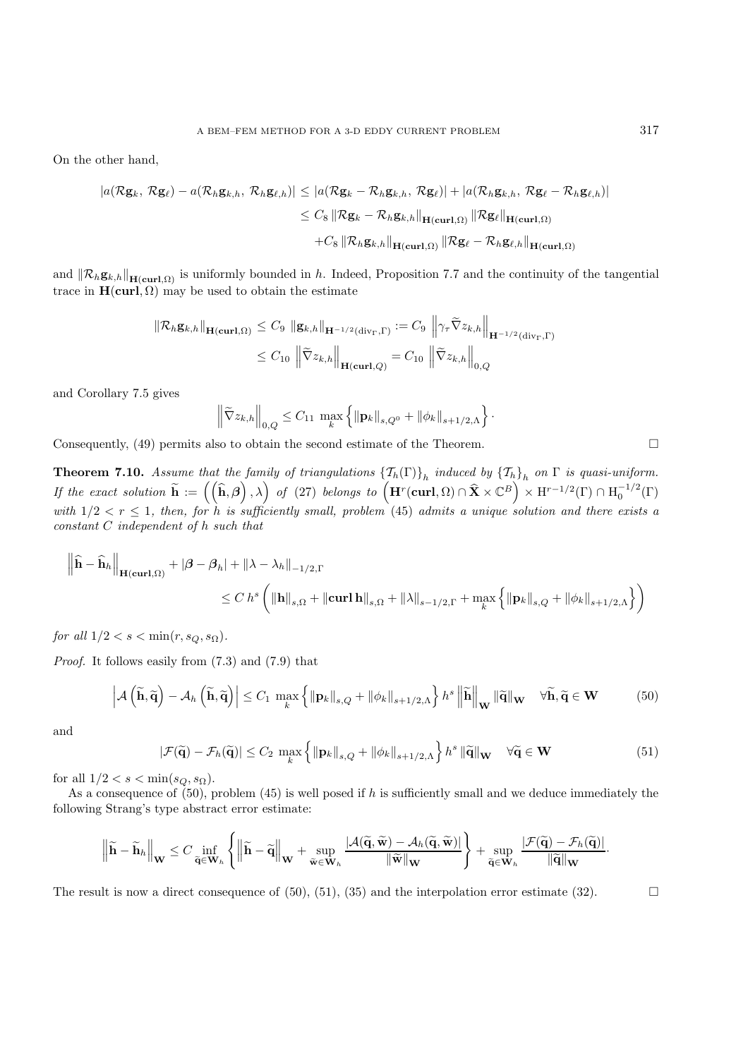On the other hand,

$$
|a(\mathcal{R}\mathbf{g}_k, \mathcal{R}\mathbf{g}_\ell) - a(\mathcal{R}_h \mathbf{g}_{k,h}, \mathcal{R}_h \mathbf{g}_{\ell,h})| \leq |a(\mathcal{R}\mathbf{g}_k - \mathcal{R}_h \mathbf{g}_{k,h}, \mathcal{R}\mathbf{g}_\ell)| + |a(\mathcal{R}_h \mathbf{g}_{k,h}, \mathcal{R}\mathbf{g}_\ell - \mathcal{R}_h \mathbf{g}_{\ell,h})|
$$
  

$$
\leq C_8 \|\mathcal{R}\mathbf{g}_k - \mathcal{R}_h \mathbf{g}_{k,h}\|_{\mathbf{H}(\mathbf{curl},\Omega)} \|\mathcal{R}\mathbf{g}_\ell\|_{\mathbf{H}(\mathbf{curl},\Omega)}
$$
  

$$
+ C_8 \|\mathcal{R}_h \mathbf{g}_{k,h}\|_{\mathbf{H}(\mathbf{curl},\Omega)} \|\mathcal{R}\mathbf{g}_\ell - \mathcal{R}_h \mathbf{g}_{\ell,h}\|_{\mathbf{H}(\mathbf{curl},\Omega)}
$$

and  $\|\mathcal{R}_h\mathbf{g}_{k,h}\|_{\mathbf{H}(\mathbf{curl},\Omega)}$  is uniformly bounded in h. Indeed, Proposition 7.7 and the continuity of the tangential trace in  $H(\text{curl}, \Omega)$  may be used to obtain the estimate

$$
\|\mathcal{R}_h \mathbf{g}_{k,h}\|_{\mathbf{H}(\mathbf{curl},\Omega)} \leq C_9 \|\mathbf{g}_{k,h}\|_{\mathbf{H}^{-1/2}(\text{div}_\Gamma,\Gamma)} := C_9 \|\gamma_\tau \widetilde{\nabla} z_{k,h}\|_{\mathbf{H}^{-1/2}(\text{div}_\Gamma,\Gamma)}
$$
  

$$
\leq C_{10} \|\widetilde{\nabla} z_{k,h}\|_{\mathbf{H}(\mathbf{curl},Q)} = C_{10} \|\widetilde{\nabla} z_{k,h}\|_{0,Q}
$$

and Corollary 7.5 gives

$$
\left\| \widetilde{\nabla} z_{k,h} \right\|_{0,Q} \leq C_{11} \max_{k} \left\{ \left\| \mathbf{p}_k \right\|_{s,Q^0} + \left\| \phi_k \right\|_{s+1/2,\Lambda} \right\}.
$$

Consequently,  $(49)$  permits also to obtain the second estimate of the Theorem.

**Theorem 7.10.** *Assume that the family of triangulations*  $\{T_h(\Gamma)\}_h$  *induced by*  $\{T_h\}_h$  *on*  $\Gamma$  *is quasi-uniform.*  $\hat{H}$  the exact solution  $\widetilde{\mathbf{h}} := \left( \left( \widehat{\mathbf{h}}, \boldsymbol{\beta} \right), \lambda \right)$  of (27) belongs to  $\left( \mathbf{H}^r(\mathbf{curl}, \Omega) \cap \widehat{\mathbf{X}} \times \mathbb{C}^B \right) \times \mathbf{H}^{r-1/2}(\Gamma) \cap \mathbf{H}_0^{-1/2}(\Gamma)$ with  $1/2 < r \leq 1$ , then, for h is sufficiently small, problem (45) admits a unique solution and there exists a *constant* C *independent of* h *such that*

$$
\left\| \widehat{\mathbf{h}} - \widehat{\mathbf{h}}_{h} \right\|_{\mathbf{H}(\mathbf{curl}, \Omega)} + |\beta - \beta_{h}| + \|\lambda - \lambda_{h}\|_{-1/2, \Gamma} \n\leq C h^{s} \left( \|\mathbf{h}\|_{s,\Omega} + \|\mathbf{curl}\,\mathbf{h}\|_{s,\Omega} + \|\lambda\|_{s-1/2, \Gamma} + \max_{k} \left\{ \|\mathbf{p}_{k}\|_{s,Q} + \|\phi_{k}\|_{s+1/2, \Lambda} \right\} \right)
$$

*for all*  $1/2 < s < \min(r, s_Q, s_\Omega)$ *.* 

*Proof.* It follows easily from (7.3) and (7.9) that

$$
\left| \mathcal{A}\left(\widetilde{\mathbf{h}},\widetilde{\mathbf{q}}\right) - \mathcal{A}_{h}\left(\widetilde{\mathbf{h}},\widetilde{\mathbf{q}}\right) \right| \leq C_{1} \max_{k} \left\{ \left\| \mathbf{p}_{k} \right\|_{s,Q} + \left\| \phi_{k} \right\|_{s+1/2,\Lambda} \right\} h^{s} \left\| \widetilde{\mathbf{h}} \right\|_{\mathbf{W}} \|\widetilde{\mathbf{q}}\|_{\mathbf{W}} \quad \forall \widetilde{\mathbf{h}},\widetilde{\mathbf{q}} \in \mathbf{W} \tag{50}
$$

and

$$
|\mathcal{F}(\widetilde{\mathbf{q}}) - \mathcal{F}_h(\widetilde{\mathbf{q}})| \le C_2 \max_k \left\{ \|\mathbf{p}_k\|_{s,Q} + \|\phi_k\|_{s+1/2,\Lambda} \right\} h^s \|\widetilde{\mathbf{q}}\|_{\mathbf{W}} \quad \forall \widetilde{\mathbf{q}} \in \mathbf{W}
$$
\n(51)

for all  $1/2 < s < \min(s_Q, s_\Omega)$ .

As a consequence of  $(50)$ , problem  $(45)$  is well posed if h is sufficiently small and we deduce immediately the following Strang's type abstract error estimate:

$$
\left\|\widetilde{\mathbf{h}}-\widetilde{\mathbf{h}}_h\right\|_{\mathbf{W}} \leq C\inf_{\widetilde{\mathbf{q}}\in\mathbf{W}_h}\left\{\left\|\widetilde{\mathbf{h}}-\widetilde{\mathbf{q}}\right\|_{\mathbf{W}}+\sup_{\widetilde{\mathbf{w}}\in\mathbf{W}_h}\frac{|\mathcal{A}(\widetilde{\mathbf{q}},\widetilde{\mathbf{w}})-\mathcal{A}_h(\widetilde{\mathbf{q}},\widetilde{\mathbf{w}})|}{\|\widetilde{\mathbf{w}}\|_{\mathbf{W}}}\right\}+\sup_{\widetilde{\mathbf{q}}\in\mathbf{W}_h}\frac{|\mathcal{F}(\widetilde{\mathbf{q}})-\mathcal{F}_h(\widetilde{\mathbf{q}})|}{\|\widetilde{\mathbf{q}}\|_{\mathbf{W}}}.
$$

The result is now a direct consequence of  $(50)$ ,  $(51)$ ,  $(35)$  and the interpolation error estimate  $(32)$ .